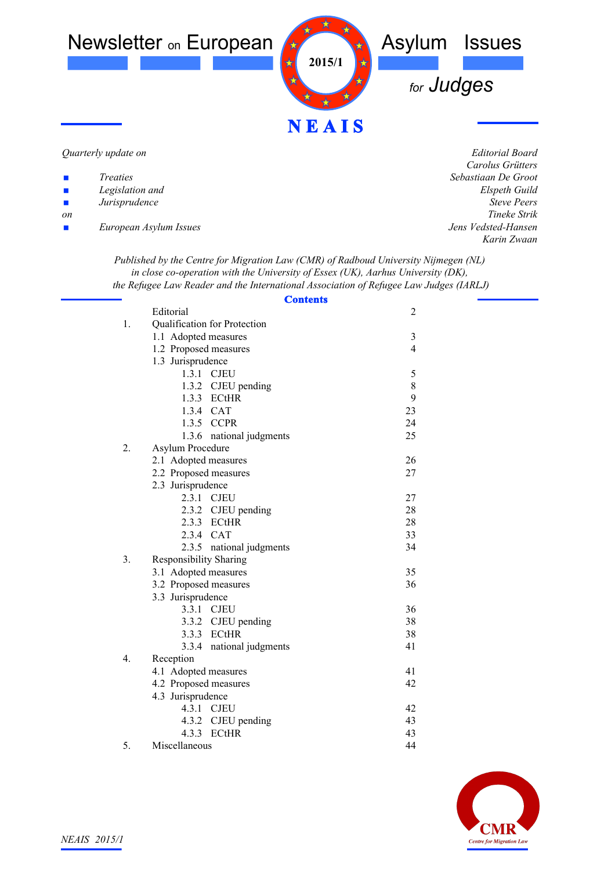

#### *Quarterly update on*

- *Legislation and*
- ! *Jurisprudence*
- *on*
- ! *European Asylum Issues*

*Editorial Board Carolus Grütters Sebastiaan De Groot Elspeth Guild Steve Peers Tineke Strik Jens Vedsted-Hansen Karin Zwaan*

*Published by the Centre for Migration Law (CMR) of Radboud University Nijmegen (NL) in close co-operation with the University of Essex (UK), Aarhus University (DK), the Refugee Law Reader and the International Association of Refugee Law Judges (IARLJ)*

|    | <b>Contents</b>               |                |  |
|----|-------------------------------|----------------|--|
|    | Editorial                     | $\overline{2}$ |  |
| 1. | Qualification for Protection  |                |  |
|    | 1.1 Adopted measures          | $\mathfrak{Z}$ |  |
|    | 1.2 Proposed measures         | $\overline{4}$ |  |
|    | 1.3 Jurisprudence             |                |  |
|    | 1.3.1 CJEU                    | $\sqrt{5}$     |  |
|    | 1.3.2 CJEU pending            | 8              |  |
|    | 1.3.3 ECtHR                   | 9              |  |
|    | 1.3.4 CAT                     | 23             |  |
|    | 1.3.5 CCPR                    | 24             |  |
|    | 1.3.6 national judgments      | 25             |  |
| 2. | Asylum Procedure              |                |  |
|    | 2.1 Adopted measures          | 26             |  |
|    | 2.2 Proposed measures         | 27             |  |
|    | 2.3 Jurisprudence             |                |  |
|    | 2.3.1 CJEU                    | 27             |  |
|    | 2.3.2 CJEU pending            | 28             |  |
|    | 2.3.3 ECtHR                   | 28             |  |
|    | 2.3.4 CAT                     | 33             |  |
|    | 2.3.5 national judgments      | 34             |  |
| 3. | <b>Responsibility Sharing</b> |                |  |
|    | 3.1 Adopted measures          | 35             |  |
|    | 3.2 Proposed measures         | 36             |  |
|    | 3.3 Jurisprudence             |                |  |
|    | 3.3.1 CJEU                    | 36             |  |
|    | 3.3.2 CJEU pending            | 38             |  |
|    | 3.3.3 ECtHR                   | 38             |  |
|    | 3.3.4 national judgments      | 41             |  |
| 4. | Reception                     |                |  |
|    | 4.1 Adopted measures          | 41             |  |
|    | 4.2 Proposed measures         | 42             |  |
|    | 4.3 Jurisprudence             |                |  |
|    | 4.3.1 CJEU                    | 42             |  |
|    | 4.3.2 CJEU pending            | 43             |  |
|    | 4.3.3 ECtHR                   | 43             |  |
| 5. | Miscellaneous                 | 44             |  |

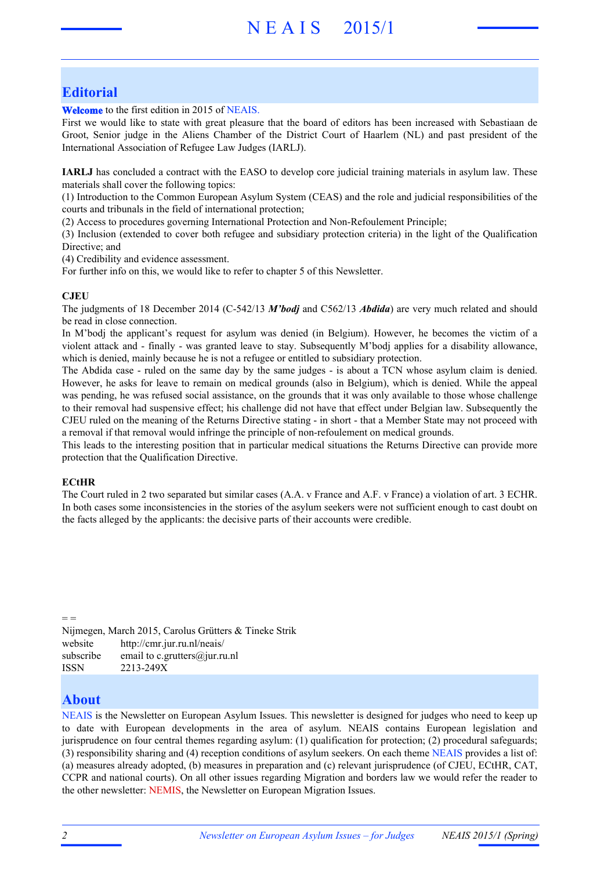## **Editorial**

**Welcome** to the first edition in 2015 of NEAIS.

First we would like to state with great pleasure that the board of editors has been increased with Sebastiaan de Groot, Senior judge in the Aliens Chamber of the District Court of Haarlem (NL) and past president of the International Association of Refugee Law Judges (IARLJ).

**IARLJ** has concluded a contract with the EASO to develop core judicial training materials in asylum law. These materials shall cover the following topics:

(1) Introduction to the Common European Asylum System (CEAS) and the role and judicial responsibilities of the courts and tribunals in the field of international protection;

(2) Access to procedures governing International Protection and Non-Refoulement Principle;

(3) Inclusion (extended to cover both refugee and subsidiary protection criteria) in the light of the Qualification Directive; and

(4) Credibility and evidence assessment.

For further info on this, we would like to refer to chapter 5 of this Newsletter.

#### **CJEU**

The judgments of 18 December 2014 (C-542/13 *M'bodj* and C562/13 *Abdida*) are very much related and should be read in close connection.

In M'bodj the applicant's request for asylum was denied (in Belgium). However, he becomes the victim of a violent attack and - finally - was granted leave to stay. Subsequently M'bodj applies for a disability allowance, which is denied, mainly because he is not a refugee or entitled to subsidiary protection.

The Abdida case - ruled on the same day by the same judges - is about a TCN whose asylum claim is denied. However, he asks for leave to remain on medical grounds (also in Belgium), which is denied. While the appeal was pending, he was refused social assistance, on the grounds that it was only available to those whose challenge to their removal had suspensive effect; his challenge did not have that effect under Belgian law. Subsequently the CJEU ruled on the meaning of the Returns Directive stating - in short - that a Member State may not proceed with a removal if that removal would infringe the principle of non-refoulement on medical grounds.

This leads to the interesting position that in particular medical situations the Returns Directive can provide more protection that the Qualification Directive.

#### **ECtHR**

The Court ruled in 2 two separated but similar cases (A.A. v France and A.F. v France) a violation of art. 3 ECHR. In both cases some inconsistencies in the stories of the asylum seekers were not sufficient enough to cast doubt on the facts alleged by the applicants: the decisive parts of their accounts were credible.

Nijmegen, March 2015, Carolus Grütters & Tineke Strik website http://cmr.jur.ru.nl/neais/ subscribe email to c.grutters@jur.ru.nl ISSN 2213-249X

### **About**

 $=$ 

NEAIS is the Newsletter on European Asylum Issues. This newsletter is designed for judges who need to keep up to date with European developments in the area of asylum. NEAIS contains European legislation and jurisprudence on four central themes regarding asylum: (1) qualification for protection; (2) procedural safeguards; (3) responsibility sharing and (4) reception conditions of asylum seekers. On each theme NEAIS provides a list of: (a) measures already adopted, (b) measures in preparation and (c) relevant jurisprudence (of CJEU, ECtHR, CAT, CCPR and national courts). On all other issues regarding Migration and borders law we would refer the reader to the other newsletter: NEMIS, the Newsletter on European Migration Issues.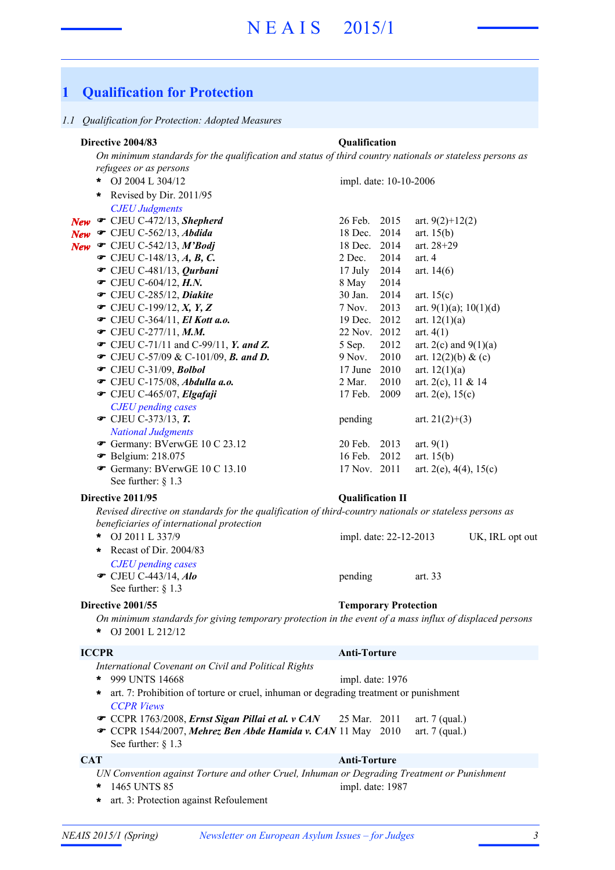# **1 Qualification for Protection**

#### *1.1 Qualification for Protection: Adopted Measures*

#### *On minimum standards for the qualification and status of third country nationals or stateless persons as refugees or as persons* OJ 2004 L 304/12 **\*** *CJEU Judgments* **New T** CJEU C-472/13, **Shepherd** 26 Feb. 2015 art. 9(2)+12(2) **New C** CJEU C-562/13, *Abdida* 18 Dec. 2014 art. 15(b) **New T** CJEU C-542/13, **M'Bodj** 18 Dec. 2014 art. 28+29  $\bullet$  CJEU C-148/13, *A, B, C*. 2 Dec. 2014 art. 4 **■** CJEU C-481/13, *Qurbani* 17 July 2014 art. 14(6) **T** CJEU C-604/12, *H.N.* 8 May 2014 **■** CJEU C-285/12, *Diakite* 30 Jan. 2014 art. 15(c)  $\bullet$  CJEU C-199/12, *X*, *Y*, *Z* 7 Nov. 2013 art. 9(1)(a); 10(1)(d) **■** CJEU C-364/11, *El Kott a.o.* 19 Dec. 2012 art. 12(1)(a) **■** CJEU C-277/11, *M.M.* 22 Nov. 2012 art. 4(1)  $\bullet$  CJEU C-71/11 and C-99/11, *Y. and Z.* 5 Sep. 2012 art. 2(c) and 9(1)(a) • CJEU C-57/09 & C-101/09, *B. and D.* 9 Nov. 2010 art. 12(2)(b) & (c) **■** CJEU C-31/09, *Bolbol* 17 June 2010 art. 12(1)(a) **■** CJEU C-175/08, *Abdulla a.o.* 2 Mar. 2010 art. 2(c), 11 & 14  **• CJEU C-465/07,** *Elgafaji* 17 Feb. 2009 art. 2(e), 15(c) *CJEU pending cases*  $\bullet$  CJEU C-373/13, **T.** pending art. 21(2)+(3) *National Judgments* **■** Germany: BVerwGE 10 C 23.12 20 Feb. 2013 art. 9(1) **•** Belgium: 218.075 16 Feb. 2012 art. 15(b) Germany: BVerwGE 10 C 13.10 17 Nov. 2011 art.  $2(e)$ ,  $4(4)$ ,  $15(e)$ See further: § 1.3 **Directive 2004/83 Qualification** impl. date: 10-10-2006 **\*** Revised by Dir. 2011/95 *Revised directive on standards for the qualification of third-country nationals or stateless persons as beneficiaries of international protection* OJ 2011 L 337/9 UK, IRL opt out impl. date: 22-12-2013 *CJEU pending cases* • CJEU C-443/14, *Alo* pending art. 33 See further:  $§$  1.3 **Directive 2011/95 Qualification II** \* OJ 2011 L 337/9 **\*** Recast of Dir. 2004/83 **Directive 2001/55 Temporary Protection**

*On minimum standards for giving temporary protection in the event of a mass influx of displaced persons*

### **ICCPR Anti-Torture**

|         | International Covenant on Civil and Political Rights                                                                                                                                                               |                                      |  |
|---------|--------------------------------------------------------------------------------------------------------------------------------------------------------------------------------------------------------------------|--------------------------------------|--|
| $\ast$  | 999 UNTS 14668                                                                                                                                                                                                     | impl. date: 1976                     |  |
| $\star$ | art. 7: Prohibition of torture or cruel, inhuman or degrading treatment or punishment                                                                                                                              |                                      |  |
|         | <b>CCPR</b> Views<br>$\bullet$ CCPR 1763/2008, <i>Ernst Sigan Pillai et al.</i> $\mathbf{v}$ <i>CAN</i> 25 Mar. 2011<br><b>■ CCPR 1544/2007, Mehrez Ben Abde Hamida v. CAN 11 May</b> 2010<br>See further: $§ 1.3$ | art. $7$ (qual.)<br>art. $7$ (qual.) |  |
| CAT     |                                                                                                                                                                                                                    | <b>Anti-Torture</b>                  |  |
|         | UN Convention against Torture and other Cruel, Inhuman or Degrading Treatment or Punishment                                                                                                                        |                                      |  |
| $\ast$  | 1465 UNTS 85                                                                                                                                                                                                       | impl. date: 1987                     |  |

- 
- **\*** art. 3: Protection against Refoulement

OJ 2001 L 212/12 **\***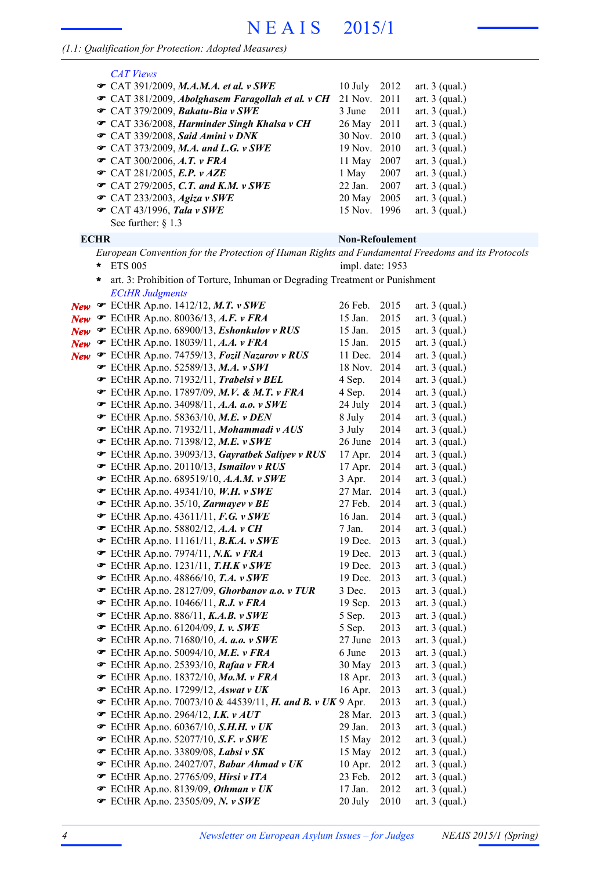### *(1.1: Qualification for Protection: Adopted Measures)*

|            | <b>CAT Views</b>                                                                                  |                        |      |                  |
|------------|---------------------------------------------------------------------------------------------------|------------------------|------|------------------|
|            | $\mathcal{F}$ CAT 391/2009, M.A.M.A. et al. v SWE                                                 | 10 July                | 2012 | art. $3$ (qual.) |
|            | CAT 381/2009, Abolghasem Faragollah et al. v CH                                                   | 21 Nov.                | 2011 | art. $3$ (qual.) |
|            | $\mathcal{F}$ CAT 379/2009, Bakatu-Bia v SWE                                                      | 3 June                 | 2011 | art. $3$ (qual.) |
|            | CAT 336/2008, Harminder Singh Khalsa v CH                                                         | 26 May                 | 2011 | art. $3$ (qual.) |
|            | CAT 339/2008, Said Amini v DNK                                                                    | 30 Nov.                | 2010 | art. $3$ (qual.) |
|            | $\mathcal{F}$ CAT 373/2009, M.A. and L.G. v SWE                                                   | 19 Nov. 2010           |      | art. $3$ (qual.) |
|            | $\bullet$ CAT 300/2006, A.T. v FRA                                                                | 11 May                 | 2007 | art. $3$ (qual.) |
|            | $\bullet$ CAT 281/2005, E.P. v AZE                                                                | 1 May                  | 2007 | art. $3$ (qual.) |
|            |                                                                                                   | 22 Jan.                | 2007 | art. $3$ (qual.) |
|            | $\mathcal{F}$ CAT 279/2005, C.T. and K.M. v SWE                                                   |                        | 2005 |                  |
|            | $\mathcal{F}$ CAT 233/2003, Agiza v SWE                                                           | 20 May                 |      | art. $3$ (qual.) |
|            | $\bullet$ CAT 43/1996, Tala v SWE                                                                 | 15 Nov. 1996           |      | art. $3$ (qual.) |
|            | See further: $\S$ 1.3                                                                             |                        |      |                  |
|            | <b>ECHR</b>                                                                                       | <b>Non-Refoulement</b> |      |                  |
|            | European Convention for the Protection of Human Rights and Fundamental Freedoms and its Protocols |                        |      |                  |
|            | <b>ETS 005</b><br>*                                                                               | impl. date: 1953       |      |                  |
|            | art. 3: Prohibition of Torture, Inhuman or Degrading Treatment or Punishment<br>*                 |                        |      |                  |
|            | <b>ECtHR Judgments</b>                                                                            |                        |      |                  |
|            | ECtHR Ap.no. 1412/12, M.T. v SWE                                                                  | 26 Feb.                |      |                  |
| <b>New</b> |                                                                                                   |                        | 2015 | art. $3$ (qual.) |
| <b>New</b> | $\bullet$ ECtHR Ap.no. 80036/13, A.F. v FRA                                                       | 15 Jan.                | 2015 | art. $3$ (qual.) |
| New        | ECtHR Ap.no. 68900/13, Eshonkulov v RUS                                                           | 15 Jan.                | 2015 | art. $3$ (qual.) |
|            | New $\bullet$ ECtHR Ap.no. 18039/11, A.A. v FRA                                                   | 15 Jan.                | 2015 | art. $3$ (qual.) |
| <b>New</b> | ECtHR Ap.no. 74759/13, Fozil Nazarov v RUS                                                        | 11 Dec.                | 2014 | art. $3$ (qual.) |
|            | <b>■</b> ECtHR Ap.no. 52589/13, M.A. v SWI                                                        | 18 Nov.                | 2014 | art. $3$ (qual.) |
|            | ECtHR Ap.no. 71932/11, Trabelsi v BEL                                                             | 4 Sep.                 | 2014 | art. $3$ (qual.) |
|            | <b>■</b> ECtHR Ap.no. 17897/09, M.V. & M.T. v FRA                                                 | 4 Sep.                 | 2014 | art. $3$ (qual.) |
|            | <b>■</b> ECtHR Ap.no. 34098/11, A.A. a.o. v SWE                                                   | 24 July                | 2014 | art. $3$ (qual.) |
|            | $\bullet$ ECtHR Ap.no. 58363/10, M.E. v DEN                                                       | 8 July                 | 2014 | art. $3$ (qual.) |
|            | · ECtHR Ap.no. 71932/11, Mohammadi v AUS                                                          | 3 July                 | 2014 | art. $3$ (qual.) |
|            | $\bullet$ ECtHR Ap.no. 71398/12, M.E. v SWE                                                       | 26 June                | 2014 | art. $3$ (qual.) |
|            | ECtHR Ap.no. 39093/13, Gayratbek Saliyev v RUS                                                    | 17 Apr.                | 2014 | art. $3$ (qual.) |
|            | ECtHR Ap.no. 20110/13, Ismailov v RUS                                                             | 17 Apr.                | 2014 | art. $3$ (qual.) |
|            | <b>■</b> ECtHR Ap.no. 689519/10, A.A.M. v SWE                                                     | 3 Apr.                 | 2014 | art. $3$ (qual.) |
|            | $\bullet$ ECtHR Ap.no. 49341/10, W.H. v SWE                                                       | 27 Mar.                | 2014 | art. $3$ (qual.) |
|            | ECtHR Ap.no. 35/10, Zarmayev v BE                                                                 | 27 Feb.                | 2014 | art. $3$ (qual.) |
|            | $\bullet$ ECtHR Ap.no. 43611/11, F.G. v SWE                                                       | 16 Jan.                | 2014 | art. $3$ (qual.) |
|            | <b>■</b> ECtHR Ap.no. 58802/12, A.A. v CH                                                         | 7 Jan.                 | 2014 | art. $3$ (qual.) |
|            | $\mathcal$ ECtHR Ap.no. 11161/11, <b>B.K.A.</b> v SWE                                             | 19 Dec.                | 2013 | art. $3$ (qual.) |
|            | $\mathcal$ ECtHR Ap.no. 7974/11, N.K. v FRA                                                       | 19 Dec.                | 2013 | art. $3$ (qual.) |
|            | $\bullet$ ECtHR Ap.no. 1231/11, T.H.K v SWE                                                       | 19 Dec.                | 2013 | art. $3$ (qual.) |
|            | $\bullet$ ECtHR Ap.no. 48866/10, T.A. v SWE                                                       | 19 Dec.                | 2013 | art. $3$ (qual.) |
|            | ECtHR Ap.no. 28127/09, Ghorbanov a.o. v TUR                                                       | 3 Dec.                 | 2013 | art. $3$ (qual.) |
|            | $\bullet$ ECtHR Ap.no. 10466/11, R.J. v FRA                                                       | 19 Sep.                | 2013 | art. $3$ (qual.) |
|            | $\mathcal$ ECtHR Ap.no. 886/11, K.A.B. v SWE                                                      | 5 Sep.                 | 2013 | art. $3$ (qual.) |
|            | $\bullet$ ECtHR Ap.no. 61204/09, I. v. SWE                                                        | 5 Sep.                 | 2013 | art. $3$ (qual.) |
|            |                                                                                                   | 27 June                | 2013 | art. $3$ (qual.) |
|            | $\mathcal$ ECtHR Ap.no. 50094/10, M.E. v FRA                                                      | 6 June                 | 2013 | art. $3$ (qual.) |
|            | $\mathcal F$ ECtHR Ap.no. 25393/10, Rafaa v FRA                                                   | 30 May                 | 2013 | art. $3$ (qual.) |
|            | <b>■</b> ECtHR Ap.no. 18372/10, Mo.M. v FRA                                                       | 18 Apr.                | 2013 | art. $3$ (qual.) |
|            | F ECtHR Ap.no. 17299/12, Aswat v UK                                                               | 16 Apr.                | 2013 | art. $3$ (qual.) |
|            |                                                                                                   |                        | 2013 |                  |
|            | <b>■</b> ECtHR Ap.no. 70073/10 & 44539/11, <i>H. and B. v UK</i> 9 Apr.                           |                        |      | art. $3$ (qual.) |
|            | $\bullet$ ECtHR Ap.no. 2964/12, I.K. $v$ AUT                                                      | 28 Mar.                | 2013 | art. $3$ (qual.) |
|            | $\mathcal$ ECtHR Ap.no. 60367/10, S.H.H. v UK                                                     | 29 Jan.                | 2013 | art. $3$ (qual.) |
|            | $\mathcal F$ ECtHR Ap.no. 52077/10, S.F. v SWE                                                    | 15 May                 | 2012 | art. $3$ (qual.) |
|            | ECtHR Ap.no. 33809/08, Labsi v SK                                                                 | 15 May                 | 2012 | art. $3$ (qual.) |
|            | ECtHR Ap.no. 24027/07, Babar Ahmad v UK                                                           | $10$ Apr.              | 2012 | art. $3$ (qual.) |
|            | ECtHR Ap.no. 27765/09, Hirsi v ITA                                                                | 23 Feb.                | 2012 | art. $3$ (qual.) |
|            | ECtHR Ap.no. 8139/09, Othman v UK                                                                 | 17 Jan.                | 2012 | art. $3$ (qual.) |
|            | <b>■</b> ECtHR Ap.no. 23505/09, N. v SWE                                                          | 20 July                | 2010 | art. $3$ (qual.) |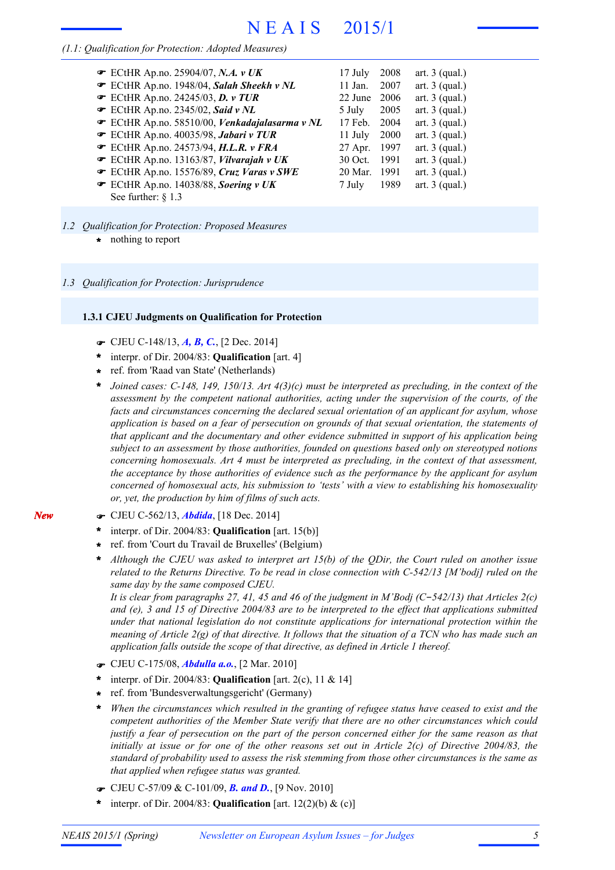### *(1.1: Qualification for Protection: Adopted Measures)*

| ECtHR Ap.no. 25904/07, N.A. v UK              | $17$ July | 2008   | art. $3$ (qual.) |
|-----------------------------------------------|-----------|--------|------------------|
| ECtHR Ap.no. 1948/04, Salah Sheekh v NL       | $11$ Jan. | 2007   | art. $3$ (qual.) |
| ECtHR Ap.no. 24245/03, D. v TUR               | 22 June   | 2006   | art. $3$ (qual.) |
| $\bullet$ ECtHR Ap.no. 2345/02, Said v NL     | 5 July    | 2005   | art. $3$ (qual.) |
| ECtHR Ap.no. 58510/00, Venkadajalasarma v NL  | 17 Feb.   | 2004   | art. $3$ (qual.) |
| ECtHR Ap.no. 40035/98, Jabari v TUR           | 11 July   | 2000   | art. $3$ (qual.) |
| ECtHR Ap.no. 24573/94, H.L.R. v FRA           | 27 Apr.   | 1997   | art. $3$ (qual.) |
| ECtHR Ap.no. 13163/87, Vilvarajah v UK        | 30 Oct.   | - 1991 | art. $3$ (qual.) |
| ECtHR Ap.no. 15576/89, Cruz Varas v SWE       | 20 Mar.   | - 1991 | art. $3$ (qual.) |
| $\bullet$ ECtHR Ap.no. 14038/88, Soering v UK | 7 July    | 1989   | art. $3$ (qual.) |
| See further: $\S$ 1.3                         |           |        |                  |

- *1.2 Qualification for Protection: Proposed Measures*
	- **\*** nothing to report

#### *1.3 Qualification for Protection: Jurisprudence*

#### **1.3.1 CJEU Judgments on Qualification for Protection**

- F CJEU C-148/13, *A, B, C.*, [2 Dec. 2014]
- interpr. of Dir. 2004/83: **Qualification** [art. 4] **\***
- ref. from 'Raad van State' (Netherlands) **\***
- *Joined cases: C-148, 149, 150/13. Art 4(3)(c) must be interpreted as precluding, in the context of the assessment by the competent national authorities, acting under the supervision of the courts, of the facts and circumstances concerning the declared sexual orientation of an applicant for asylum, whose application is based on a fear of persecution on grounds of that sexual orientation, the statements of that applicant and the documentary and other evidence submitted in support of his application being subject to an assessment by those authorities, founded on questions based only on stereotyped notions concerning homosexuals. Art 4 must be interpreted as precluding, in the context of that assessment, the acceptance by those authorities of evidence such as the performance by the applicant for asylum concerned of homosexual acts, his submission to 'tests' with a view to establishing his homosexuality or, yet, the production by him of films of such acts.* **\***
- F CJEU C-562/13, *Abdida*, [18 Dec. 2014]

*New*

- interpr. of Dir. 2004/83: **Qualification** [art. 15(b)] **\***
- ref. from 'Court du Travail de Bruxelles' (Belgium) **\***
- *Although the CJEU was asked to interpret art 15(b) of the QDir, the Court ruled on another issue related to the Returns Directive. To be read in close connection with C-542/13 [M'bodj] ruled on the same day by the same composed CJEU.* **\***

It is clear from paragraphs 27, 41, 45 and 46 of the judgment in M'Bodj (C-542/13) that Articles  $2(c)$ and (e), 3 and 15 of Directive  $2004/83$  are to be interpreted to the effect that applications submitted *under that national legislation do not constitute applications for international protection within the* meaning of Article  $2(g)$  of that directive. It follows that the situation of a TCN who has made such an *application falls outside the scope of that directive, as defined in Article 1 thereof.*

- F CJEU C-175/08, *Abdulla a.o.*, [2 Mar. 2010]
- interpr. of Dir. 2004/83: **Qualification** [art. 2(c), 11 & 14] **\***
- ref. from 'Bundesverwaltungsgericht' (Germany) **\***
- *When the circumstances which resulted in the granting of refugee status have ceased to exist and the competent authorities of the Member State verify that there are no other circumstances which could* justify a fear of persecution on the part of the person concerned either for the same reason as that initially at issue or for one of the other reasons set out in Article  $2(c)$  of Directive 2004/83, the *standard of probability used to assess the risk stemming from those other circumstances is the same as that applied when refugee status was granted.* **\***
- F CJEU C-57/09 & C-101/09, *B. and D.*, [9 Nov. 2010]
- interpr. of Dir. 2004/83: **Qualification** [art. 12(2)(b) & (c)] **\***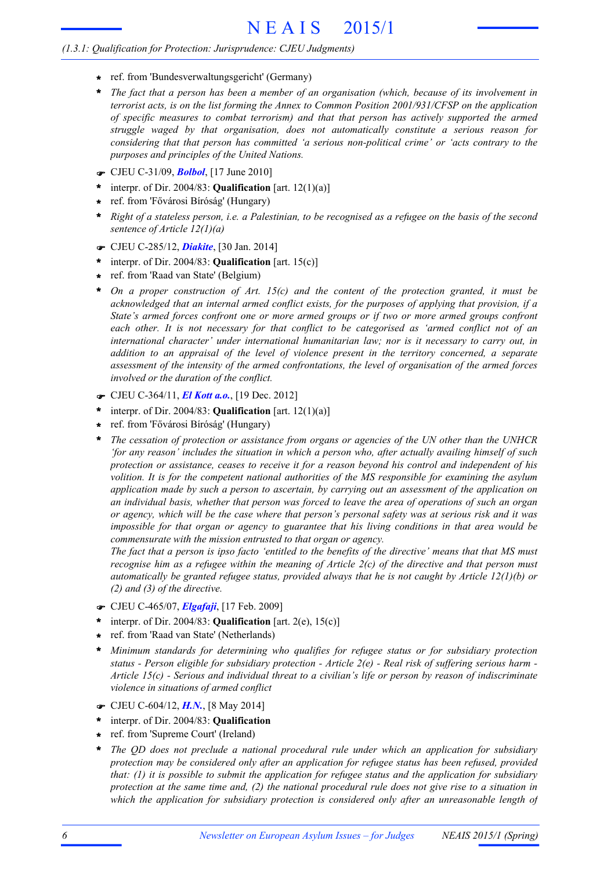- **\*** ref. from 'Bundesverwaltungsgericht' (Germany)
- *The fact that a person has been a member of an organisation (which, because of its involvement in terrorist acts, is on the list forming the Annex to Common Position 2001/931/CFSP on the application of specific measures to combat terrorism) and that that person has actively supported the armed struggle waged by that organisation, does not automatically constitute a serious reason for considering that that person has committed 'a serious non-political crime' or 'acts contrary to the purposes and principles of the United Nations.* **\***
- F CJEU C-31/09, *Bolbol*, [17 June 2010]
- interpr. of Dir. 2004/83: **Qualification** [art. 12(1)(a)] **\***
- ref. from 'Fővárosi Bíróság' (Hungary) **\***
- Right of a stateless person, i.e. a Palestinian, to be recognised as a refugee on the basis of the second *sentence of Article 12(1)(a)* **\***
- F CJEU C-285/12, *Diakite*, [30 Jan. 2014]
- interpr. of Dir. 2004/83: **Qualification** [art. 15(c)] **\***
- ref. from 'Raad van State' (Belgium) **\***
- *On a proper construction of Art. 15(c) and the content of the protection granted, it must be acknowledged that an internal armed conflict exists, for the purposes of applying that provision, if a State's armed forces confront one or more armed groups or if two or more armed groups confront each other. It is not necessary for that conflict to be categorised as 'armed conflict not of an international character' under international humanitarian law; nor is it necessary to carry out, in addition to an appraisal of the level of violence present in the territory concerned, a separate assessment of the intensity of the armed confrontations, the level of organisation of the armed forces involved or the duration of the conflict.* **\***
- F CJEU C-364/11, *El Kott a.o.*, [19 Dec. 2012]
- interpr. of Dir. 2004/83: **Qualification** [art. 12(1)(a)] **\***
- ref. from 'Fővárosi Bíróság' (Hungary) **\***
- *The cessation of protection or assistance from organs or agencies of the UN other than the UNHCR 'for any reason' includes the situation in which a person who, after actually availing himself of such protection or assistance, ceases to receive it for a reason beyond his control and independent of his volition. It is for the competent national authorities of the MS responsible for examining the asylum application made by such a person to ascertain, by carrying out an assessment of the application on* an individual basis, whether that person was forced to leave the area of operations of such an organ or agency, which will be the case where that person's personal safety was at serious risk and it was *impossible for that organ or agency to guarantee that his living conditions in that area would be commensurate with the mission entrusted to that organ or agency.* **\***

The fact that a person is ipso facto 'entitled to the benefits of the directive' means that that MS must recognise him as a refugee within the meaning of Article  $2(c)$  of the directive and that person must *automatically be granted refugee status, provided always that he is not caught by Article 12(1)(b) or (2) and (3) of the directive.*

- F CJEU C-465/07, *Elgafaji*, [17 Feb. 2009]
- interpr. of Dir. 2004/83: **Qualification** [art. 2(e), 15(c)] **\***
- ref. from 'Raad van State' (Netherlands) **\***
- *Minimum standards for determining who qualifies for refugee status or for subsidiary protection* status - Person eligible for subsidiary protection - Article  $2(e)$  - Real risk of suffering serious harm -*Article 15(c) - Serious and individual threat to a civilian's life or person by reason of indiscriminate violence in situations of armed conflict* **\***
- F CJEU C-604/12, *H.N.*, [8 May 2014]
- interpr. of Dir. 2004/83: **Qualification \***
- ref. from 'Supreme Court' (Ireland) **\***
- *The QD does not preclude a national procedural rule under which an application for subsidiary protection may be considered only after an application for refugee status has been refused, provided that: (1) it is possible to submit the application for refugee status and the application for subsidiary* protection at the same time and, (2) the national procedural rule does not give rise to a situation in *which the application for subsidiary protection is considered only after an unreasonable length of* **\***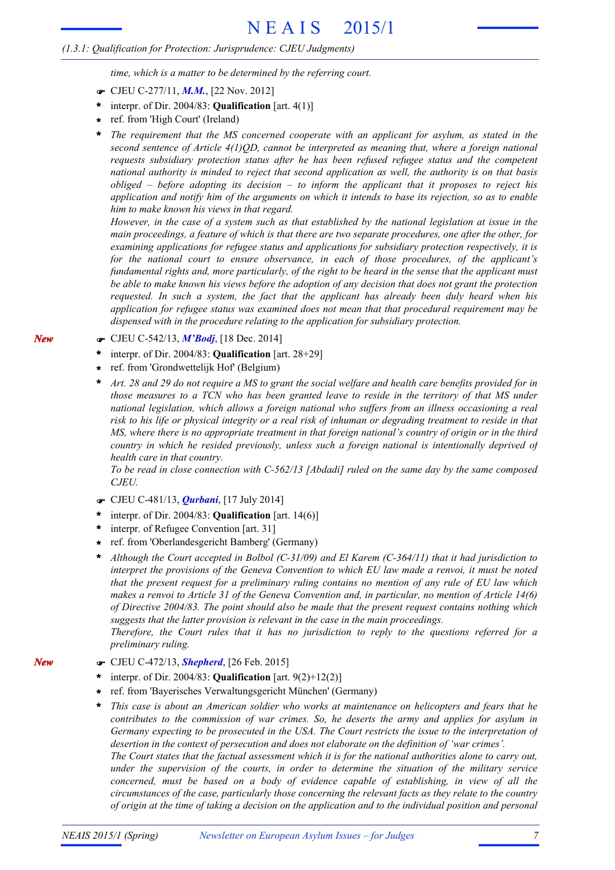*time, which is a matter to be determined by the referring court.*

- F CJEU C-277/11, *M.M.*, [22 Nov. 2012]
- interpr. of Dir. 2004/83: **Qualification** [art. 4(1)] **\***
- ref. from 'High Court' (Ireland) **\***
- *The requirement that the MS concerned cooperate with an applicant for asylum, as stated in the second sentence of Article 4(1)QD, cannot be interpreted as meaning that, where a foreign national requests subsidiary protection status after he has been refused refugee status and the competent national authority is minded to reject that second application as well, the authority is on that basis obliged – before adopting its decision – to inform the applicant that it proposes to reject his* application and notify him of the arguments on which it intends to base its rejection, so as to enable *him to make known his views in that regard.* **\***

However, in the case of a system such as that established by the national legislation at issue in the main proceedings, a feature of which is that there are two separate procedures, one after the other, for *examining applications for refugee status and applications for subsidiary protection respectively, it is for the national court to ensure observance, in each of those procedures, of the applicant's* fundamental rights and, more particularly, of the right to be heard in the sense that the applicant must be able to make known his views before the adoption of any decision that does not grant the protection *requested. In such a system, the fact that the applicant has already been duly heard when his application for refugee status was examined does not mean that that procedural requirement may be dispensed with in the procedure relating to the application for subsidiary protection.*

F CJEU C-542/13, *M'Bodj*, [18 Dec. 2014]

*New*

*New*

- interpr. of Dir. 2004/83: **Qualification** [art. 28+29] **\***
- ref. from 'Grondwettelijk Hof' (Belgium) **\***
- Art. 28 and 29 do not require a MS to grant the social welfare and health care benefits provided for in those measures to a TCN who has been granted leave to reside in the territory of that MS under *national legislation, which allows a foreign national who suffers from an illness occasioning a real* risk to his life or physical integrity or a real risk of inhuman or degrading treatment to reside in that MS, where there is no appropriate treatment in that foreign national's country of origin or in the third *country in which he resided previously, unless such a foreign national is intentionally deprived of health care in that country.* **\***

*To be read in close connection with C-562/13 [Abdadi] ruled on the same day by the same composed CJEU.*

- F CJEU C-481/13, *Qurbani*, [17 July 2014]
- interpr. of Dir. 2004/83: **Qualification** [art. 14(6)] **\***
- interpr. of Refugee Convention [art. 31] **\***
- ref. from 'Oberlandesgericht Bamberg' (Germany) **\***

*Although the Court accepted in Bolbol (C-31/09) and El Karem (C-364/11) that it had jurisdiction to interpret the provisions of the Geneva Convention to which EU law made a renvoi, it must be noted that the present request for a preliminary ruling contains no mention of any rule of EU law which* makes a renvoi to Article 31 of the Geneva Convention and, in particular, no mention of Article 14(6) *of Directive 2004/83. The point should also be made that the present request contains nothing which suggests that the latter provision is relevant in the case in the main proceedings.* **\***

*Therefore, the Court rules that it has no jurisdiction to reply to the questions referred for a preliminary ruling.*

- F CJEU C-472/13, *Shepherd*, [26 Feb. 2015]
- interpr. of Dir. 2004/83: **Qualification** [art. 9(2)+12(2)] **\***
- ref. from 'Bayerisches Verwaltungsgericht München' (Germany) **\***
- *This case is about an American soldier who works at maintenance on helicopters and fears that he contributes to the commission of war crimes. So, he deserts the army and applies for asylum in Germany expecting to be prosecuted in the USA. The Court restricts the issue to the interpretation of desertion in the context of persecution and does not elaborate on the definition of 'war crimes'.* The Court states that the factual assessment which it is for the national authorities alone to carry out, **\***

*under the supervision of the courts, in order to determine the situation of the military service concerned, must be based on a body of evidence capable of establishing, in view of all the circumstances of the case, particularly those concerning the relevant facts as they relate to the country* of origin at the time of taking a decision on the application and to the individual position and personal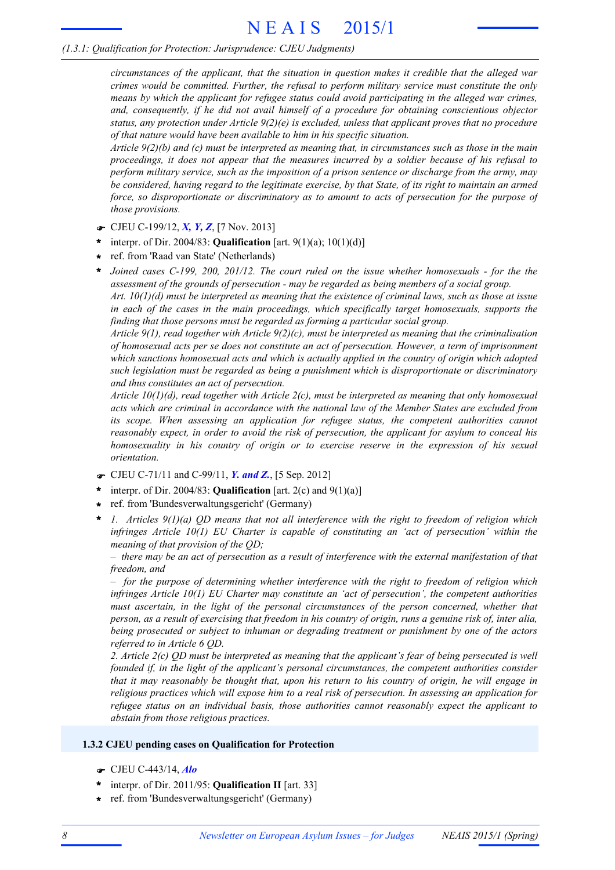*circumstances of the applicant, that the situation in question makes it credible that the alleged war crimes would be committed. Further, the refusal to perform military service must constitute the only means by which the applicant for refugee status could avoid participating in the alleged war crimes, and, consequently, if he did not avail himself of a procedure for obtaining conscientious objector status, any protection under Article 9(2)(e) is excluded, unless that applicant proves that no procedure of that nature would have been available to him in his specific situation.*

Article  $9(2)(b)$  and (c) must be interpreted as meaning that, in circumstances such as those in the main *proceedings, it does not appear that the measures incurred by a soldier because of his refusal to perform military service, such as the imposition of a prison sentence or discharge from the army, may* be considered, having regard to the legitimate exercise, by that State, of its right to maintain an armed *force, so disproportionate or discriminatory as to amount to acts of persecution for the purpose of those provisions.*

- F CJEU C-199/12, *X, Y, Z*, [7 Nov. 2013]
- interpr. of Dir. 2004/83: **Qualification** [art. 9(1)(a); 10(1)(d)] **\***
- ref. from 'Raad van State' (Netherlands) **\***

*Joined cases C-199, 200, 201/12. The court ruled on the issue whether homosexuals - for the the assessment of the grounds of persecution - may be regarded as being members of a social group.* **\***

Art.  $10(1)(d)$  must be interpreted as meaning that the existence of criminal laws, such as those at issue *in each of the cases in the main proceedings, which specifically target homosexuals, supports the finding that those persons must be regarded as forming a particular social group.*

*Article 9(1), read together with Article 9(2)(c), must be interpreted as meaning that the criminalisation of homosexual acts per se does not constitute an act of persecution. However, a term of imprisonment which sanctions homosexual acts and which is actually applied in the country of origin which adopted such legislation must be regarded as being a punishment which is disproportionate or discriminatory and thus constitutes an act of persecution.*

*Article 10(1)(d), read together with Article 2(c), must be interpreted as meaning that only homosexual acts which are criminal in accordance with the national law of the Member States are excluded from its scope. When assessing an application for refugee status, the competent authorities cannot reasonably expect, in order to avoid the risk of persecution, the applicant for asylum to conceal his homosexuality in his country of origin or to exercise reserve in the expression of his sexual orientation.*

- F CJEU C-71/11 and C-99/11, *Y. and Z.*, [5 Sep. 2012]
- interpr. of Dir. 2004/83: **Qualification** [art. 2(c) and 9(1)(a)] **\***
- ref. from 'Bundesverwaltungsgericht' (Germany) **\***
- *1. Articles 9(1)(a) QD means that not all interference with the right to freedom of religion which infringes Article 10(1) EU Charter is capable of constituting an 'act of persecution' within the meaning of that provision of the QD;* **\***

 $-$  there may be an act of persecution as a result of interference with the external manifestation of that *freedom, and*

*– for the purpose of determining whether interference with the right to freedom of religion which infringes Article 10(1) EU Charter may constitute an 'act of persecution', the competent authorities must ascertain, in the light of the personal circumstances of the person concerned, whether that* person, as a result of exercising that freedom in his country of origin, runs a genuine risk of, inter alia, *being prosecuted or subject to inhuman or degrading treatment or punishment by one of the actors referred to in Article 6 QD.*

2. Article  $2(c)$  OD must be interpreted as meaning that the applicant's fear of being persecuted is well *founded if, in the light of the applicant's personal circumstances, the competent authorities consider* that it may reasonably be thought that, upon his return to his country of origin, he will engage in *religious practices which will expose him to a real risk of persecution. In assessing an application for refugee status on an individual basis, those authorities cannot reasonably expect the applicant to abstain from those religious practices.*

#### **1.3.2 CJEU pending cases on Qualification for Protection**

- F CJEU C-443/14, *Alo*
- \* interpr. of Dir. 2011/95: **Qualification II** [art. 33]
- ref. from 'Bundesverwaltungsgericht' (Germany) **\***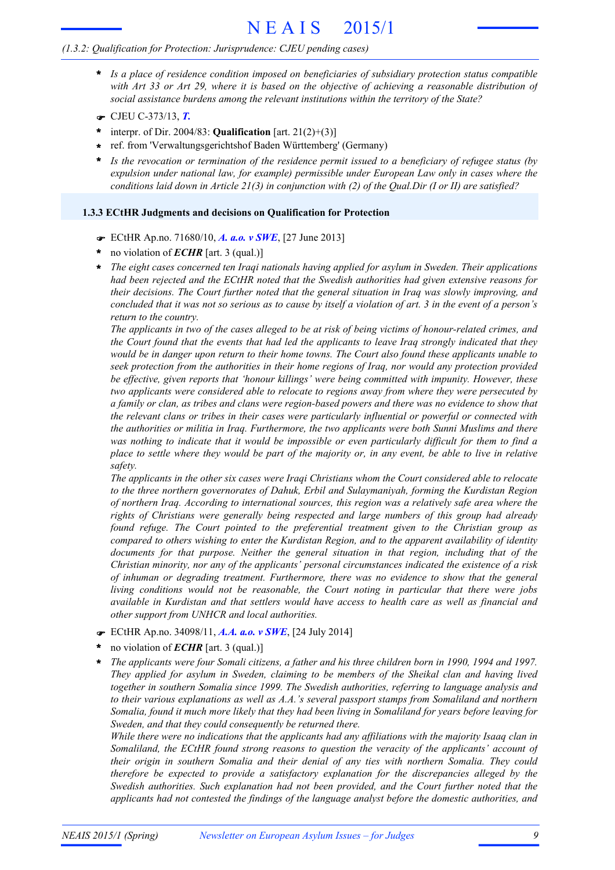#### *(1.3.2: Qualification for Protection: Jurisprudence: CJEU pending cases)*

- *Is a place of residence condition imposed on beneficiaries of subsidiary protection status compatible* **\*** with Art 33 or Art 29, where it is based on the objective of achieving a reasonable distribution of *social assistance burdens among the relevant institutions within the territory of the State?*
- F CJEU C-373/13, *T.*
- interpr. of Dir. 2004/83: **Qualification** [art. 21(2)+(3)] **\***
- ref. from 'Verwaltungsgerichtshof Baden Württemberg' (Germany) **\***
- *Is the revocation or termination of the residence permit issued to a beneficiary of refugee status (by expulsion under national law, for example) permissible under European Law only in cases where the conditions laid down in Article 21(3) in conjunction with (2) of the Qual.Dir (I or II) are satisfied?* **\***

#### **1.3.3 ECtHR Judgments and decisions on Qualification for Protection**

- F ECtHR Ap.no. 71680/10, *A. a.o. v SWE*, [27 June 2013]
- no violation of *ECHR* [art. 3 (qual.)] **\***
- *The eight cases concerned ten Iraqi nationals having applied for asylum in Sweden. Their applications had been rejected and the ECtHR noted that the Swedish authorities had given extensive reasons for their decisions. The Court further noted that the general situation in Iraq was slowly improving, and* concluded that it was not so serious as to cause by itself a violation of art. 3 in the event of a person's *return to the country.* **\***

The applicants in two of the cases alleged to be at risk of being victims of honour-related crimes, and the Court found that the events that had led the applicants to leave Iraq strongly indicated that they would be in danger upon return to their home towns. The Court also found these applicants unable to *seek protection from the authorities in their home regions of Iraq, nor would any protection provided be effective, given reports that 'honour killings' were being committed with impunity. However, these two applicants were considered able to relocate to regions away from where they were persecuted by* a family or clan, as tribes and clans were region-based powers and there was no evidence to show that *the relevant clans or tribes in their cases were particularly influential or powerful or connected with the authorities or militia in Iraq. Furthermore, the two applicants were both Sunni Muslims and there* was nothing to indicate that it would be impossible or even particularly difficult for them to find a place to settle where they would be part of the majority or, in any event, be able to live in relative *safety.*

*The applicants in the other six cases were Iraqi Christians whom the Court considered able to relocate to the three northern governorates of Dahuk, Erbil and Sulaymaniyah, forming the Kurdistan Region of northern Iraq. According to international sources, this region was a relatively safe area where the rights of Christians were generally being respected and large numbers of this group had already found refuge. The Court pointed to the preferential treatment given to the Christian group as compared to others wishing to enter the Kurdistan Region, and to the apparent availability of identity documents for that purpose. Neither the general situation in that region, including that of the Christian minority, nor any of the applicants' personal circumstances indicated the existence of a risk of inhuman or degrading treatment. Furthermore, there was no evidence to show that the general living conditions would not be reasonable, the Court noting in particular that there were jobs available in Kurdistan and that settlers would have access to health care as well as financial and other support from UNHCR and local authorities.*

- F ECtHR Ap.no. 34098/11, *A.A. a.o. v SWE*, [24 July 2014]
- no violation of *ECHR* [art. 3 (qual.)] **\***
- The applicants were four Somali citizens, a father and his three children born in 1990, 1994 and 1997. *They applied for asylum in Sweden, claiming to be members of the Sheikal clan and having lived together in southern Somalia since 1999. The Swedish authorities, referring to language analysis and to their various explanations as well as A.A.'s several passport stamps from Somaliland and northern* Somalia, found it much more likely that they had been living in Somaliland for years before leaving for *Sweden, and that they could consequently be returned there.* **\***

*While there were no indications that the applicants had any affiliations with the majority Isaaq clan in Somaliland, the ECtHR found strong reasons to question the veracity of the applicants' account of their origin in southern Somalia and their denial of any ties with northern Somalia. They could therefore be expected to provide a satisfactory explanation for the discrepancies alleged by the Swedish authorities. Such explanation had not been provided, and the Court further noted that the applicants had not contested the findings of the language analyst before the domestic authorities, and*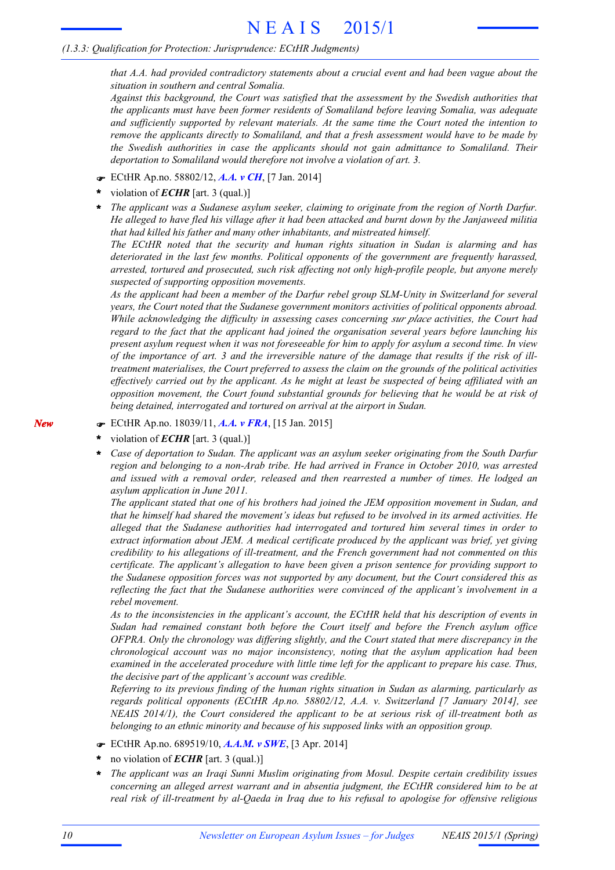*that A.A. had provided contradictory statements about a crucial event and had been vague about the situation in southern and central Somalia.*

*Against this background, the Court was satisfied that the assessment by the Swedish authorities that the applicants must have been former residents of Somaliland before leaving Somalia, was adequate and sufficiently supported by relevant materials. At the same time the Court noted the intention to remove the applicants directly to Somaliland, and that a fresh assessment would have to be made by the Swedish authorities in case the applicants should not gain admittance to Somaliland. Their deportation to Somaliland would therefore not involve a violation of art. 3.*

- F ECtHR Ap.no. 58802/12, *A.A. v CH*, [7 Jan. 2014]
- violation of *ECHR* [art. 3 (qual.)] **\***
- *The applicant was a Sudanese asylum seeker, claiming to originate from the region of North Darfur.* He alleged to have fled his village after it had been attacked and burnt down by the Janjaweed militia *that had killed his father and many other inhabitants, and mistreated himself.* **\***

*The ECtHR noted that the security and human rights situation in Sudan is alarming and has deteriorated in the last few months. Political opponents of the government are frequently harassed, arrested, tortured and prosecuted, such risk affecting not only high-profile people, but anyone merely suspected of supporting opposition movements.*

*As the applicant had been a member of the Darfur rebel group SLM-Unity in Switzerland for several years, the Court noted that the Sudanese government monitors activities of political opponents abroad. While acknowledging the difficulty in assessing cases concerning sur place activities, the Court had regard to the fact that the applicant had joined the organisation several years before launching his* present asylum request when it was not foreseeable for him to apply for asylum a second time. In view of the importance of art. 3 and the irreversible nature of the damage that results if the risk of ill*treatment materialises, the Court preferred to assess the claim on the grounds of the political activities* effectively carried out by the applicant. As he might at least be suspected of being affiliated with an *opposition movement, the Court found substantial grounds for believing that he would be at risk of being detained, interrogated and tortured on arrival at the airport in Sudan.*

- F ECtHR Ap.no. 18039/11, *A.A. v FRA*, [15 Jan. 2015]
- violation of *ECHR* [art. 3 (qual.)] **\***
- *Case of deportation to Sudan. The applicant was an asylum seeker originating from the South Darfur region and belonging to a non-Arab tribe. He had arrived in France in October 2010, was arrested and issued with a removal order, released and then rearrested a number of times. He lodged an asylum application in June 2011.* **\***

*The applicant stated that one of his brothers had joined the JEM opposition movement in Sudan, and* that he himself had shared the movement's ideas but refused to be involved in its armed activities. He *alleged that the Sudanese authorities had interrogated and tortured him several times in order to extract information about JEM. A medical certificate produced by the applicant was brief, yet giving credibility to his allegations of ill-treatment, and the French government had not commented on this certificate. The applicant's allegation to have been given a prison sentence for providing support to the Sudanese opposition forces was not supported by any document, but the Court considered this as reflecting the fact that the Sudanese authorities were convinced of the applicant's involvement in a rebel movement.*

*As to the inconsistencies in the applicant's account, the ECtHR held that his description of events in Sudan had remained constant both before the Court itself and before the French asylum office OFPRA. Only the chronology was differing slightly, and the Court stated that mere discrepancy in the chronological account was no major inconsistency, noting that the asylum application had been examined in the accelerated procedure with little time left for the applicant to prepare his case. Thus, the decisive part of the applicant's account was credible.*

*Referring to its previous finding of the human rights situation in Sudan as alarming, particularly as regards political opponents (ECtHR Ap.no. 58802/12, A.A. v. Switzerland [7 January 2014], see NEAIS 2014/1), the Court considered the applicant to be at serious risk of ill-treatment both as belonging to an ethnic minority and because of his supposed links with an opposition group.*

- F ECtHR Ap.no. 689519/10, *A.A.M. v SWE*, [3 Apr. 2014]
- no violation of *ECHR* [art. 3 (qual.)] **\***
- *The applicant was an Iraqi Sunni Muslim originating from Mosul. Despite certain credibility issues concerning an alleged arrest warrant and in absentia judgment, the ECtHR considered him to be at real risk of ill-treatment by al-Qaeda in Iraq due to his refusal to apologise for offensive religious* **\***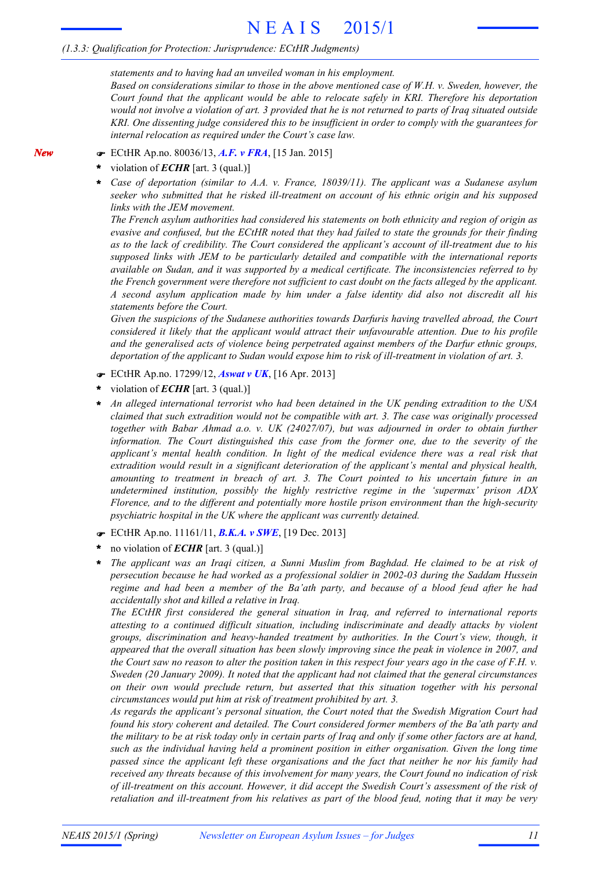#### *(1.3.3: Qualification for Protection: Jurisprudence: ECtHR Judgments)*

*statements and to having had an unveiled woman in his employment.*

*Based on considerations similar to those in the above mentioned case of W.H. v. Sweden, however, the Court found that the applicant would be able to relocate safely in KRI. Therefore his deportation* would not involve a violation of art. 3 provided that he is not returned to parts of Iraq situated outside *KRI. One dissenting judge considered this to be insufficient in order to comply with the guarantees for internal relocation as required under the Court's case law.*

- F ECtHR Ap.no. 80036/13, *A.F. v FRA*, [15 Jan. 2015]
- violation of *ECHR* [art. 3 (qual.)] **\***
- *Case of deportation (similar to A.A. v. France, 18039/11). The applicant was a Sudanese asylum seeker who submitted that he risked ill-treatment on account of his ethnic origin and his supposed links with the JEM movement.* **\***

*The French asylum authorities had considered his statements on both ethnicity and region of origin as* evasive and confused, but the ECtHR noted that they had failed to state the grounds for their finding *as to the lack of credibility. The Court considered the applicant's account of ill-treatment due to his supposed links with JEM to be particularly detailed and compatible with the international reports available on Sudan, and it was supported by a medical certificate. The inconsistencies referred to by the French government were therefore not sufficient to cast doubt on the facts alleged by the applicant. A second asylum application made by him under a false identity did also not discredit all his statements before the Court.*

*Given the suspicions of the Sudanese authorities towards Darfuris having travelled abroad, the Court considered it likely that the applicant would attract their unfavourable attention. Due to his profile and the generalised acts of violence being perpetrated against members of the Darfur ethnic groups, deportation of the applicant to Sudan would expose him to risk of ill-treatment in violation of art. 3.*

- F ECtHR Ap.no. 17299/12, *Aswat v UK*, [16 Apr. 2013]
- violation of *ECHR* [art. 3 (qual.)] **\***
- *An alleged international terrorist who had been detained in the UK pending extradition to the USA claimed that such extradition would not be compatible with art. 3. The case was originally processed together with Babar Ahmad a.o. v. UK (24027/07), but was adjourned in order to obtain further information. The Court distinguished this case from the former one, due to the severity of the applicant's mental health condition. In light of the medical evidence there was a real risk that extradition would result in a significant deterioration of the applicant's mental and physical health, amounting to treatment in breach of art. 3. The Court pointed to his uncertain future in an undetermined institution, possibly the highly restrictive regime in the 'supermax' prison ADX Florence, and to the different and potentially more hostile prison environment than the high-security psychiatric hospital in the UK where the applicant was currently detained.* **\***
- F ECtHR Ap.no. 11161/11, *B.K.A. v SWE*, [19 Dec. 2013]
- no violation of *ECHR* [art. 3 (qual.)] **\***
- *The applicant was an Iraqi citizen, a Sunni Muslim from Baghdad. He claimed to be at risk of persecution because he had worked as a professional soldier in 2002-03 during the Saddam Hussein regime and had been a member of the Ba'ath party, and because of a blood feud after he had accidentally shot and killed a relative in Iraq.* **\***

*The ECtHR first considered the general situation in Iraq, and referred to international reports attesting to a continued difficult situation, including indiscriminate and deadly attacks by violent groups, discrimination and heavy-handed treatment by authorities. In the Court's view, though, it appeared that the overall situation has been slowly improving since the peak in violence in 2007, and* the Court saw no reason to alter the position taken in this respect four years ago in the case of  $F.H.$   $v.$ *Sweden (20 January 2009). It noted that the applicant had not claimed that the general circumstances on their own would preclude return, but asserted that this situation together with his personal circumstances would put him at risk of treatment prohibited by art. 3.*

*As regards the applicant's personal situation, the Court noted that the Swedish Migration Court had found his story coherent and detailed. The Court considered former members of the Ba'ath party and* the military to be at risk today only in certain parts of Iraq and only if some other factors are at hand, *such as the individual having held a prominent position in either organisation. Given the long time passed since the applicant left these organisations and the fact that neither he nor his family had received any threats because of this involvement for many years, the Court found no indication of risk of ill-treatment on this account. However, it did accept the Swedish Court's assessment of the risk of* retaliation and ill-treatment from his relatives as part of the blood feud, noting that it may be very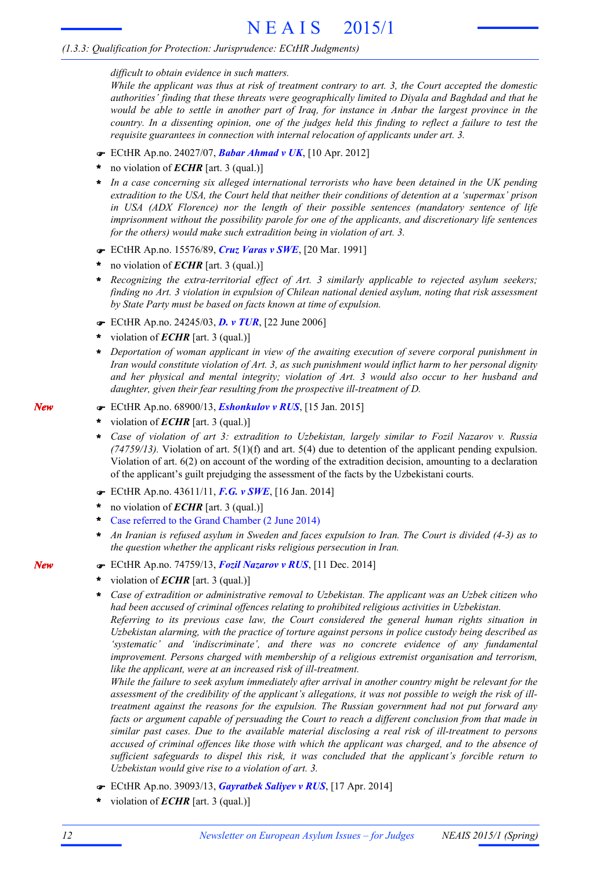*difficult to obtain evidence in such matters.*

While the applicant was thus at risk of treatment contrary to art. 3, the Court accepted the domestic *authorities' finding that these threats were geographically limited to Diyala and Baghdad and that he* would be able to settle in another part of Iraq, for instance in Anbar the largest province in the country. In a dissenting opinion, one of the judges held this finding to reflect a failure to test the *requisite guarantees in connection with internal relocation of applicants under art. 3.*

- F ECtHR Ap.no. 24027/07, *Babar Ahmad v UK*, [10 Apr. 2012]
- no violation of *ECHR* [art. 3 (qual.)] **\***
- *In a case concerning six alleged international terrorists who have been detained in the UK pending extradition to the USA, the Court held that neither their conditions of detention at a 'supermax' prison in USA (ADX Florence) nor the length of their possible sentences (mandatory sentence of life imprisonment without the possibility parole for one of the applicants, and discretionary life sentences for the others) would make such extradition being in violation of art. 3.* **\***
- F ECtHR Ap.no. 15576/89, *Cruz Varas v SWE*, [20 Mar. 1991]
- no violation of *ECHR* [art. 3 (qual.)] **\***
- *Recognizing the extra-territorial effect of Art. 3 similarly applicable to rejected asylum seekers; finding no Art. 3 violation in expulsion of Chilean national denied asylum, noting that risk assessment by State Party must be based on facts known at time of expulsion.* **\***
- F ECtHR Ap.no. 24245/03, *D. v TUR*, [22 June 2006]
- violation of *ECHR* [art. 3 (qual.)] **\***
- *Deportation of woman applicant in view of the awaiting execution of severe corporal punishment in* **\*** *Iran would constitute violation of Art. 3, as such punishment would inflict harm to her personal dignity and her physical and mental integrity; violation of Art. 3 would also occur to her husband and daughter, given their fear resulting from the prospective ill-treatment of D.*
- F ECtHR Ap.no. 68900/13, *Eshonkulov v RUS*, [15 Jan. 2015]
- violation of *ECHR* [art. 3 (qual.)] **\***
- *Case of violation of art 3: extradition to Uzbekistan, largely similar to Fozil Nazarov v. Russia (74759/13).* Violation of art. 5(1)(f) and art. 5(4) due to detention of the applicant pending expulsion. Violation of art. 6(2) on account of the wording of the extradition decision, amounting to a declaration of the applicant's guilt prejudging the assessment of the facts by the Uzbekistani courts. **\***
- F ECtHR Ap.no. 43611/11, *F.G. v SWE*, [16 Jan. 2014]
- no violation of *ECHR* [art. 3 (qual.)] **\***
- Case referred to the Grand Chamber (2 June 2014) **\***
- An Iranian is refused asylum in Sweden and faces expulsion to Iran. The Court is divided (4-3) as to *the question whether the applicant risks religious persecution in Iran.* **\***
- F ECtHR Ap.no. 74759/13, *Fozil Nazarov v RUS*, [11 Dec. 2014]
- violation of *ECHR* [art. 3 (qual.)] **\***
- *Case of extradition or administrative removal to Uzbekistan. The applicant was an Uzbek citizen who had been accused of criminal offences relating to prohibited religious activities in Uzbekistan.* **\***

*Referring to its previous case law, the Court considered the general human rights situation in Uzbekistan alarming, with the practice of torture against persons in police custody being described as 'systematic' and 'indiscriminate', and there was no concrete evidence of any fundamental improvement. Persons charged with membership of a religious extremist organisation and terrorism, like the applicant, were at an increased risk of ill-treatment.*

*While the failure to seek asylum immediately after arrival in another country might be relevant for the* assessment of the credibility of the applicant's allegations, it was not possible to weigh the risk of ill*treatment against the reasons for the expulsion. The Russian government had not put forward any facts or argument capable of persuading the Court to reach a different conclusion from that made in similar past cases. Due to the available material disclosing a real risk of ill-treatment to persons accused of criminal offences like those with which the applicant was charged, and to the absence of sufficient safeguards to dispel this risk, it was concluded that the applicant's forcible return to Uzbekistan would give rise to a violation of art. 3.*

- F ECtHR Ap.no. 39093/13, *Gayratbek Saliyev v RUS*, [17 Apr. 2014]
- violation of *ECHR* [art. 3 (qual.)] **\***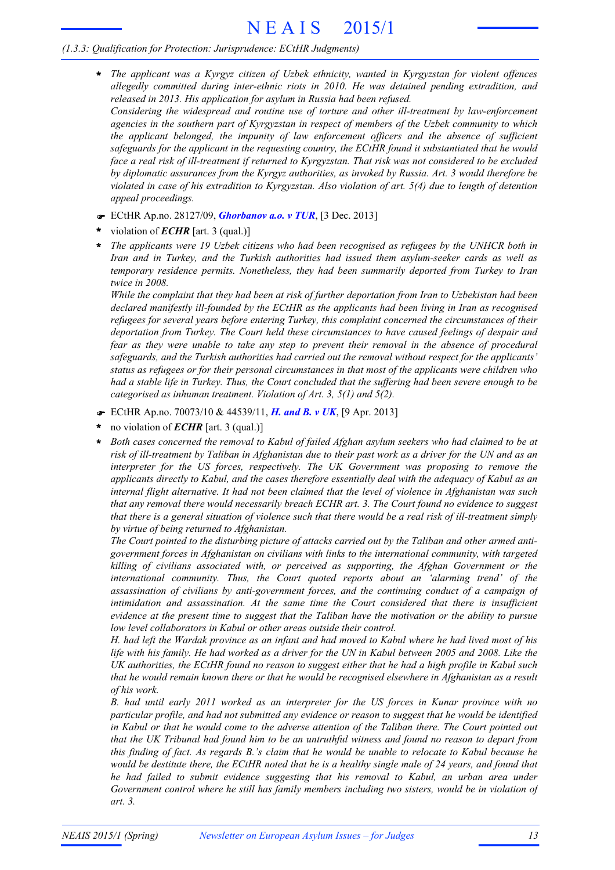*The applicant was a Kyrgyz citizen of Uzbek ethnicity, wanted in Kyrgyzstan for violent offences* **\*** *allegedly committed during inter-ethnic riots in 2010. He was detained pending extradition, and released in 2013. His application for asylum in Russia had been refused. Considering the widespread and routine use of torture and other ill-treatment by law-enforcement*

*agencies in the southern part of Kyrgyzstan in respect of members of the Uzbek community to which the applicant belonged, the impunity of law enforcement officers and the absence of sufficient safeguards for the applicant in the requesting country, the ECtHR found it substantiated that he would* face a real risk of ill-treatment if returned to Kyrgyzstan. That risk was not considered to be excluded *by diplomatic assurances from the Kyrgyz authorities, as invoked by Russia. Art. 3 would therefore be* violated in case of his extradition to Kyrgyzstan. Also violation of art. 5(4) due to length of detention *appeal proceedings.*

- F ECtHR Ap.no. 28127/09, *Ghorbanov a.o. v TUR*, [3 Dec. 2013]
- violation of *ECHR* [art. 3 (qual.)] **\***
- *The applicants were 19 Uzbek citizens who had been recognised as refugees by the UNHCR both in Iran and in Turkey, and the Turkish authorities had issued them asylum-seeker cards as well as temporary residence permits. Nonetheless, they had been summarily deported from Turkey to Iran twice in 2008.* **\***

While the complaint that they had been at risk of further deportation from Iran to Uzbekistan had been *declared manifestly ill-founded by the ECtHR as the applicants had been living in Iran as recognised refugees for several years before entering Turkey, this complaint concerned the circumstances of their deportation from Turkey. The Court held these circumstances to have caused feelings of despair and fear as they were unable to take any step to prevent their removal in the absence of procedural safeguards, and the Turkish authorities had carried out the removal without respect for the applicants' status as refugees or for their personal circumstances in that most of the applicants were children who* had a stable life in Turkey. Thus, the Court concluded that the suffering had been severe enough to be *categorised as inhuman treatment. Violation of Art. 3, 5(1) and 5(2).*

- F ECtHR Ap.no. 70073/10 & 44539/11, *H. and B. v UK*, [9 Apr. 2013]
- no violation of *ECHR* [art. 3 (qual.)] **\***
- *Both cases concerned the removal to Kabul of failed Afghan asylum seekers who had claimed to be at* risk of ill-treatment by Taliban in Afghanistan due to their past work as a driver for the UN and as an *interpreter for the US forces, respectively. The UK Government was proposing to remove the applicants directly to Kabul, and the cases therefore essentially deal with the adequacy of Kabul as an internal flight alternative. It had not been claimed that the level of violence in Afghanistan was such that any removal there would necessarily breach ECHR art. 3. The Court found no evidence to suggest* that there is a general situation of violence such that there would be a real risk of ill-treatment simply *by virtue of being returned to Afghanistan.* **\***

The Court pointed to the disturbing picture of attacks carried out by the Taliban and other armed anti*government forces in Afghanistan on civilians with links to the international community, with targeted killing of civilians associated with, or perceived as supporting, the Afghan Government or the international community. Thus, the Court quoted reports about an 'alarming trend' of the assassination of civilians by anti-government forces, and the continuing conduct of a campaign of intimidation and assassination. At the same time the Court considered that there is insufficient* evidence at the present time to suggest that the Taliban have the motivation or the ability to pursue *low level collaborators in Kabul or other areas outside their control.*

H, had left the Wardak province as an infant and had moved to Kabul where he had lived most of his life with his family. He had worked as a driver for the UN in Kabul between 2005 and 2008. Like the UK authorities, the ECtHR found no reason to suggest either that he had a high profile in Kabul such that he would remain known there or that he would be recognised elsewhere in Afghanistan as a result *of his work.*

*B. had until early 2011 worked as an interpreter for the US forces in Kunar province with no particular profile, and had not submitted any evidence or reason to suggest that he would be identified* in Kabul or that he would come to the adverse attention of the Taliban there. The Court pointed out that the UK Tribunal had found him to be an untruthful witness and found no reason to depart from this finding of fact. As regards B.'s claim that he would be unable to relocate to Kabul because he would be destitute there, the ECtHR noted that he is a healthy single male of 24 years, and found that *he had failed to submit evidence suggesting that his removal to Kabul, an urban area under Government control where he still has family members including two sisters, would be in violation of art. 3.*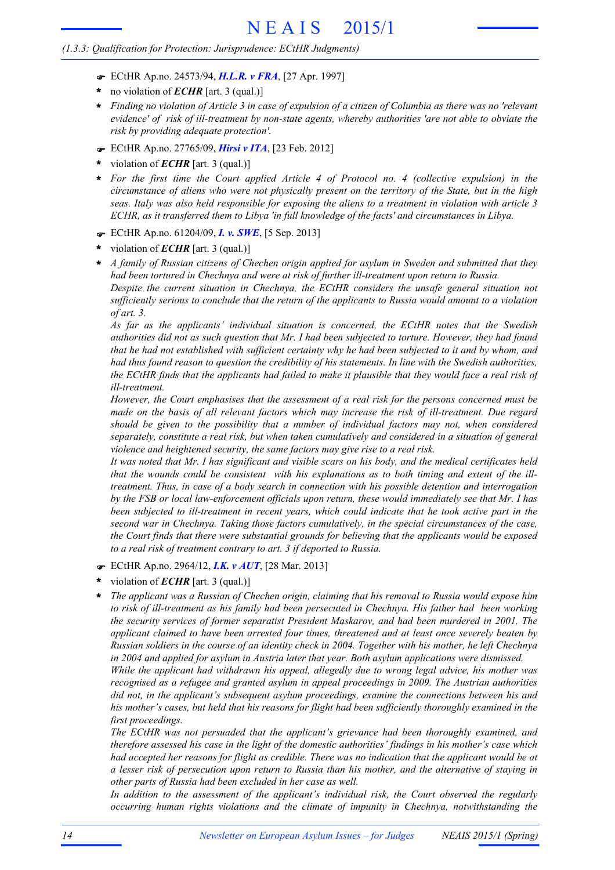- F ECtHR Ap.no. 24573/94, *H.L.R. v FRA*, [27 Apr. 1997]
- no violation of *ECHR* [art. 3 (qual.)] **\***
- Finding no violation of Article 3 in case of expulsion of a citizen of Columbia as there was no 'relevant *evidence' of risk of ill-treatment by non-state agents, whereby authorities 'are not able to obviate the risk by providing adequate protection'.* **\***
- F ECtHR Ap.no. 27765/09, *Hirsi v ITA*, [23 Feb. 2012]
- violation of *ECHR* [art. 3 (qual.)] **\***
- *For the first time the Court applied Article 4 of Protocol no. 4 (collective expulsion) in the* circumstance of aliens who were not physically present on the territory of the State, but in the high seas. Italy was also held responsible for exposing the aliens to a treatment in violation with article 3 *ECHR, as it transferred them to Libya 'in full knowledge of the facts' and circumstances in Libya.* **\***
- F ECtHR Ap.no. 61204/09, *I. v. SWE*, [5 Sep. 2013]
- violation of *ECHR* [art. 3 (qual.)] **\***
- \* A family of Russian citizens of Chechen origin applied for asylum in Sweden and submitted that they *had been tortured in Chechnya and were at risk of further ill-treatment upon return to Russia. Despite the current situation in Chechnya, the ECtHR considers the unsafe general situation not sufficiently serious to conclude that the return of the applicants to Russia would amount to a violation*

*of art. 3.*

*As far as the applicants' individual situation is concerned, the ECtHR notes that the Swedish* authorities did not as such question that Mr. I had been subjected to torture. However, they had found that he had not established with sufficient certainty why he had been subjected to it and by whom, and had thus found reason to question the credibility of his statements. In line with the Swedish authorities, the ECtHR finds that the applicants had failed to make it plausible that they would face a real risk of *ill-treatment.*

*However, the Court emphasises that the assessment of a real risk for the persons concerned must be made on the basis of all relevant factors which may increase the risk of ill-treatment. Due regard should be given to the possibility that a number of individual factors may not, when considered separately, constitute a real risk, but when taken cumulatively and considered in a situation of general violence and heightened security, the same factors may give rise to a real risk.*

It was noted that Mr. I has significant and visible scars on his body, and the medical certificates held that the wounds could be consistent with his explanations as to both timing and extent of the ill*treatment. Thus, in case of a body search in connection with his possible detention and interrogation by the FSB or local law-enforcement officials upon return, these would immediately see that Mr. I has been subjected to ill-treatment in recent years, which could indicate that he took active part in the second war in Chechnya. Taking those factors cumulatively, in the special circumstances of the case, the Court finds that there were substantial grounds for believing that the applicants would be exposed to a real risk of treatment contrary to art. 3 if deported to Russia.*

- F ECtHR Ap.no. 2964/12, *I.K. v AUT*, [28 Mar. 2013]
- violation of *ECHR* [art. 3 (qual.)] **\***
- *The applicant was a Russian of Chechen origin, claiming that his removal to Russia would expose him to risk of ill-treatment as his family had been persecuted in Chechnya. His father had been working the security services of former separatist President Maskarov, and had been murdered in 2001. The applicant claimed to have been arrested four times, threatened and at least once severely beaten by* Russian soldiers in the course of an identity check in 2004. Together with his mother, he left Chechnya *in 2004 and applied for asylum in Austria later that year. Both asylum applications were dismissed.* **\***

*While the applicant had withdrawn his appeal, allegedly due to wrong legal advice, his mother was recognised as a refugee and granted asylum in appeal proceedings in 2009. The Austrian authorities did not, in the applicant's subsequent asylum proceedings, examine the connections between his and his mother's cases, but held that his reasons for flight had been sufficiently thoroughly examined in the first proceedings.*

*The ECtHR was not persuaded that the applicant's grievance had been thoroughly examined, and therefore assessed his case in the light of the domestic authorities' findings in his mother's case which* had accepted her reasons for flight as credible. There was no indication that the applicant would be at a lesser risk of persecution upon return to Russia than his mother, and the alternative of staying in *other parts of Russia had been excluded in her case as well.*

*In addition to the assessment of the applicant's individual risk, the Court observed the regularly occurring human rights violations and the climate of impunity in Chechnya, notwithstanding the*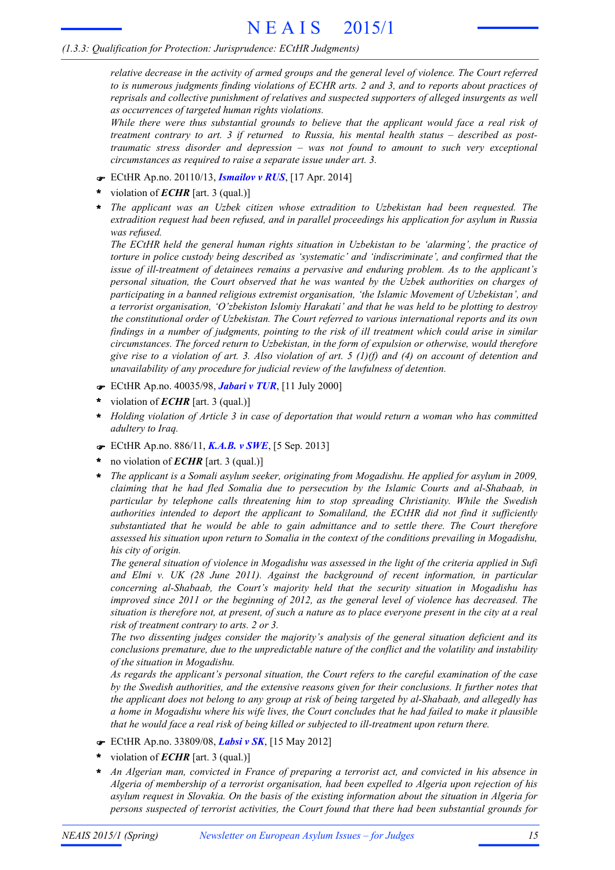*relative decrease in the activity of armed groups and the general level of violence. The Court referred* to is numerous judgments finding violations of ECHR arts. 2 and 3, and to reports about practices of *reprisals and collective punishment of relatives and suspected supporters of alleged insurgents as well as occurrences of targeted human rights violations.*

*While there were thus substantial grounds to believe that the applicant would face a real risk of treatment contrary to art. 3 if returned to Russia, his mental health status – described as posttraumatic stress disorder and depression – was not found to amount to such very exceptional circumstances as required to raise a separate issue under art. 3.*

- F ECtHR Ap.no. 20110/13, *Ismailov v RUS*, [17 Apr. 2014]
- violation of *ECHR* [art. 3 (qual.)] **\***
- *The applicant was an Uzbek citizen whose extradition to Uzbekistan had been requested. The extradition request had been refused, and in parallel proceedings his application for asylum in Russia was refused.* **\***

*The ECtHR held the general human rights situation in Uzbekistan to be 'alarming', the practice of torture in police custody being described as 'systematic' and 'indiscriminate', and confirmed that the issue of ill-treatment of detainees remains a pervasive and enduring problem. As to the applicant's personal situation, the Court observed that he was wanted by the Uzbek authorities on charges of participating in a banned religious extremist organisation, 'the Islamic Movement of Uzbekistan', and a terrorist organisation, 'O'zbekiston Islomiy Harakati' and that he was held to be plotting to destroy the constitutional order of Uzbekistan. The Court referred to various international reports and its own* findings in a number of judgments, pointing to the risk of ill treatment which could arise in similar *circumstances. The forced return to Uzbekistan, in the form of expulsion or otherwise, would therefore* give rise to a violation of art. 3. Also violation of art. 5 (1)(f) and (4) on account of detention and *unavailability of any procedure for judicial review of the lawfulness of detention.*

- F ECtHR Ap.no. 40035/98, *Jabari v TUR*, [11 July 2000]
- violation of *ECHR* [art. 3 (qual.)] **\***
- *Holding violation of Article 3 in case of deportation that would return a woman who has committed adultery to Iraq.* **\***
- F ECtHR Ap.no. 886/11, *K.A.B. v SWE*, [5 Sep. 2013]
- no violation of *ECHR* [art. 3 (qual.)] **\***
- *The applicant is a Somali asylum seeker, originating from Mogadishu. He applied for asylum in 2009, claiming that he had fled Somalia due to persecution by the Islamic Courts and al-Shabaab, in particular by telephone calls threatening him to stop spreading Christianity. While the Swedish authorities intended to deport the applicant to Somaliland, the ECtHR did not find it sufficiently substantiated that he would be able to gain admittance and to settle there. The Court therefore assessed his situation upon return to Somalia in the context of the conditions prevailing in Mogadishu, his city of origin.* **\***

The general situation of violence in Mogadishu was assessed in the light of the criteria applied in Sufi *and Elmi v. UK (28 June 2011). Against the background of recent information, in particular concerning al-Shabaab, the Court's majority held that the security situation in Mogadishu has improved since 2011 or the beginning of 2012, as the general level of violence has decreased. The* situation is therefore not, at present, of such a nature as to place everyone present in the city at a real *risk of treatment contrary to arts. 2 or 3.*

*The two dissenting judges consider the majority's analysis of the general situation deficient and its conclusions premature, due to the unpredictable nature of the conflict and the volatility and instability of the situation in Mogadishu.*

*As regards the applicant's personal situation, the Court refers to the careful examination of the case by the Swedish authorities, and the extensive reasons given for their conclusions. It further notes that* the applicant does not belong to any group at risk of being targeted by al-Shabaab, and allegedly has a home in Mogadishu where his wife lives, the Court concludes that he had failed to make it plausible *that he would face a real risk of being killed or subjected to ill-treatment upon return there.*

- F ECtHR Ap.no. 33809/08, *Labsi v SK*, [15 May 2012]
- violation of *ECHR* [art. 3 (qual.)] **\***
- *An Algerian man, convicted in France of preparing a terrorist act, and convicted in his absence in Algeria of membership of a terrorist organisation, had been expelled to Algeria upon rejection of his asylum request in Slovakia. On the basis of the existing information about the situation in Algeria for persons suspected of terrorist activities, the Court found that there had been substantial grounds for* **\***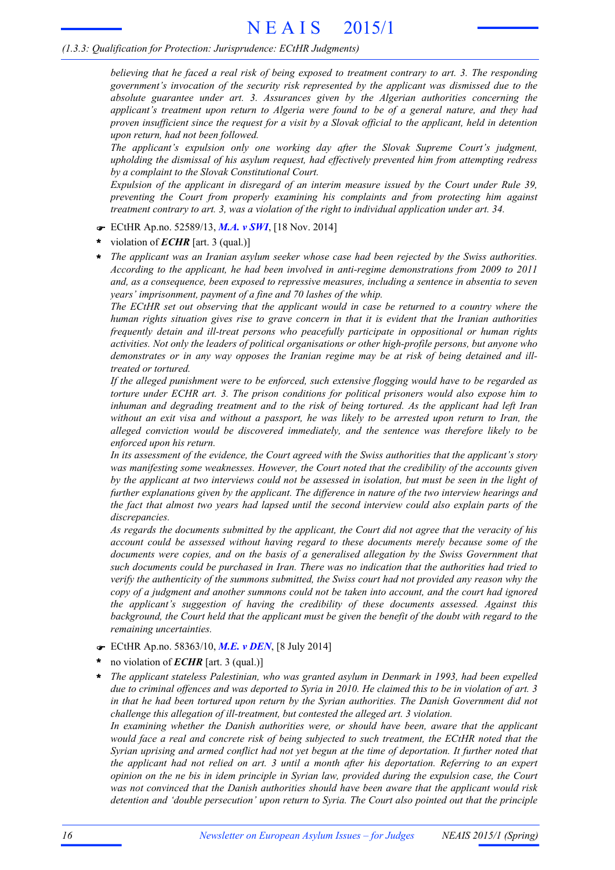believing that he faced a real risk of being exposed to treatment contrary to art. 3. The responding *government's invocation of the security risk represented by the applicant was dismissed due to the absolute guarantee under art. 3. Assurances given by the Algerian authorities concerning the applicant's treatment upon return to Algeria were found to be of a general nature, and they had* proven insufficient since the request for a visit by a Slovak official to the applicant, held in detention *upon return, had not been followed.*

*The applicant's expulsion only one working day after the Slovak Supreme Court's judgment, upholding the dismissal of his asylum request, had effectively prevented him from attempting redress by a complaint to the Slovak Constitutional Court.*

*Expulsion of the applicant in disregard of an interim measure issued by the Court under Rule 39, preventing the Court from properly examining his complaints and from protecting him against treatment contrary to art. 3, was a violation of the right to individual application under art. 34.*

- F ECtHR Ap.no. 52589/13, *M.A. v SWI*, [18 Nov. 2014]
- violation of *ECHR* [art. 3 (qual.)] **\***
- *The applicant was an Iranian asylum seeker whose case had been rejected by the Swiss authorities. According to the applicant, he had been involved in anti-regime demonstrations from 2009 to 2011 and, as a consequence, been exposed to repressive measures, including a sentence in absentia to seven years' imprisonment, payment of a fine and 70 lashes of the whip.* **\***

*The ECtHR set out observing that the applicant would in case be returned to a country where the human rights situation gives rise to grave concern in that it is evident that the Iranian authorities frequently detain and ill-treat persons who peacefully participate in oppositional or human rights activities. Not only the leaders of political organisations or other high-profile persons, but anyone who demonstrates or in any way opposes the Iranian regime may be at risk of being detained and illtreated or tortured.*

*If the alleged punishment were to be enforced, such extensive flogging would have to be regarded as torture under ECHR art. 3. The prison conditions for political prisoners would also expose him to inhuman and degrading treatment and to the risk of being tortured. As the applicant had left Iran* without an exit visa and without a passport, he was likely to be arrested upon return to Iran, the *alleged conviction would be discovered immediately, and the sentence was therefore likely to be enforced upon his return.*

*In its assessment of the evidence, the Court agreed with the Swiss authorities that the applicant's story was manifesting some weaknesses. However, the Court noted that the credibility of the accounts given* by the applicant at two interviews could not be assessed in isolation, but must be seen in the light of *further explanations given by the applicant. The difference in nature of the two interview hearings and* the fact that almost two years had lapsed until the second interview could also explain parts of the *discrepancies.*

As regards the documents submitted by the applicant, the Court did not agree that the veracity of his *account could be assessed without having regard to these documents merely because some of the documents were copies, and on the basis of a generalised allegation by the Swiss Government that such documents could be purchased in Iran. There was no indication that the authorities had tried to verify the authenticity of the summons submitted, the Swiss court had not provided any reason why the copy of a judgment and another summons could not be taken into account, and the court had ignored the applicant's suggestion of having the credibility of these documents assessed. Against this* background, the Court held that the applicant must be given the benefit of the doubt with regard to the *remaining uncertainties.*

- F ECtHR Ap.no. 58363/10, *M.E. v DEN*, [8 July 2014]
- no violation of *ECHR* [art. 3 (qual.)] **\***
- *The applicant stateless Palestinian, who was granted asylum in Denmark in 1993, had been expelled* due to criminal offences and was deported to Syria in 2010. He claimed this to be in violation of art. 3 *in that he had been tortured upon return by the Syrian authorities. The Danish Government did not challenge this allegation of ill-treatment, but contested the alleged art. 3 violation.* **\***

*In examining whether the Danish authorities were, or should have been, aware that the applicant would face a real and concrete risk of being subjected to such treatment, the ECtHR noted that the* Syrian uprising and armed conflict had not yet begun at the time of deportation. It further noted that *the applicant had not relied on art. 3 until a month after his deportation. Referring to an expert* opinion on the ne bis in idem principle in Syrian law, provided during the expulsion case, the Court *was not convinced that the Danish authorities should have been aware that the applicant would risk detention and 'double persecution' upon return to Syria. The Court also pointed out that the principle*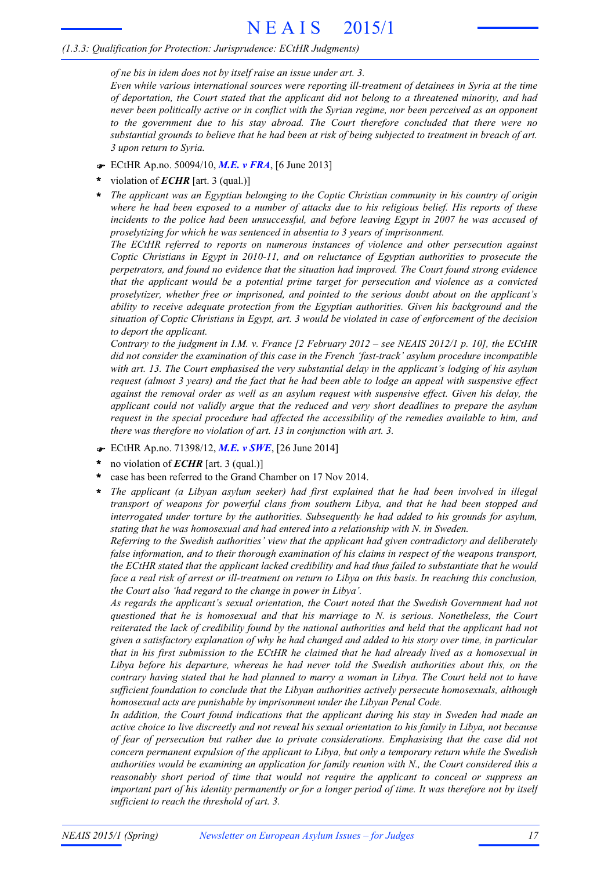#### *(1.3.3: Qualification for Protection: Jurisprudence: ECtHR Judgments)*

*of ne bis in idem does not by itself raise an issue under art. 3.*

*Even while various international sources were reporting ill-treatment of detainees in Syria at the time of deportation, the Court stated that the applicant did not belong to a threatened minority, and had never been politically active or in conflict with the Syrian regime, nor been perceived as an opponent to the government due to his stay abroad. The Court therefore concluded that there were no* substantial grounds to believe that he had been at risk of being subjected to treatment in breach of art. *3 upon return to Syria.*

- F ECtHR Ap.no. 50094/10, *M.E. v FRA*, [6 June 2013]
- violation of *ECHR* [art. 3 (qual.)] **\***
- *The applicant was an Egyptian belonging to the Coptic Christian community in his country of origin* where he had been exposed to a number of attacks due to his religious belief. His reports of these *incidents to the police had been unsuccessful, and before leaving Egypt in 2007 he was accused of proselytizing for which he was sentenced in absentia to 3 years of imprisonment.* **\***

*The ECtHR referred to reports on numerous instances of violence and other persecution against Coptic Christians in Egypt in 2010-11, and on reluctance of Egyptian authorities to prosecute the perpetrators, and found no evidence that the situation had improved. The Court found strong evidence that the applicant would be a potential prime target for persecution and violence as a convicted proselytizer, whether free or imprisoned, and pointed to the serious doubt about on the applicant's ability to receive adequate protection from the Egyptian authorities. Given his background and the* situation of Coptic Christians in Egypt, art. 3 would be violated in case of enforcement of the decision *to deport the applicant.*

Contrary to the judgment in I.M. v. France [2 February 2012 – see NEAIS 2012/1 p. 10], the ECtHR *did not consider the examination of this case in the French 'fast-track' asylum procedure incompatible with art. 13. The Court emphasised the very substantial delay in the applicant's lodging of his asylum* request (almost 3 years) and the fact that he had been able to lodge an appeal with suspensive effect *against the removal order as well as an asylum request with suspensive effect. Given his delay, the applicant could not validly argue that the reduced and very short deadlines to prepare the asylum request in the special procedure had affected the accessibility of the remedies available to him, and there was therefore no violation of art. 13 in conjunction with art. 3.*

- F ECtHR Ap.no. 71398/12, *M.E. v SWE*, [26 June 2014]
- no violation of *ECHR* [art. 3 (qual.)] **\***
- case has been referred to the Grand Chamber on 17 Nov 2014. **\***
- *The applicant (a Libyan asylum seeker) had first explained that he had been involved in illegal transport of weapons for powerful clans from southern Libya, and that he had been stopped and interrogated under torture by the authorities. Subsequently he had added to his grounds for asylum, stating that he was homosexual and had entered into a relationship with N. in Sweden.* **\***

*Referring to the Swedish authorities' view that the applicant had given contradictory and deliberately false information, and to their thorough examination of his claims in respect of the weapons transport, the ECtHR stated that the applicant lacked credibility and had thus failed to substantiate that he would* face a real risk of arrest or ill-treatment on return to Libya on this basis. In reaching this conclusion, *the Court also 'had regard to the change in power in Libya'.*

*As regards the applicant's sexual orientation, the Court noted that the Swedish Government had not questioned that he is homosexual and that his marriage to N. is serious. Nonetheless, the Court reiterated the lack of credibility found by the national authorities and held that the applicant had not* given a satisfactory explanation of why he had changed and added to his story over time, in particular that in his first submission to the ECtHR he claimed that he had already lived as a homosexual in *Libya before his departure, whereas he had never told the Swedish authorities about this, on the* contrary having stated that he had planned to marry a woman in Libya. The Court held not to have *sufficient foundation to conclude that the Libyan authorities actively persecute homosexuals, although homosexual acts are punishable by imprisonment under the Libyan Penal Code.*

*In addition, the Court found indications that the applicant during his stay in Sweden had made an* active choice to live discreetly and not reveal his sexual orientation to his family in Libya, not because *of fear of persecution but rather due to private considerations. Emphasising that the case did not concern permanent expulsion of the applicant to Libya, but only a temporary return while the Swedish authorities would be examining an application for family reunion with N., the Court considered this a reasonably short period of time that would not require the applicant to conceal or suppress an* important part of his identity permanently or for a longer period of time. It was therefore not by itself *sufficient to reach the threshold of art. 3.*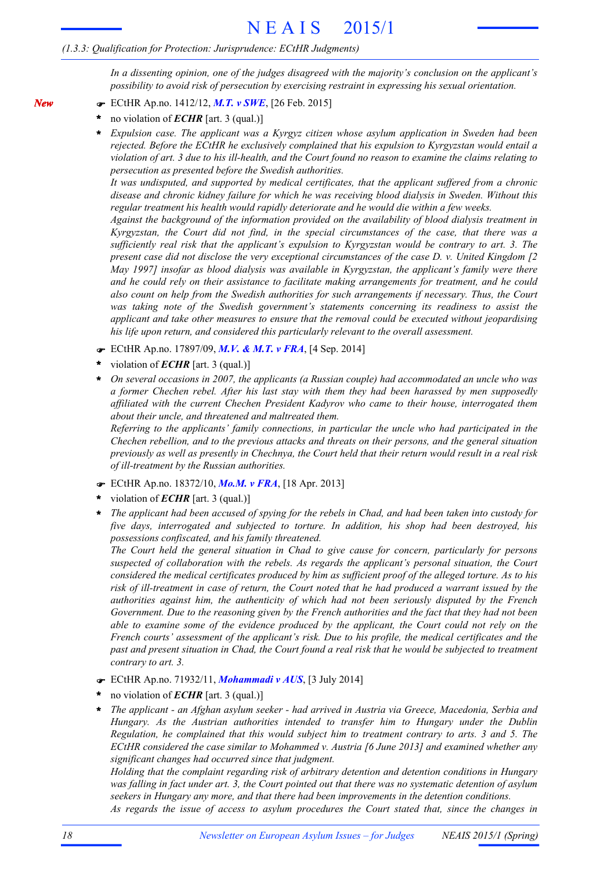#### *(1.3.3: Qualification for Protection: Jurisprudence: ECtHR Judgments)*

*In a dissenting opinion, one of the judges disagreed with the majority's conclusion on the applicant's possibility to avoid risk of persecution by exercising restraint in expressing his sexual orientation.*

- F ECtHR Ap.no. 1412/12, *M.T. v SWE*, [26 Feb. 2015]
- no violation of *ECHR* [art. 3 (qual.)] **\***

*New*

*Expulsion case. The applicant was a Kyrgyz citizen whose asylum application in Sweden had been rejected. Before the ECtHR he exclusively complained that his expulsion to Kyrgyzstan would entail a* violation of art. 3 due to his ill-health, and the Court found no reason to examine the claims relating to *persecution as presented before the Swedish authorities.* **\***

*It was undisputed, and supported by medical certificates, that the applicant suffered from a chronic disease and chronic kidney failure for which he was receiving blood dialysis in Sweden. Without this regular treatment his health would rapidly deteriorate and he would die within a few weeks.*

*Against the background of the information provided on the availability of blood dialysis treatment in Kyrgyzstan, the Court did not find, in the special circumstances of the case, that there was a sufficiently real risk that the applicant's expulsion to Kyrgyzstan would be contrary to art. 3. The present case did not disclose the very exceptional circumstances of the case D. v. United Kingdom [2 May 1997] insofar as blood dialysis was available in Kyrgyzstan, the applicant's family were there and he could rely on their assistance to facilitate making arrangements for treatment, and he could also count on help from the Swedish authorities for such arrangements if necessary. Thus, the Court was taking note of the Swedish government's statements concerning its readiness to assist the applicant and take other measures to ensure that the removal could be executed without jeopardising his life upon return, and considered this particularly relevant to the overall assessment.*

- F ECtHR Ap.no. 17897/09, *M.V. & M.T. v FRA*, [4 Sep. 2014]
- violation of *ECHR* [art. 3 (qual.)] **\***
- *On several occasions in 2007, the applicants (a Russian couple) had accommodated an uncle who was* **\*** *a former Chechen rebel. After his last stay with them they had been harassed by men supposedly affiliated with the current Chechen President Kadyrov who came to their house, interrogated them about their uncle, and threatened and maltreated them.*

*Referring to the applicants' family connections, in particular the uncle who had participated in the Chechen rebellion, and to the previous attacks and threats on their persons, and the general situation* previously as well as presently in Chechnya, the Court held that their return would result in a real risk *of ill-treatment by the Russian authorities.*

- F ECtHR Ap.no. 18372/10, *Mo.M. v FRA*, [18 Apr. 2013]
- violation of *ECHR* [art. 3 (qual.)] **\***
- The applicant had been accused of spying for the rebels in Chad, and had been taken into custody for *five days, interrogated and subjected to torture. In addition, his shop had been destroyed, his possessions confiscated, and his family threatened.* **\***

*The Court held the general situation in Chad to give cause for concern, particularly for persons suspected of collaboration with the rebels. As regards the applicant's personal situation, the Court considered the medical certificates produced by him as sufficient proof of the alleged torture. As to his* risk of ill-treatment in case of return, the Court noted that he had produced a warrant issued by the *authorities against him, the authenticity of which had not been seriously disputed by the French* Government. Due to the reasoning given by the French authorities and the fact that they had not been *able to examine some of the evidence produced by the applicant, the Court could not rely on the French courts' assessment of the applicant's risk. Due to his profile, the medical certificates and the* past and present situation in Chad, the Court found a real risk that he would be subjected to treatment *contrary to art. 3.*

- F ECtHR Ap.no. 71932/11, *Mohammadi v AUS*, [3 July 2014]
- no violation of *ECHR* [art. 3 (qual.)] **\***
- *The applicant - an Afghan asylum seeker - had arrived in Austria via Greece, Macedonia, Serbia and Hungary. As the Austrian authorities intended to transfer him to Hungary under the Dublin Regulation, he complained that this would subject him to treatment contrary to arts. 3 and 5. The ECtHR considered the case similar to Mohammed v. Austria [6 June 2013] and examined whether any significant changes had occurred since that judgment.* **\***

*Holding that the complaint regarding risk of arbitrary detention and detention conditions in Hungary* was falling in fact under art. 3, the Court pointed out that there was no systematic detention of asylum *seekers in Hungary any more, and that there had been improvements in the detention conditions.*

*As regards the issue of access to asylum procedures the Court stated that, since the changes in*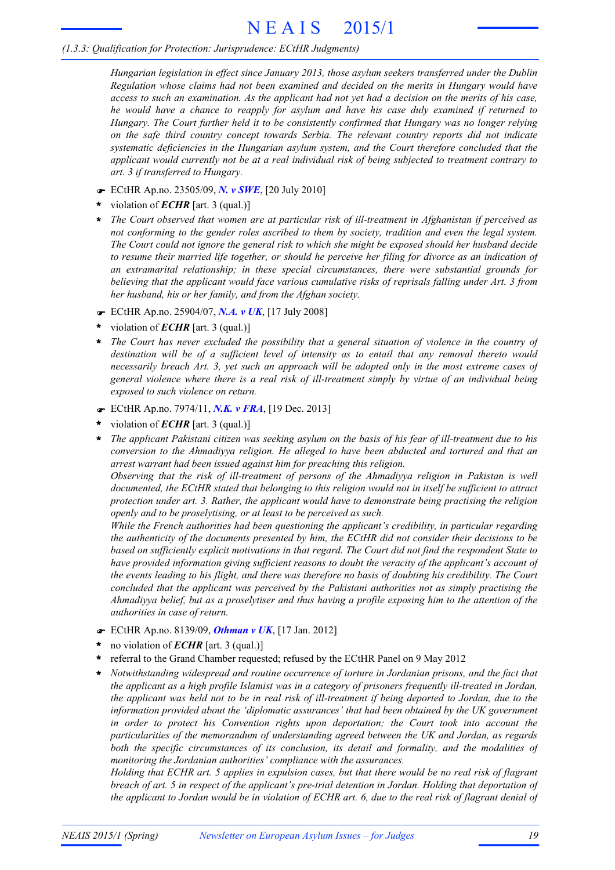#### *(1.3.3: Qualification for Protection: Jurisprudence: ECtHR Judgments)*

*Hungarian legislation in effect since January 2013, those asylum seekers transferred under the Dublin Regulation whose claims had not been examined and decided on the merits in Hungary would have* access to such an examination. As the applicant had not yet had a decision on the merits of his case, *he would have a chance to reapply for asylum and have his case duly examined if returned to Hungary. The Court further held it to be consistently confirmed that Hungary was no longer relying on the safe third country concept towards Serbia. The relevant country reports did not indicate systematic deficiencies in the Hungarian asylum system, and the Court therefore concluded that the applicant would currently not be at a real individual risk of being subjected to treatment contrary to art. 3 if transferred to Hungary.*

- F ECtHR Ap.no. 23505/09, *N. v SWE*, [20 July 2010]
- violation of *ECHR* [art. 3 (qual.)] **\***
- *The Court observed that women are at particular risk of ill-treatment in Afghanistan if perceived as* **\*** *not conforming to the gender roles ascribed to them by society, tradition and even the legal system.* The Court could not ignore the general risk to which she might be exposed should her husband decide to resume their married life together, or should he perceive her filing for divorce as an indication of *an extramarital relationship; in these special circumstances, there were substantial grounds for believing that the applicant would face various cumulative risks of reprisals falling under Art. 3 from her husband, his or her family, and from the Afghan society.*
- F ECtHR Ap.no. 25904/07, *N.A. v UK*, [17 July 2008]
- violation of *ECHR* [art. 3 (qual.)] **\***
- *The Court has never excluded the possibility that a general situation of violence in the country of destination will be of a sufficient level of intensity as to entail that any removal thereto would necessarily breach Art. 3, yet such an approach will be adopted only in the most extreme cases of general violence where there is a real risk of ill-treatment simply by virtue of an individual being exposed to such violence on return.* **\***
- F ECtHR Ap.no. 7974/11, *N.K. v FRA*, [19 Dec. 2013]
- violation of *ECHR* [art. 3 (qual.)] **\***
- The applicant Pakistani citizen was seeking asylum on the basis of his fear of ill-treatment due to his *conversion to the Ahmadiyya religion. He alleged to have been abducted and tortured and that an arrest warrant had been issued against him for preaching this religion.* **\***

*Observing that the risk of ill-treatment of persons of the Ahmadiyya religion in Pakistan is well documented, the ECtHR stated that belonging to this religion would not in itself be sufficient to attract protection under art. 3. Rather, the applicant would have to demonstrate being practising the religion openly and to be proselytising, or at least to be perceived as such.*

*While the French authorities had been questioning the applicant's credibility, in particular regarding the authenticity of the documents presented by him, the ECtHR did not consider their decisions to be based on sufficiently explicit motivations in that regard. The Court did not find the respondent State to have provided information giving sufficient reasons to doubt the veracity of the applicant's account of* the events leading to his flight, and there was therefore no basis of doubting his credibility. The Court *concluded that the applicant was perceived by the Pakistani authorities not as simply practising the* Ahmadiyya belief, but as a proselytiser and thus having a profile exposing him to the attention of the *authorities in case of return.*

- F ECtHR Ap.no. 8139/09, *Othman v UK*, [17 Jan. 2012]
- no violation of *ECHR* [art. 3 (qual.)] **\***
- referral to the Grand Chamber requested; refused by the ECtHR Panel on 9 May 2012 **\***
- *Notwithstanding widespread and routine occurrence of torture in Jordanian prisons, and the fact that the applicant as a high profile Islamist was in a category of prisoners frequently ill-treated in Jordan,* the applicant was held not to be in real risk of ill-treatment if being deported to Jordan, due to the *information provided about the 'diplomatic assurances' that had been obtained by the UK government in order to protect his Convention rights upon deportation; the Court took into account the particularities of the memorandum of understanding agreed between the UK and Jordan, as regards both the specific circumstances of its conclusion, its detail and formality, and the modalities of monitoring the Jordanian authorities' compliance with the assurances.* **\***

Holding that ECHR art. 5 applies in expulsion cases, but that there would be no real risk of flagrant *breach of art. 5 in respect of the applicant's pre-trial detention in Jordan. Holding that deportation of* the applicant to Jordan would be in violation of ECHR art. 6, due to the real risk of flagrant denial of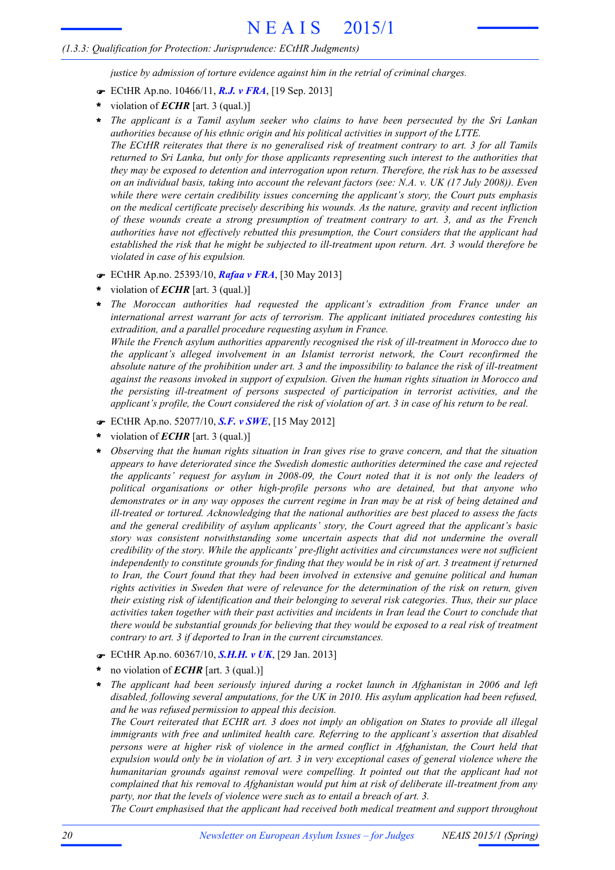*justice by admission of torture evidence against him in the retrial of criminal charges.*

- F ECtHR Ap.no. 10466/11, *R.J. v FRA*, [19 Sep. 2013]
- violation of *ECHR* [art. 3 (qual.)] **\***
- *The applicant is a Tamil asylum seeker who claims to have been persecuted by the Sri Lankan authorities because of his ethnic origin and his political activities in support of the LTTE.* The ECtHR reiterates that there is no generalised risk of treatment contrary to art. 3 for all Tamils *returned to Sri Lanka, but only for those applicants representing such interest to the authorities that they may be exposed to detention and interrogation upon return. Therefore, the risk has to be assessed* on an individual basis, taking into account the relevant factors (see: N.A. v. UK (17 July 2008)). Even *while there were certain credibility issues concerning the applicant's story, the Court puts emphasis on the medical certificate precisely describing his wounds. As the nature, gravity and recent infliction of these wounds create a strong presumption of treatment contrary to art. 3, and as the French authorities have not effectively rebutted this presumption, the Court considers that the applicant had established the risk that he might be subjected to ill-treatment upon return. Art. 3 would therefore be violated in case of his expulsion.* **\***
- F ECtHR Ap.no. 25393/10, *Rafaa v FRA*, [30 May 2013]
- violation of *ECHR* [art. 3 (qual.)] **\***
- *The Moroccan authorities had requested the applicant's extradition from France under an international arrest warrant for acts of terrorism. The applicant initiated procedures contesting his extradition, and a parallel procedure requesting asylum in France.* **\***

*While the French asylum authorities apparently recognised the risk of ill-treatment in Morocco due to the applicant's alleged involvement in an Islamist terrorist network, the Court reconfirmed the* absolute nature of the prohibition under art. 3 and the impossibility to balance the risk of ill-treatment *against the reasons invoked in support of expulsion. Given the human rights situation in Morocco and the persisting ill-treatment of persons suspected of participation in terrorist activities, and the applicant's profile, the Court considered the risk of violation of art. 3 in case of his return to be real.*

- F ECtHR Ap.no. 52077/10, *S.F. v SWE*, [15 May 2012]
- violation of *ECHR* [art. 3 (qual.)] **\***
- *Observing that the human rights situation in Iran gives rise to grave concern, and that the situation appears to have deteriorated since the Swedish domestic authorities determined the case and rejected the applicants' request for asylum in 2008-09, the Court noted that it is not only the leaders of political organisations or other high-profile persons who are detained, but that anyone who* demonstrates or in any way opposes the current regime in Iran may be at risk of being detained and *ill-treated or tortured. Acknowledging that the national authorities are best placed to assess the facts and the general credibility of asylum applicants' story, the Court agreed that the applicant's basic story was consistent notwithstanding some uncertain aspects that did not undermine the overall credibility of the story. While the applicants' pre-flight activities and circumstances were not sufficient* independently to constitute grounds for finding that they would be in risk of art. 3 treatment if returned *to Iran, the Court found that they had been involved in extensive and genuine political and human rights activities in Sweden that were of relevance for the determination of the risk on return, given their existing risk of identification and their belonging to several risk categories. Thus, their sur place* activities taken together with their past activities and incidents in Iran lead the Court to conclude that there would be substantial grounds for believing that they would be exposed to a real risk of treatment *contrary to art. 3 if deported to Iran in the current circumstances.* **\***
- F ECtHR Ap.no. 60367/10, *S.H.H. v UK*, [29 Jan. 2013]
- no violation of *ECHR* [art. 3 (qual.)] **\***
- *The applicant had been seriously injured during a rocket launch in Afghanistan in 2006 and left disabled, following several amputations, for the UK in 2010. His asylum application had been refused, and he was refused permission to appeal this decision.* **\***

The Court reiterated that ECHR art. 3 does not imply an obligation on States to provide all illegal *immigrants with free and unlimited health care. Referring to the applicant's assertion that disabled persons were at higher risk of violence in the armed conflict in Afghanistan, the Court held that* expulsion would only be in violation of art. 3 in very exceptional cases of general violence where the *humanitarian grounds against removal were compelling. It pointed out that the applicant had not complained that his removal to Afghanistan would put him at risk of deliberate ill-treatment from any party, nor that the levels of violence were such as to entail a breach of art. 3.*

*The Court emphasised that the applicant had received both medical treatment and support throughout*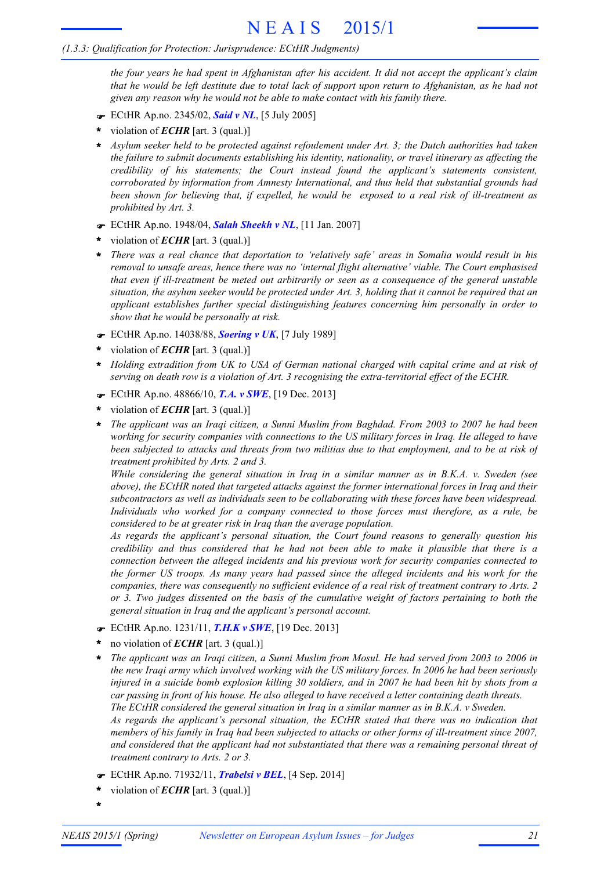the four years he had spent in Afghanistan after his accident. It did not accept the applicant's claim that he would be left destitute due to total lack of support upon return to Afghanistan, as he had not *given any reason why he would not be able to make contact with his family there.*

- F ECtHR Ap.no. 2345/02, *Said v NL*, [5 July 2005]
- violation of *ECHR* [art. 3 (qual.)] **\***
- *Asylum seeker held to be protected against refoulement under Art. 3; the Dutch authorities had taken* **\*** *the failure to submit documents establishing his identity, nationality, or travel itinerary as affecting the credibility of his statements; the Court instead found the applicant's statements consistent, corroborated by information from Amnesty International, and thus held that substantial grounds had been shown for believing that, if expelled, he would be exposed to a real risk of ill-treatment as prohibited by Art. 3.*
- F ECtHR Ap.no. 1948/04, *Salah Sheekh v NL*, [11 Jan. 2007]
- violation of *ECHR* [art. 3 (qual.)] **\***
- \* There was a real chance that deportation to 'relatively safe' areas in Somalia would result in his *removal to unsafe areas, hence there was no 'internal flight alternative' viable. The Court emphasised that even if ill-treatment be meted out arbitrarily or seen as a consequence of the general unstable* situation, the asylum seeker would be protected under Art. 3, holding that it cannot be required that an *applicant establishes further special distinguishing features concerning him personally in order to show that he would be personally at risk.*
- F ECtHR Ap.no. 14038/88, *Soering v UK*, [7 July 1989]
- violation of *ECHR* [art. 3 (qual.)] **\***
- *Holding extradition from UK to USA of German national charged with capital crime and at risk of serving on death row is a violation of Art. 3 recognising the extra-territorial effect of the ECHR.* **\***
- F ECtHR Ap.no. 48866/10, *T.A. v SWE*, [19 Dec. 2013]
- violation of *ECHR* [art. 3 (qual.)] **\***
- \* The applicant was an Iraqi citizen, a Sunni Muslim from Baghdad. From 2003 to 2007 he had been *working for security companies with connections to the US military forces in Iraq. He alleged to have* been subjected to attacks and threats from two militias due to that employment, and to be at risk of *treatment prohibited by Arts. 2 and 3.*

*While considering the general situation in Iraq in a similar manner as in B.K.A. v. Sweden (see above), the ECtHR noted that targeted attacks against the former international forces in Iraq and their subcontractors as well as individuals seen to be collaborating with these forces have been widespread. Individuals who worked for a company connected to those forces must therefore, as a rule, be considered to be at greater risk in Iraq than the average population.*

*As regards the applicant's personal situation, the Court found reasons to generally question his credibility and thus considered that he had not been able to make it plausible that there is a connection between the alleged incidents and his previous work for security companies connected to the former US troops. As many years had passed since the alleged incidents and his work for the companies, there was consequently no sufficient evidence of a real risk of treatment contrary to Arts. 2 or 3. Two judges dissented on the basis of the cumulative weight of factors pertaining to both the general situation in Iraq and the applicant's personal account.*

- F ECtHR Ap.no. 1231/11, *T.H.K v SWE*, [19 Dec. 2013]
- no violation of *ECHR* [art. 3 (qual.)] **\***
- The applicant was an Iraqi citizen, a Sunni Muslim from Mosul. He had served from 2003 to 2006 in the new Iraqi army which involved working with the US military forces. In 2006 he had been seriously injured in a suicide bomb explosion killing 30 soldiers, and in 2007 he had been hit by shots from a *car passing in front of his house. He also alleged to have received a letter containing death threats. The ECtHR considered the general situation in Iraq in a similar manner as in B.K.A. v Sweden. As regards the applicant's personal situation, the ECtHR stated that there was no indication that* members of his family in Iraq had been subjected to attacks or other forms of ill-treatment since 2007, *and considered that the applicant had not substantiated that there was a remaining personal threat of treatment contrary to Arts. 2 or 3.* **\***
- F ECtHR Ap.no. 71932/11, *Trabelsi v BEL*, [4 Sep. 2014]
- violation of *ECHR* [art. 3 (qual.)] **\***
- **\***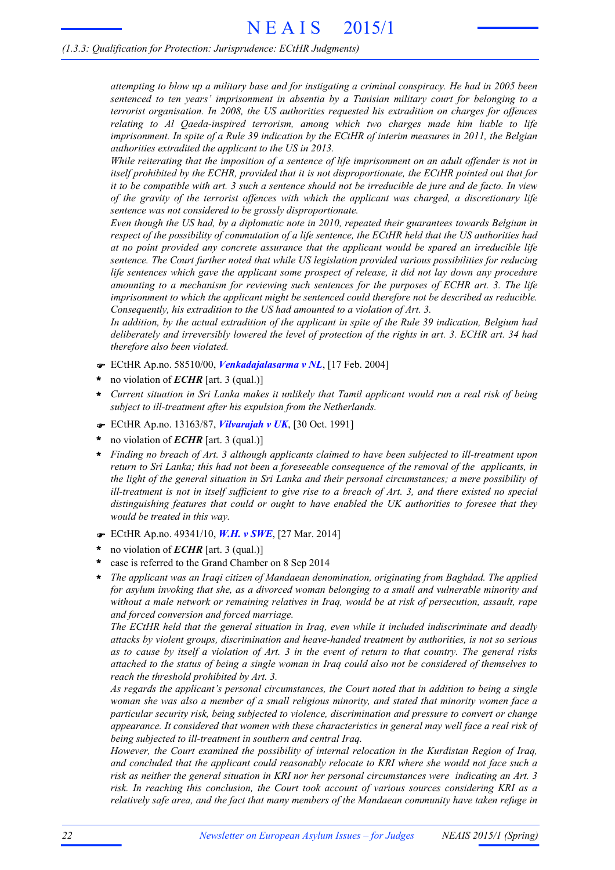attempting to blow up a military base and for instigating a criminal conspiracy. He had in 2005 been *sentenced to ten years' imprisonment in absentia by a Tunisian military court for belonging to a terrorist organisation. In 2008, the US authorities requested his extradition on charges for offences relating to Al Qaeda-inspired terrorism, among which two charges made him liable to life* imprisonment. In spite of a Rule 39 indication by the ECtHR of interim measures in 2011, the Belgian *authorities extradited the applicant to the US in 2013.*

While reiterating that the imposition of a sentence of life imprisonment on an adult offender is not in *itself prohibited by the ECHR, provided that it is not disproportionate, the ECtHR pointed out that for* it to be compatible with art. 3 such a sentence should not be irreducible de jure and de facto. In view *of the gravity of the terrorist offences with which the applicant was charged, a discretionary life sentence was not considered to be grossly disproportionate.*

*Even though the US had, by a diplomatic note in 2010, repeated their guarantees towards Belgium in* respect of the possibility of commutation of a life sentence, the ECtHR held that the US authorities had *at no point provided any concrete assurance that the applicant would be spared an irreducible life sentence. The Court further noted that while US legislation provided various possibilities for reducing life sentences which gave the applicant some prospect of release, it did not lay down any procedure amounting to a mechanism for reviewing such sentences for the purposes of ECHR art. 3. The life imprisonment to which the applicant might be sentenced could therefore not be described as reducible. Consequently, his extradition to the US had amounted to a violation of Art. 3.*

In addition, by the actual extradition of the applicant in spite of the Rule 39 indication, Belgium had deliberately and irreversibly lowered the level of protection of the rights in art. 3. ECHR art. 34 had *therefore also been violated.*

- F ECtHR Ap.no. 58510/00, *Venkadajalasarma v NL*, [17 Feb. 2004]
- no violation of *ECHR* [art. 3 (qual.)] **\***
- Current situation in Sri Lanka makes it unlikely that Tamil applicant would run a real risk of being *subject to ill-treatment after his expulsion from the Netherlands.* **\***
- F ECtHR Ap.no. 13163/87, *Vilvarajah v UK*, [30 Oct. 1991]
- no violation of *ECHR* [art. 3 (qual.)] **\***
- *Finding no breach of Art. 3 although applicants claimed to have been subjected to ill-treatment upon* return to Sri Lanka; this had not been a foreseeable consequence of the removal of the applicants, in *the light of the general situation in Sri Lanka and their personal circumstances; a mere possibility of* ill-treatment is not in itself sufficient to give rise to a breach of Art. 3, and there existed no special *distinguishing features that could or ought to have enabled the UK authorities to foresee that they would be treated in this way.* **\***
- F ECtHR Ap.no. 49341/10, *W.H. v SWE*, [27 Mar. 2014]
- no violation of *ECHR* [art. 3 (qual.)] **\***
- case is referred to the Grand Chamber on 8 Sep 2014 **\***
- *The applicant was an Iraqi citizen of Mandaean denomination, originating from Baghdad. The applied for asylum invoking that she, as a divorced woman belonging to a small and vulnerable minority and without a male network or remaining relatives in Iraq, would be at risk of persecution, assault, rape and forced conversion and forced marriage.* **\***

*The ECtHR held that the general situation in Iraq, even while it included indiscriminate and deadly attacks by violent groups, discrimination and heave-handed treatment by authorities, is not so serious* as to cause by itself a violation of Art. 3 in the event of return to that country. The general risks attached to the status of being a single woman in Iraq could also not be considered of themselves to *reach the threshold prohibited by Art. 3.*

*As regards the applicant's personal circumstances, the Court noted that in addition to being a single woman she was also a member of a small religious minority, and stated that minority women face a particular security risk, being subjected to violence, discrimination and pressure to convert or change appearance. It considered that women with these characteristics in general may well face a real risk of being subjected to ill-treatment in southern and central Iraq.*

*However, the Court examined the possibility of internal relocation in the Kurdistan Region of Iraq, and concluded that the applicant could reasonably relocate to KRI where she would not face such a risk as neither the general situation in KRI nor her personal circumstances were indicating an Art. 3 risk. In reaching this conclusion, the Court took account of various sources considering KRI as a relatively safe area, and the fact that many members of the Mandaean community have taken refuge in*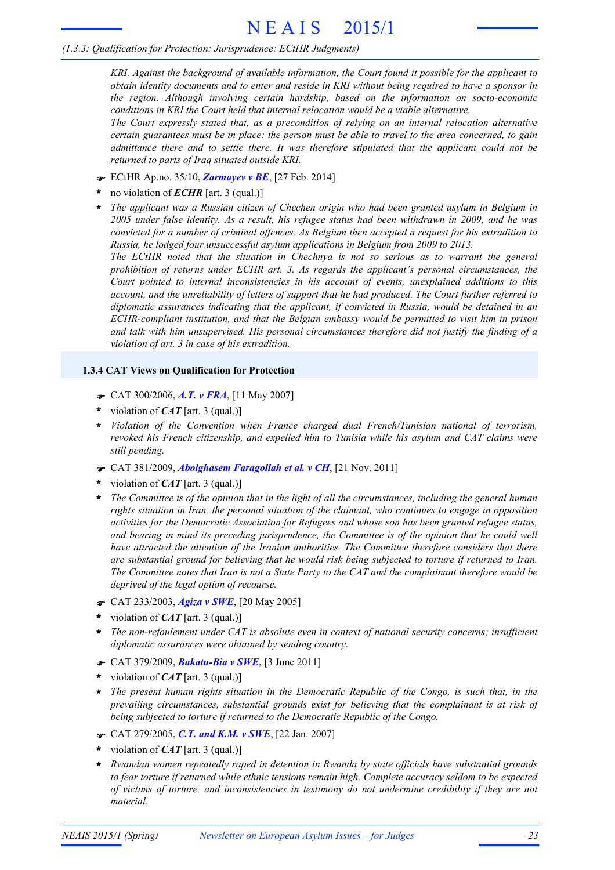*KRI. Against the background of available information, the Court found it possible for the applicant to* obtain identity documents and to enter and reside in KRI without being required to have a sponsor in *the region. Although involving certain hardship, based on the information on socio-economic conditions in KRI the Court held that internal relocation would be a viable alternative.*

*The Court expressly stated that, as a precondition of relying on an internal relocation alternative* certain guarantees must be in place: the person must be able to travel to the area concerned, to gain *admittance there and to settle there. It was therefore stipulated that the applicant could not be returned to parts of Iraq situated outside KRI.*

- F ECtHR Ap.no. 35/10, *Zarmayev v BE*, [27 Feb. 2014]
- no violation of *ECHR* [art. 3 (qual.)] **\***
- *The applicant was a Russian citizen of Chechen origin who had been granted asylum in Belgium in 2005 under false identity. As a result, his refugee status had been withdrawn in 2009, and he was convicted for a number of criminal offences. As Belgium then accepted a request for his extradition to Russia, he lodged four unsuccessful asylum applications in Belgium from 2009 to 2013.* **\***

*The ECtHR noted that the situation in Chechnya is not so serious as to warrant the general prohibition of returns under ECHR art. 3. As regards the applicant's personal circumstances, the Court pointed to internal inconsistencies in his account of events, unexplained additions to this account, and the unreliability of letters of support that he had produced. The Court further referred to diplomatic assurances indicating that the applicant, if convicted in Russia, would be detained in an ECHR-compliant institution, and that the Belgian embassy would be permitted to visit him in prison and talk with him unsupervised. His personal circumstances therefore did not justify the finding of a violation of art. 3 in case of his extradition.*

#### **1.3.4 CAT Views on Qualification for Protection**

- F CAT 300/2006, *A.T. v FRA*, [11 May 2007]
- violation of *CAT* [art. 3 (qual.)] **\***
- *Violation of the Convention when France charged dual French/Tunisian national of terrorism,* **\*** *revoked his French citizenship, and expelled him to Tunisia while his asylum and CAT claims were still pending.*
- F CAT 381/2009, *Abolghasem Faragollah et al. v CH*, [21 Nov. 2011]
- violation of *CAT* [art. 3 (qual.)] **\***
- \* The Committee is of the opinion that in the light of all the circumstances, including the general human *rights situation in Iran, the personal situation of the claimant, who continues to engage in opposition activities for the Democratic Association for Refugees and whose son has been granted refugee status, and bearing in mind its preceding jurisprudence, the Committee is of the opinion that he could well have attracted the attention of the Iranian authorities. The Committee therefore considers that there are substantial ground for believing that he would risk being subjected to torture if returned to Iran.* The Committee notes that Iran is not a State Party to the CAT and the complainant therefore would be *deprived of the legal option of recourse.*
- F CAT 233/2003, *Agiza v SWE*, [20 May 2005]
- violation of *CAT* [art. 3 (qual.)] **\***
- *The non-refoulement under CAT is absolute even in context of national security concerns; insufficient diplomatic assurances were obtained by sending country.* **\***
- F CAT 379/2009, *Bakatu-Bia v SWE*, [3 June 2011]
- violation of *CAT* [art. 3 (qual.)] **\***
- *The present human rights situation in the Democratic Republic of the Congo, is such that, in the prevailing circumstances, substantial grounds exist for believing that the complainant is at risk of being subjected to torture if returned to the Democratic Republic of the Congo.* **\***
- F CAT 279/2005, *C.T. and K.M. v SWE*, [22 Jan. 2007]
- violation of *CAT* [art. 3 (qual.)] **\***
- *Rwandan women repeatedly raped in detention in Rwanda by state officials have substantial grounds to fear torture if returned while ethnic tensions remain high. Complete accuracy seldom to be expected of victims of torture, and inconsistencies in testimony do not undermine credibility if they are not material.* **\***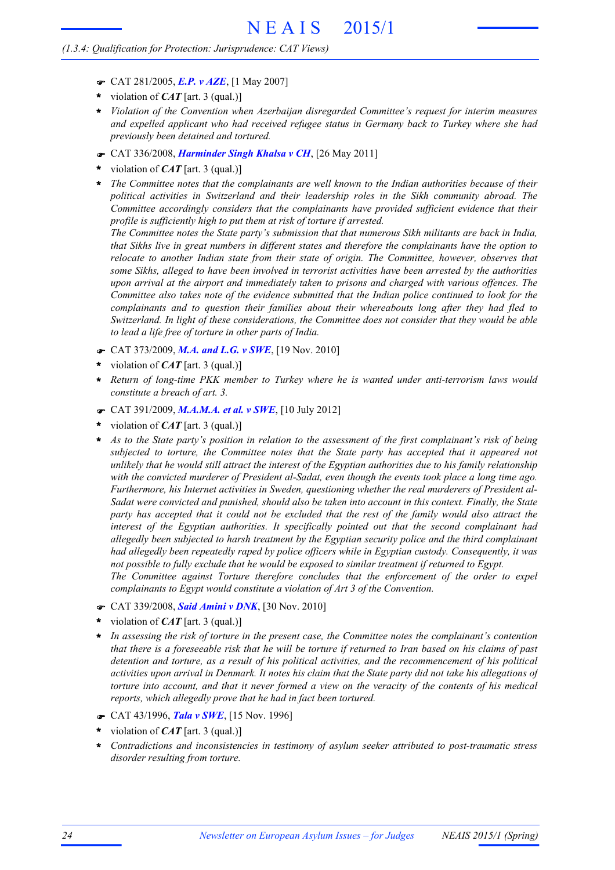#### *(1.3.4: Qualification for Protection: Jurisprudence: CAT Views)*

- F CAT 281/2005, *E.P. v AZE*, [1 May 2007]
- violation of *CAT* [art. 3 (qual.)] **\***
- *Violation of the Convention when Azerbaijan disregarded Committee's request for interim measures* **\*** *and expelled applicant who had received refugee status in Germany back to Turkey where she had previously been detained and tortured.*
- F CAT 336/2008, *Harminder Singh Khalsa v CH*, [26 May 2011]
- violation of *CAT* [art. 3 (qual.)] **\***
- *The Committee notes that the complainants are well known to the Indian authorities because of their political activities in Switzerland and their leadership roles in the Sikh community abroad. The Committee accordingly considers that the complainants have provided sufficient evidence that their profile is sufficiently high to put them at risk of torture if arrested.* **\***

*The Committee notes the State party's submission that that numerous Sikh militants are back in India, that Sikhs live in great numbers in different states and therefore the complainants have the option to relocate to another Indian state from their state of origin. The Committee, however, observes that some Sikhs, alleged to have been involved in terrorist activities have been arrested by the authorities upon arrival at the airport and immediately taken to prisons and charged with various offences. The Committee also takes note of the evidence submitted that the Indian police continued to look for the complainants and to question their families about their whereabouts long after they had fled to Switzerland. In light of these considerations, the Committee does not consider that they would be able to lead a life free of torture in other parts of India.*

- F CAT 373/2009, *M.A. and L.G. v SWE*, [19 Nov. 2010]
- violation of *CAT* [art. 3 (qual.)] **\***
- *Return of long-time PKK member to Turkey where he is wanted under anti-terrorism laws would constitute a breach of art. 3.* **\***
- F CAT 391/2009, *M.A.M.A. et al. v SWE*, [10 July 2012]
- violation of *CAT* [art. 3 (qual.)] **\***
- As to the State party's position in relation to the assessment of the first complainant's risk of being *subjected to torture, the Committee notes that the State party has accepted that it appeared not* unlikely that he would still attract the interest of the Egyptian authorities due to his family relationship *with the convicted murderer of President al-Sadat, even though the events took place a long time ago. Furthermore, his Internet activities in Sweden, questioning whether the real murderers of President al-Sadat were convicted and punished, should also be taken into account in this context. Finally, the State* party has accepted that it could not be excluded that the rest of the family would also attract the *interest of the Egyptian authorities. It specifically pointed out that the second complainant had allegedly been subjected to harsh treatment by the Egyptian security police and the third complainant had allegedly been repeatedly raped by police officers while in Egyptian custody. Consequently, it was not possible to fully exclude that he would be exposed to similar treatment if returned to Egypt. The Committee against Torture therefore concludes that the enforcement of the order to expel* **\***

*complainants to Egypt would constitute a violation of Art 3 of the Convention.*

- F CAT 339/2008, *Said Amini v DNK*, [30 Nov. 2010]
- violation of *CAT* [art. 3 (qual.)] **\***
- *In assessing the risk of torture in the present case, the Committee notes the complainant's contention* that there is a foreseeable risk that he will be torture if returned to Iran based on his claims of past *detention and torture, as a result of his political activities, and the recommencement of his political* activities upon arrival in Denmark. It notes his claim that the State party did not take his allegations of torture into account, and that it never formed a view on the veracity of the contents of his medical *reports, which allegedly prove that he had in fact been tortured.* **\***
- F CAT 43/1996, *Tala v SWE*, [15 Nov. 1996]
- violation of *CAT* [art. 3 (qual.)] **\***
- *Contradictions and inconsistencies in testimony of asylum seeker attributed to post-traumatic stress disorder resulting from torture.* **\***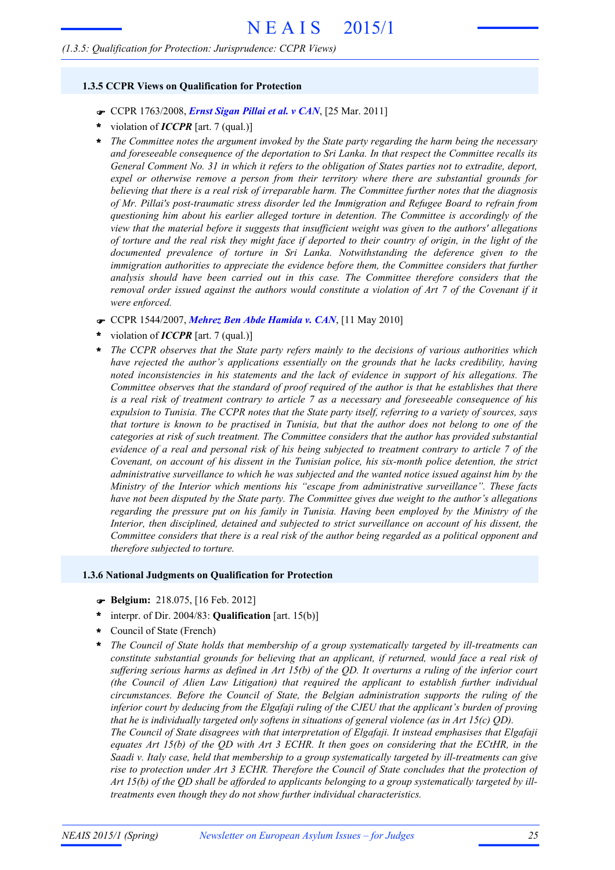#### *(1.3.5: Qualification for Protection: Jurisprudence: CCPR Views)*

#### **1.3.5 CCPR Views on Qualification for Protection**

- F CCPR 1763/2008, *Ernst Sigan Pillai et al. v CAN*, [25 Mar. 2011]
- violation of *ICCPR* [art. 7 (qual.)] **\***
- *The Committee notes the argument invoked by the State party regarding the harm being the necessary and foreseeable consequence of the deportation to Sri Lanka. In that respect the Committee recalls its* General Comment No. 31 in which it refers to the obligation of States parties not to extradite, deport, *expel or otherwise remove a person from their territory where there are substantial grounds for believing that there is a real risk of irreparable harm. The Committee further notes that the diagnosis of Mr. Pillai's post-traumatic stress disorder led the Immigration and Refugee Board to refrain from questioning him about his earlier alleged torture in detention. The Committee is accordingly of the view that the material before it suggests that insufficient weight was given to the authors' allegations* of torture and the real risk they might face if deported to their country of origin, in the light of the *documented prevalence of torture in Sri Lanka. Notwithstanding the deference given to the immigration authorities to appreciate the evidence before them, the Committee considers that further analysis should have been carried out in this case. The Committee therefore considers that the* removal order issued against the authors would constitute a violation of Art 7 of the Covenant if it *were enforced.* **\***
- F CCPR 1544/2007, *Mehrez Ben Abde Hamida v. CAN*, [11 May 2010]
- violation of *ICCPR* [art. 7 (qual.)] **\***
- *The CCPR observes that the State party refers mainly to the decisions of various authorities which have rejected the author's applications essentially on the grounds that he lacks credibility, having noted inconsistencies in his statements and the lack of evidence in support of his allegations. The Committee observes that the standard of proof required of the author is that he establishes that there* is a real risk of treatment contrary to article 7 as a necessary and foreseeable consequence of his expulsion to Tunisia. The CCPR notes that the State party itself, referring to a variety of sources, says that torture is known to be practised in Tunisia, but that the author does not belong to one of the *categories at risk of such treatment. The Committee considers that the author has provided substantial* evidence of a real and personal risk of his being subjected to treatment contrary to article 7 of the *Covenant, on account of his dissent in the Tunisian police, his six-month police detention, the strict administrative surveillance to which he was subjected and the wanted notice issued against him by the Ministry of the Interior which mentions his "escape from administrative surveillance". These facts have not been disputed by the State party. The Committee gives due weight to the author's allegations regarding the pressure put on his family in Tunisia. Having been employed by the Ministry of the Interior, then disciplined, detained and subjected to strict surveillance on account of his dissent, the* Committee considers that there is a real risk of the author being regarded as a political opponent and *therefore subjected to torture.* **\***

#### **1.3.6 National Judgments on Qualification for Protection**

- **Belgium:** 218.075, [16 Feb. 2012]
- interpr. of Dir. 2004/83: **Qualification** [art. 15(b)] **\***
- Council of State (French) **\***
- *The Council of State holds that membership of a group systematically targeted by ill-treatments can constitute substantial grounds for believing that an applicant, if returned, would face a real risk of* suffering serious harms as defined in Art 15(b) of the QD. It overturns a ruling of the inferior court *(the Council of Alien Law Litigation) that required the applicant to establish further individual circumstances. Before the Council of State, the Belgian administration supports the ruling of the inferior court by deducing from the Elgafaji ruling of the CJEU that the applicant's burden of proving that he is individually targeted only softens in situations of general violence (as in Art 15(c) QD). The Council of State disagrees with that interpretation of Elgafaji. It instead emphasises that Elgafaji* equates Art 15(b) of the QD with Art  $3$  ECHR. It then goes on considering that the ECtHR, in the *Saadi v. Italy case, held that membership to a group systematically targeted by ill-treatments can give rise to protection under Art 3 ECHR. Therefore the Council of State concludes that the protection of* Art 15(b) of the QD shall be afforded to applicants belonging to a group systematically targeted by ill*treatments even though they do not show further individual characteristics.* **\***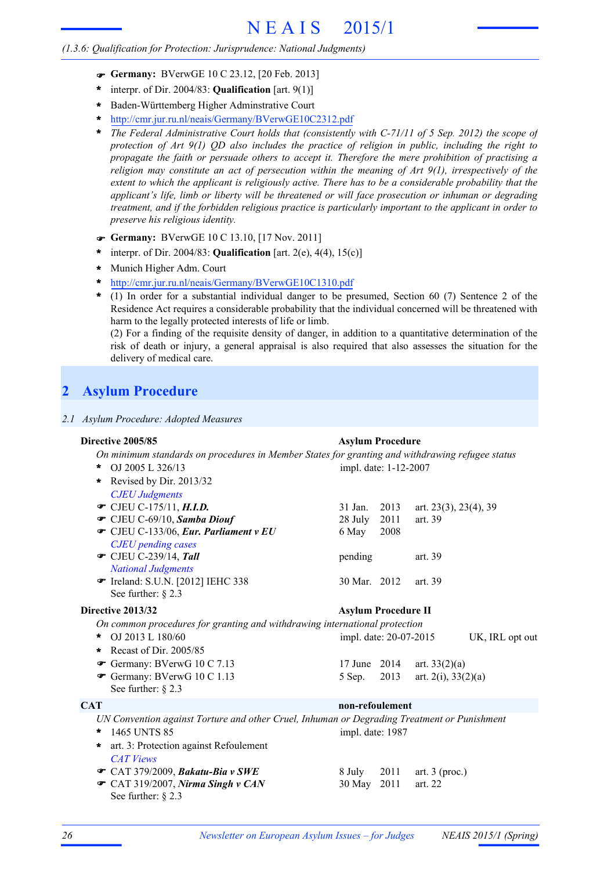- F **Germany:** BVerwGE 10 C 23.12, [20 Feb. 2013]
- interpr. of Dir. 2004/83: **Qualification** [art. 9(1)] **\***
- Baden-Württemberg Higher Adminstrative Court **\***
- http://cmr.jur.ru.nl/neais/Germany/BVerwGE10C2312.pdf **\***
- *The Federal Administrative Court holds that (consistently with C-71/11 of 5 Sep. 2012) the scope of protection of Art 9(1) QD also includes the practice of religion in public, including the right to propagate the faith or persuade others to accept it. Therefore the mere prohibition of practising a religion may constitute an act of persecution within the meaning of Art 9(1), irrespectively of the extent to which the applicant is religiously active. There has to be a considerable probability that the applicant's life, limb or liberty will be threatened or will face prosecution or inhuman or degrading treatment, and if the forbidden religious practice is particularly important to the applicant in order to preserve his religious identity.* **\***
- F **Germany:** BVerwGE 10 C 13.10, [17 Nov. 2011]
- interpr. of Dir. 2004/83: **Qualification** [art. 2(e), 4(4), 15(c)] **\***
- Munich Higher Adm. Court **\***
- http://cmr.jur.ru.nl/neais/Germany/BVerwGE10C1310.pdf **\***
- (1) In order for a substantial individual danger to be presumed, Section 60 (7) Sentence 2 of the Residence Act requires a considerable probability that the individual concerned will be threatened with harm to the legally protected interests of life or limb. **\***

(2) For a finding of the requisite density of danger, in addition to a quantitative determination of the risk of death or injury, a general appraisal is also required that also assesses the situation for the delivery of medical care.

## **2 Asylum Procedure**

|  | 2.1 Asylum Procedure: Adopted Measures |  |
|--|----------------------------------------|--|

### *On minimum standards on procedures in Member States for granting and withdrawing refugee status* **Directive 2005/85 Asylum Procedure**

| OJ 2005 L 326/13<br>*                                                                       | impl. date: 1-12-2007      |      |                          |                 |  |
|---------------------------------------------------------------------------------------------|----------------------------|------|--------------------------|-----------------|--|
| Revised by Dir. 2013/32<br>$\ast$                                                           |                            |      |                          |                 |  |
| <b>CJEU Judgments</b>                                                                       |                            |      |                          |                 |  |
| • CJEU C-175/11, <i>H.I.D.</i>                                                              | 31 Jan.                    | 2013 | art. 23(3), 23(4), 39    |                 |  |
| CJEU C-69/10, Samba Diouf                                                                   | 28 July                    | 2011 | art. 39                  |                 |  |
| CJEU C-133/06, Eur. Parliament v EU                                                         | 6 May                      | 2008 |                          |                 |  |
| <b>CJEU</b> pending cases                                                                   |                            |      |                          |                 |  |
| $\bullet$ CJEU C-239/14, Tall                                                               | pending                    |      | art. 39                  |                 |  |
| <b>National Judgments</b>                                                                   |                            |      |                          |                 |  |
| Treland: S.U.N. [2012] IEHC 338                                                             | 30 Mar. 2012               |      | art. 39                  |                 |  |
| See further: $\S$ 2.3                                                                       |                            |      |                          |                 |  |
| Directive 2013/32                                                                           | <b>Asylum Procedure II</b> |      |                          |                 |  |
| On common procedures for granting and withdrawing international protection                  |                            |      |                          |                 |  |
| OJ 2013 L 180/60<br>$\ast$                                                                  | impl. date: 20-07-2015     |      |                          | UK, IRL opt out |  |
| Recast of Dir. 2005/85<br>*                                                                 |                            |      |                          |                 |  |
| Germany: BVerwG $10 \text{ C}$ 7.13                                                         | 17 June 2014               |      | art. $33(2)(a)$          |                 |  |
| Germany: BVerwG 10 C 1.13                                                                   | 5 Sep.                     | 2013 | art. $2(i)$ , $33(2)(a)$ |                 |  |
| See further: $\S$ 2.3                                                                       |                            |      |                          |                 |  |
| <b>CAT</b>                                                                                  | non-refoulement            |      |                          |                 |  |
| UN Convention against Torture and other Cruel, Inhuman or Degrading Treatment or Punishment |                            |      |                          |                 |  |
| 1465 UNTS 85<br>*                                                                           | impl. date: 1987           |      |                          |                 |  |
| art. 3: Protection against Refoulement<br>*                                                 |                            |      |                          |                 |  |
| <b>CAT Views</b>                                                                            |                            |      |                          |                 |  |
| $\bullet$ CAT 379/2009, Bakatu-Bia v SWE                                                    | 8 July                     | 2011 | art. $3$ (proc.)         |                 |  |
| $\bullet$ CAT 319/2007, Nirma Singh v CAN                                                   | 30 May                     | 2011 | art. 22                  |                 |  |
| See further: $\S$ 2.3                                                                       |                            |      |                          |                 |  |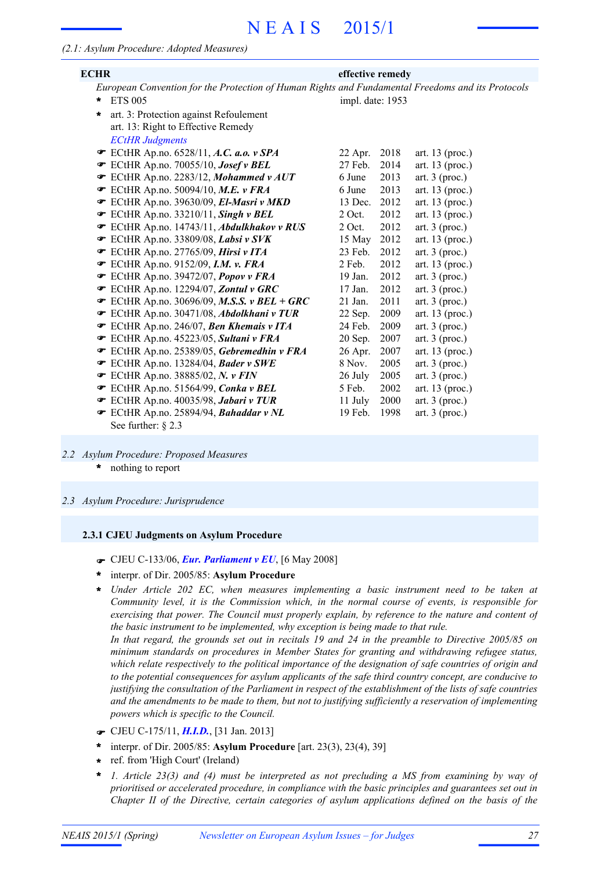| <b>ECHR</b>                                                                                       | effective remedy |      |                   |  |  |
|---------------------------------------------------------------------------------------------------|------------------|------|-------------------|--|--|
| European Convention for the Protection of Human Rights and Fundamental Freedoms and its Protocols |                  |      |                   |  |  |
| <b>ETS 005</b><br>*                                                                               | impl. date: 1953 |      |                   |  |  |
| art. 3: Protection against Refoulement<br>$\star$                                                 |                  |      |                   |  |  |
| art. 13: Right to Effective Remedy                                                                |                  |      |                   |  |  |
| <b>ECtHR Judgments</b>                                                                            |                  |      |                   |  |  |
| <b>■</b> ECtHR Ap.no. 6528/11, A.C. a.o. v SPA                                                    | 22 Apr.          | 2018 | art. $13$ (proc.) |  |  |
| ECtHR Ap.no. 70055/10, Josef v BEL                                                                | 27 Feb.          | 2014 | art. $13$ (proc.) |  |  |
| <b>■</b> ECtHR Ap.no. 2283/12, Mohammed v AUT                                                     | 6 June           | 2013 | art. $3$ (proc.)  |  |  |
| <b>ECtHR Ap.no. 50094/10, M.E. v FRA</b>                                                          | 6 June           | 2013 | art. $13$ (proc.) |  |  |
| ECtHR Ap.no. 39630/09, El-Masri v MKD                                                             | 13 Dec.          | 2012 | art. 13 (proc.)   |  |  |
| $\bullet$ ECtHR Ap.no. 33210/11, Singh v BEL                                                      | $2$ Oct.         | 2012 | art. $13$ (proc.) |  |  |
| ECtHR Ap.no. 14743/11, Abdulkhakov v RUS                                                          | $2$ Oct.         | 2012 | art. $3$ (proc.)  |  |  |
| $\mathcal{F}$ ECtHR Ap.no. 33809/08, Labsi v SVK                                                  | 15 May           | 2012 | art. $13$ (proc.) |  |  |
| ECtHR Ap.no. 27765/09, Hirsi v ITA                                                                | 23 Feb.          | 2012 | art. $3$ (proc.)  |  |  |
| <b>EXAMPLE 2152/09, I.M. v. FRA</b>                                                               | $2$ Feb.         | 2012 | art. 13 (proc.)   |  |  |
| ECtHR Ap.no. 39472/07, Popov v FRA                                                                | 19 Jan.          | 2012 | art. $3$ (proc.)  |  |  |
| ECtHR Ap.no. 12294/07, Zontul v GRC                                                               | 17 Jan.          | 2012 | art. $3$ (proc.)  |  |  |
| $\bullet$ ECtHR Ap.no. 30696/09, M.S.S. v BEL + GRC                                               | $21$ Jan.        | 2011 | art. $3$ (proc.)  |  |  |
| <b>■</b> ECtHR Ap.no. 30471/08, Abdolkhani v TUR                                                  | 22 Sep.          | 2009 | art. $13$ (proc.) |  |  |
| <b>ECtHR Ap.no. 246/07, Ben Khemais v ITA</b>                                                     | 24 Feb.          | 2009 | art. $3$ (proc.)  |  |  |
| ECtHR Ap.no. 45223/05, Sultani v FRA                                                              | 20 Sep.          | 2007 | art. $3$ (proc.)  |  |  |
| ECtHR Ap.no. 25389/05, Gebremedhin v FRA                                                          | 26 Apr.          | 2007 | art. $13$ (proc.) |  |  |
| ECtHR Ap.no. 13284/04, Bader v SWE                                                                | 8 Nov.           | 2005 | art. $3$ (proc.)  |  |  |
| $\blacktriangleright$ ECtHR Ap.no. 38885/02, N. v FIN                                             | 26 July          | 2005 | art. $3$ (proc.)  |  |  |
| ECtHR Ap.no. 51564/99, Conka v BEL                                                                | 5 Feb.           | 2002 | art. 13 (proc.)   |  |  |
| ECtHR Ap.no. 40035/98, Jabari v TUR                                                               | 11 July          | 2000 | art. $3$ (proc.)  |  |  |
| ECtHR Ap.no. 25894/94, Bahaddar v NL                                                              | 19 Feb.          | 1998 | art. $3$ (proc.)  |  |  |
| See further: $\S$ 2.3                                                                             |                  |      |                   |  |  |

- *2.2 Asylum Procedure: Proposed Measures*
	- nothing to report **\***
- *2.3 Asylum Procedure: Jurisprudence*

#### **2.3.1 CJEU Judgments on Asylum Procedure**

- F CJEU C-133/06, *Eur. Parliament v EU*, [6 May 2008]
- interpr. of Dir. 2005/85: **Asylum Procedure \***
- *Under Article 202 EC, when measures implementing a basic instrument need to be taken at* **\*** *Community level, it is the Commission which, in the normal course of events, is responsible for exercising that power. The Council must properly explain, by reference to the nature and content of the basic instrument to be implemented, why exception is being made to that rule.* In that regard, the grounds set out in recitals 19 and 24 in the preamble to Directive 2005/85 on

*minimum standards on procedures in Member States for granting and withdrawing refugee status, which relate respectively to the political importance of the designation of safe countries of origin and to the potential consequences for asylum applicants of the safe third country concept, are conducive to* justifying the consultation of the Parliament in respect of the establishment of the lists of safe countries *and the amendments to be made to them, but not to justifying sufficiently a reservation of implementing powers which is specific to the Council.*

- F CJEU C-175/11, *H.I.D.*, [31 Jan. 2013]
- interpr. of Dir. 2005/85: **Asylum Procedure** [art. 23(3), 23(4), 39] **\***
- ref. from 'High Court' (Ireland) **\***
- *1. Article 23(3) and (4) must be interpreted as not precluding a MS from examining by way of prioritised or accelerated procedure, in compliance with the basic principles and guarantees set out in Chapter II of the Directive, certain categories of asylum applications defined on the basis of the* **\***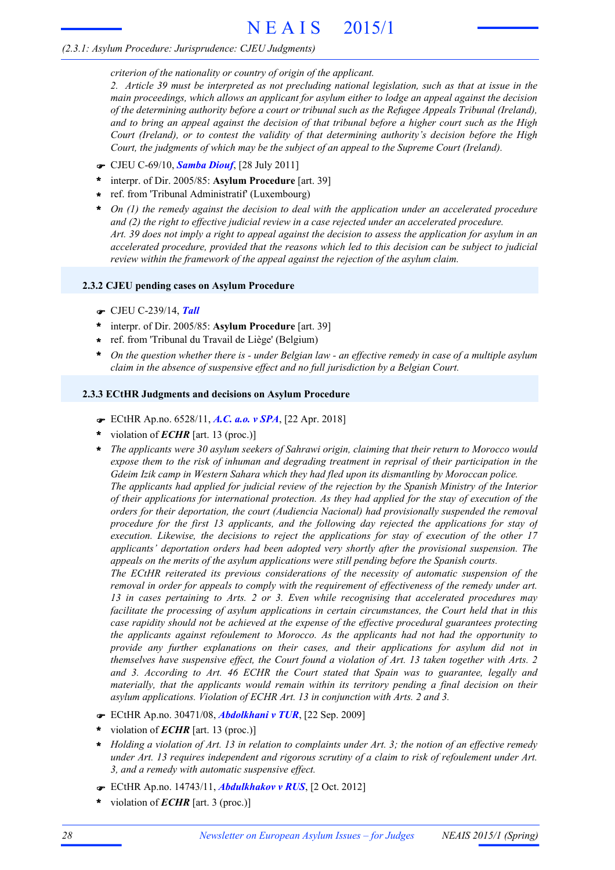#### *criterion of the nationality or country of origin of the applicant.*

2. Article 39 must be interpreted as not precluding national legislation, such as that at issue in the *main proceedings, which allows an applicant for asylum either to lodge an appeal against the decision of the determining authority before a court or tribunal such as the Refugee Appeals Tribunal (Ireland),* and to bring an appeal against the decision of that tribunal before a higher court such as the High *Court (Ireland), or to contest the validity of that determining authority's decision before the High Court, the judgments of which may be the subject of an appeal to the Supreme Court (Ireland).*

- F CJEU C-69/10, *Samba Diouf*, [28 July 2011]
- interpr. of Dir. 2005/85: **Asylum Procedure** [art. 39] **\***
- ref. from 'Tribunal Administratif' (Luxembourg) **\***
- *On (1) the remedy against the decision to deal with the application under an accelerated procedure and (2) the right to effective judicial review in a case rejected under an accelerated procedure.* Art. 39 does not imply a right to appeal against the decision to assess the application for asylum in an *accelerated procedure, provided that the reasons which led to this decision can be subject to judicial review within the framework of the appeal against the rejection of the asylum claim.* **\***

#### **2.3.2 CJEU pending cases on Asylum Procedure**

- F CJEU C-239/14, *Tall*
- interpr. of Dir. 2005/85: **Asylum Procedure** [art. 39] **\***
- ref. from 'Tribunal du Travail de Liège' (Belgium) **\***
- On the question whether there is under Belgian law an effective remedy in case of a multiple asylum *claim in the absence of suspensive effect and no full jurisdiction by a Belgian Court.* **\***

#### **2.3.3 ECtHR Judgments and decisions on Asylum Procedure**

- F ECtHR Ap.no. 6528/11, *A.C. a.o. v SPA*, [22 Apr. 2018]
- violation of *ECHR* [art. 13 (proc.)] **\***
- *The applicants were 30 asylum seekers of Sahrawi origin, claiming that their return to Morocco would* **\*** *expose them to the risk of inhuman and degrading treatment in reprisal of their participation in the Gdeim Izik camp in Western Sahara which they had fled upon its dismantling by Moroccan police. The applicants had applied for judicial review of the rejection by the Spanish Ministry of the Interior of their applications for international protection. As they had applied for the stay of execution of the orders for their deportation, the court (Audiencia Nacional) had provisionally suspended the removal procedure for the first 13 applicants, and the following day rejected the applications for stay of execution. Likewise, the decisions to reject the applications for stay of execution of the other 17 applicants' deportation orders had been adopted very shortly after the provisional suspension. The appeals on the merits of the asylum applications were still pending before the Spanish courts.*

*The ECtHR reiterated its previous considerations of the necessity of automatic suspension of the removal in order for appeals to comply with the requirement of effectiveness of the remedy under art. 13 in cases pertaining to Arts. 2 or 3. Even while recognising that accelerated procedures may facilitate the processing of asylum applications in certain circumstances, the Court held that in this case rapidity should not be achieved at the expense of the effective procedural guarantees protecting the applicants against refoulement to Morocco. As the applicants had not had the opportunity to provide any further explanations on their cases, and their applications for asylum did not in themselves have suspensive effect, the Court found a violation of Art. 13 taken together with Arts. 2 and 3. According to Art. 46 ECHR the Court stated that Spain was to guarantee, legally and materially, that the applicants would remain within its territory pending a final decision on their asylum applications. Violation of ECHR Art. 13 in conjunction with Arts. 2 and 3.*

- F ECtHR Ap.no. 30471/08, *Abdolkhani v TUR*, [22 Sep. 2009]
- violation of *ECHR* [art. 13 (proc.)] **\***
- Holding a violation of Art. 13 in relation to complaints under Art. 3; the notion of an effective remedy *under Art. 13 requires independent and rigorous scrutiny of a claim to risk of refoulement under Art. 3, and a remedy with automatic suspensive effect.* **\***
- F ECtHR Ap.no. 14743/11, *Abdulkhakov v RUS*, [2 Oct. 2012]
- violation of *ECHR* [art. 3 (proc.)] **\***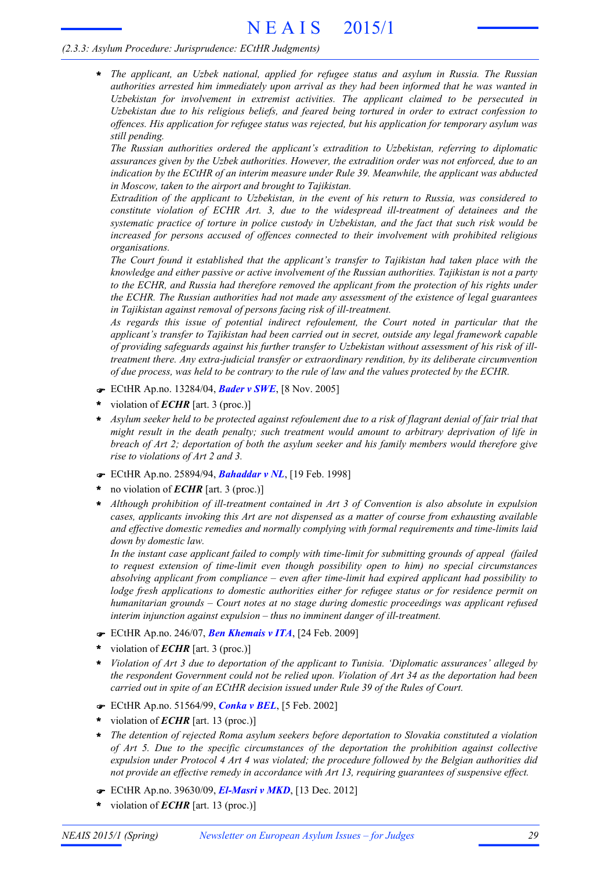*The applicant, an Uzbek national, applied for refugee status and asylum in Russia. The Russian authorities arrested him immediately upon arrival as they had been informed that he was wanted in Uzbekistan for involvement in extremist activities. The applicant claimed to be persecuted in Uzbekistan due to his religious beliefs, and feared being tortured in order to extract confession to offences. His application for refugee status was rejected, but his application for temporary asylum was still pending.* **\***

*The Russian authorities ordered the applicant's extradition to Uzbekistan, referring to diplomatic assurances given by the Uzbek authorities. However, the extradition order was not enforced, due to an indication by the ECtHR of an interim measure under Rule 39. Meanwhile, the applicant was abducted in Moscow, taken to the airport and brought to Tajikistan.*

*Extradition of the applicant to Uzbekistan, in the event of his return to Russia, was considered to constitute violation of ECHR Art. 3, due to the widespread ill-treatment of detainees and the systematic practice of torture in police custody in Uzbekistan, and the fact that such risk would be increased for persons accused of offences connected to their involvement with prohibited religious organisations.*

*The Court found it established that the applicant's transfer to Tajikistan had taken place with the knowledge and either passive or active involvement of the Russian authorities. Tajikistan is not a party to the ECHR, and Russia had therefore removed the applicant from the protection of his rights under the ECHR. The Russian authorities had not made any assessment of the existence of legal guarantees in Tajikistan against removal of persons facing risk of ill-treatment.*

*As regards this issue of potential indirect refoulement, the Court noted in particular that the applicant's transfer to Tajikistan had been carried out in secret, outside any legal framework capable of providing safeguards against his further transfer to Uzbekistan without assessment of his risk of illtreatment there. Any extra-judicial transfer or extraordinary rendition, by its deliberate circumvention of due process, was held to be contrary to the rule of law and the values protected by the ECHR.*

- F ECtHR Ap.no. 13284/04, *Bader v SWE*, [8 Nov. 2005]
- violation of *ECHR* [art. 3 (proc.)] **\***
- Asylum seeker held to be protected against refoulement due to a risk of flagrant denial of fair trial that *might result in the death penalty; such treatment would amount to arbitrary deprivation of life in breach of Art 2; deportation of both the asylum seeker and his family members would therefore give rise to violations of Art 2 and 3.* **\***
- F ECtHR Ap.no. 25894/94, *Bahaddar v NL*, [19 Feb. 1998]
- no violation of *ECHR* [art. 3 (proc.)] **\***
- *Although prohibition of ill-treatment contained in Art 3 of Convention is also absolute in expulsion cases, applicants invoking this Art are not dispensed as a matter of course from exhausting available and effective domestic remedies and normally complying with formal requirements and time-limits laid down by domestic law.* **\***

*In the instant case applicant failed to comply with time-limit for submitting grounds of appeal (failed to request extension of time-limit even though possibility open to him) no special circumstances absolving applicant from compliance – even after time-limit had expired applicant had possibility to lodge fresh applications to domestic authorities either for refugee status or for residence permit on humanitarian grounds – Court notes at no stage during domestic proceedings was applicant refused interim injunction against expulsion – thus no imminent danger of ill-treatment.*

- F ECtHR Ap.no. 246/07, *Ben Khemais v ITA*, [24 Feb. 2009]
- violation of *ECHR* [art. 3 (proc.)] **\***
- *Violation of Art 3 due to deportation of the applicant to Tunisia. 'Diplomatic assurances' alleged by the respondent Government could not be relied upon. Violation of Art 34 as the deportation had been carried out in spite of an ECtHR decision issued under Rule 39 of the Rules of Court.* **\***
- F ECtHR Ap.no. 51564/99, *Conka v BEL*, [5 Feb. 2002]
- violation of *ECHR* [art. 13 (proc.)] **\***
- *The detention of rejected Roma asylum seekers before deportation to Slovakia constituted a violation of Art 5. Due to the specific circumstances of the deportation the prohibition against collective expulsion under Protocol 4 Art 4 was violated; the procedure followed by the Belgian authorities did not provide an effective remedy in accordance with Art 13, requiring guarantees of suspensive effect.* **\***
- F ECtHR Ap.no. 39630/09, *El-Masri v MKD*, [13 Dec. 2012]
- violation of *ECHR* [art. 13 (proc.)] **\***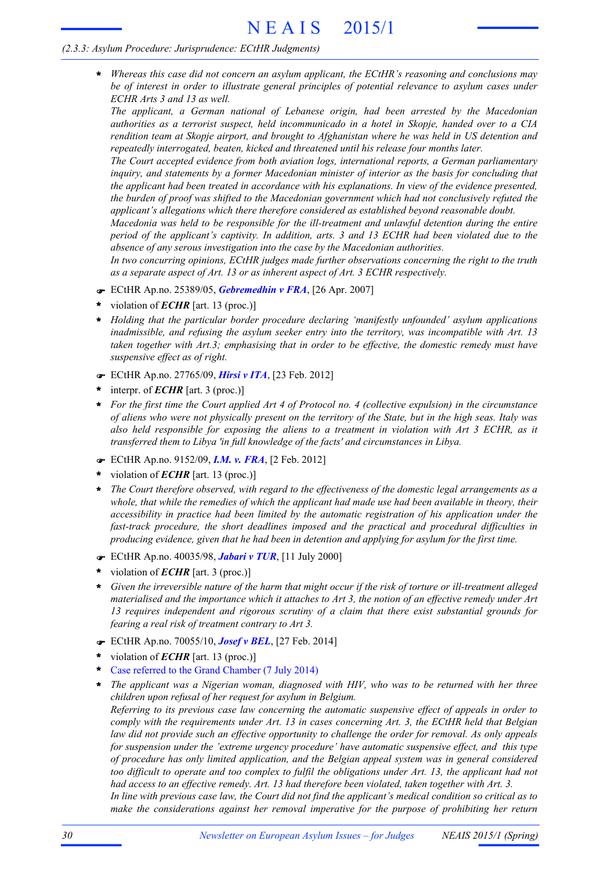*Whereas this case did not concern an asylum applicant, the ECtHR's reasoning and conclusions may be of interest in order to illustrate general principles of potential relevance to asylum cases under ECHR Arts 3 and 13 as well.* **\***

*The applicant, a German national of Lebanese origin, had been arrested by the Macedonian authorities as a terrorist suspect, held incommunicado in a hotel in Skopje, handed over to a CIA rendition team at Skopje airport, and brought to Afghanistan where he was held in US detention and repeatedly interrogated, beaten, kicked and threatened until his release four months later.*

*The Court accepted evidence from both aviation logs, international reports, a German parliamentary inquiry, and statements by a former Macedonian minister of interior as the basis for concluding that the applicant had been treated in accordance with his explanations. In view of the evidence presented, the burden of proof was shifted to the Macedonian government which had not conclusively refuted the applicant's allegations which there therefore considered as established beyond reasonable doubt.*

*Macedonia was held to be responsible for the ill-treatment and unlawful detention during the entire period of the applicant's captivity. In addition, arts. 3 and 13 ECHR had been violated due to the absence of any serous investigation into the case by the Macedonian authorities.*

*In two concurring opinions, ECtHR judges made further observations concerning the right to the truth as a separate aspect of Art. 13 or as inherent aspect of Art. 3 ECHR respectively.*

- F ECtHR Ap.no. 25389/05, *Gebremedhin v FRA*, [26 Apr. 2007]
- violation of *ECHR* [art. 13 (proc.)] **\***
- *Holding that the particular border procedure declaring 'manifestly unfounded' asylum applications* **\*** *inadmissible, and refusing the asylum seeker entry into the territory, was incompatible with Art. 13 taken together with Art.3; emphasising that in order to be effective, the domestic remedy must have suspensive effect as of right.*
- F ECtHR Ap.no. 27765/09, *Hirsi v ITA*, [23 Feb. 2012]
- interpr. of *ECHR* [art. 3 (proc.)] **\***
- \* For the first time the Court applied Art 4 of Protocol no. 4 (collective expulsion) in the circumstance of aliens who were not physically present on the territory of the State, but in the high seas. Italy was *also held responsible for exposing the aliens to a treatment in violation with Art 3 ECHR, as it transferred them to Libya 'in full knowledge of the facts' and circumstances in Libya.*
- F ECtHR Ap.no. 9152/09, *I.M. v. FRA*, [2 Feb. 2012]
- violation of *ECHR* [art. 13 (proc.)] **\***
- *The Court therefore observed, with regard to the effectiveness of the domestic legal arrangements as a* whole, that while the remedies of which the applicant had made use had been available in theory, their *accessibility in practice had been limited by the automatic registration of his application under the fast-track procedure, the short deadlines imposed and the practical and procedural difficulties in producing evidence, given that he had been in detention and applying for asylum for the first time.* **\***
- F ECtHR Ap.no. 40035/98, *Jabari v TUR*, [11 July 2000]
- violation of *ECHR* [art. 3 (proc.)] **\***
- \* Given the irreversible nature of the harm that might occur if the risk of torture or ill-treatment alleged materialised and the importance which it attaches to Art 3, the notion of an effective remedy under Art *13 requires independent and rigorous scrutiny of a claim that there exist substantial grounds for fearing a real risk of treatment contrary to Art 3.*
- F ECtHR Ap.no. 70055/10, *Josef v BEL*, [27 Feb. 2014]
- violation of *ECHR* [art. 13 (proc.)] **\***
- Case referred to the Grand Chamber (7 July 2014) **\***
- *The applicant was a Nigerian woman, diagnosed with HIV, who was to be returned with her three children upon refusal of her request for asylum in Belgium.* **\***

*Referring to its previous case law concerning the automatic suspensive effect of appeals in order to comply with the requirements under Art. 13 in cases concerning Art. 3, the ECtHR held that Belgian law did not provide such an effective opportunity to challenge the order for removal. As only appeals for suspension under the 'extreme urgency procedure' have automatic suspensive effect, and this type of procedure has only limited application, and the Belgian appeal system was in general considered* too difficult to operate and too complex to fulfil the obligations under Art. 13, the applicant had not *had access to an effective remedy. Art. 13 had therefore been violated, taken together with Art. 3.*

In line with previous case law, the Court did not find the applicant's medical condition so critical as to *make the considerations against her removal imperative for the purpose of prohibiting her return*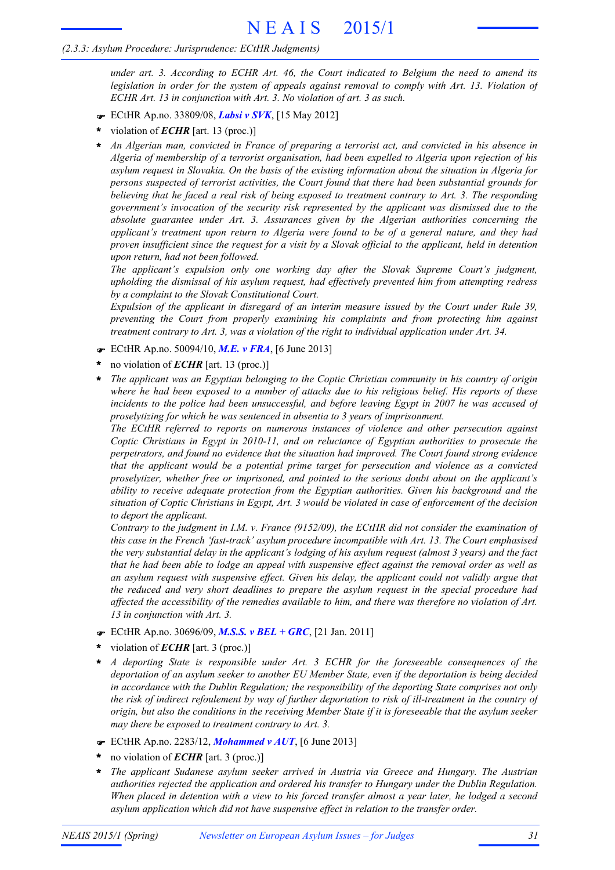*under art. 3. According to ECHR Art. 46, the Court indicated to Belgium the need to amend its legislation in order for the system of appeals against removal to comply with Art. 13. Violation of ECHR Art. 13 in conjunction with Art. 3. No violation of art. 3 as such.*

- F ECtHR Ap.no. 33809/08, *Labsi v SVK*, [15 May 2012]
- violation of *ECHR* [art. 13 (proc.)] **\***
- *An Algerian man, convicted in France of preparing a terrorist act, and convicted in his absence in Algeria of membership of a terrorist organisation, had been expelled to Algeria upon rejection of his asylum request in Slovakia. On the basis of the existing information about the situation in Algeria for persons suspected of terrorist activities, the Court found that there had been substantial grounds for* believing that he faced a real risk of being exposed to treatment contrary to Art. 3. The responding *government's invocation of the security risk represented by the applicant was dismissed due to the absolute guarantee under Art. 3. Assurances given by the Algerian authorities concerning the applicant's treatment upon return to Algeria were found to be of a general nature, and they had* proven insufficient since the request for a visit by a Slovak official to the applicant, held in detention *upon return, had not been followed.* **\***

*The applicant's expulsion only one working day after the Slovak Supreme Court's judgment, upholding the dismissal of his asylum request, had effectively prevented him from attempting redress by a complaint to the Slovak Constitutional Court.*

*Expulsion of the applicant in disregard of an interim measure issued by the Court under Rule 39, preventing the Court from properly examining his complaints and from protecting him against treatment contrary to Art. 3, was a violation of the right to individual application under Art. 34.*

- F ECtHR Ap.no. 50094/10, *M.E. v FRA*, [6 June 2013]
- no violation of *ECHR* [art. 13 (proc.)] **\***
- *The applicant was an Egyptian belonging to the Coptic Christian community in his country of origin* where he had been exposed to a number of attacks due to his religious belief. His reports of these *incidents to the police had been unsuccessful, and before leaving Egypt in 2007 he was accused of proselytizing for which he was sentenced in absentia to 3 years of imprisonment.* **\***

*The ECtHR referred to reports on numerous instances of violence and other persecution against Coptic Christians in Egypt in 2010-11, and on reluctance of Egyptian authorities to prosecute the perpetrators, and found no evidence that the situation had improved. The Court found strong evidence that the applicant would be a potential prime target for persecution and violence as a convicted proselytizer, whether free or imprisoned, and pointed to the serious doubt about on the applicant's ability to receive adequate protection from the Egyptian authorities. Given his background and the* situation of Coptic Christians in Egypt, Art. 3 would be violated in case of enforcement of the decision *to deport the applicant.*

*Contrary to the judgment in I.M. v. France (9152/09), the ECtHR did not consider the examination of this case in the French 'fast-track' asylum procedure incompatible with Art. 13. The Court emphasised* the very substantial delay in the applicant's lodging of his asylum request (almost 3 years) and the fact that he had been able to lodge an appeal with suspensive effect against the removal order as well as *an asylum request with suspensive effect. Given his delay, the applicant could not validly argue that the reduced and very short deadlines to prepare the asylum request in the special procedure had affected the accessibility of the remedies available to him, and there was therefore no violation of Art. 13 in conjunction with Art. 3.*

- F ECtHR Ap.no. 30696/09, *M.S.S. v BEL + GRC*, [21 Jan. 2011]
- violation of *ECHR* [art. 3 (proc.)] **\***
- *A deporting State is responsible under Art. 3 ECHR for the foreseeable consequences of the deportation of an asylum seeker to another EU Member State, even if the deportation is being decided in accordance with the Dublin Regulation; the responsibility of the deporting State comprises not only* the risk of indirect refoulement by way of further deportation to risk of ill-treatment in the country of origin, but also the conditions in the receiving Member State if it is foreseeable that the asylum seeker *may there be exposed to treatment contrary to Art. 3.* **\***
- F ECtHR Ap.no. 2283/12, *Mohammed v AUT*, [6 June 2013]
- no violation of *ECHR* [art. 3 (proc.)] **\***
- *The applicant Sudanese asylum seeker arrived in Austria via Greece and Hungary. The Austrian authorities rejected the application and ordered his transfer to Hungary under the Dublin Regulation.* When placed in detention with a view to his forced transfer almost a year later, he lodged a second *asylum application which did not have suspensive effect in relation to the transfer order.* **\***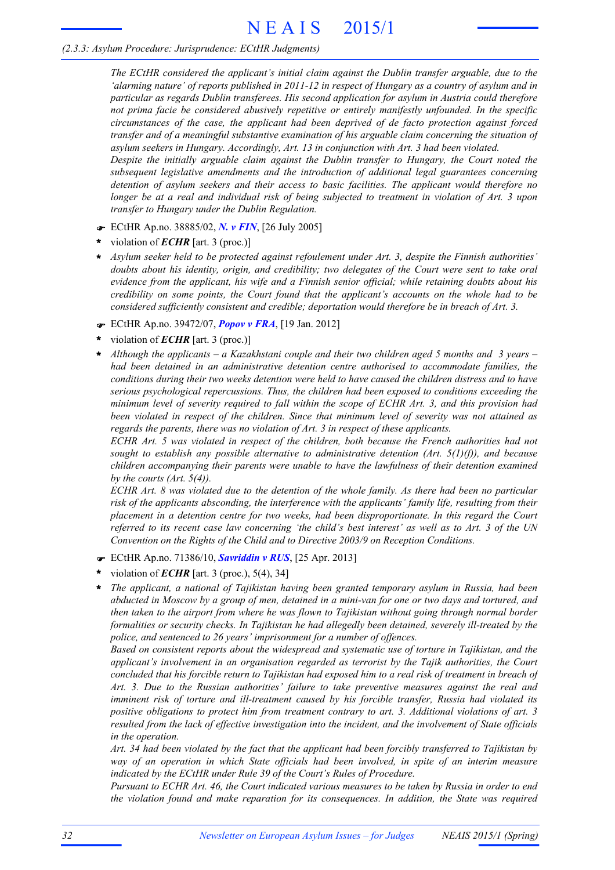*The ECtHR considered the applicant's initial claim against the Dublin transfer arguable, due to the* 'alarming nature' of reports published in 2011-12 in respect of Hungary as a country of asylum and in *particular as regards Dublin transferees. His second application for asylum in Austria could therefore not prima facie be considered abusively repetitive or entirely manifestly unfounded. In the specific circumstances of the case, the applicant had been deprived of de facto protection against forced transfer and of a meaningful substantive examination of his arguable claim concerning the situation of asylum seekers in Hungary. Accordingly, Art. 13 in conjunction with Art. 3 had been violated.*

*Despite the initially arguable claim against the Dublin transfer to Hungary, the Court noted the subsequent legislative amendments and the introduction of additional legal guarantees concerning detention of asylum seekers and their access to basic facilities. The applicant would therefore no* longer be at a real and individual risk of being subjected to treatment in violation of Art. 3 upon *transfer to Hungary under the Dublin Regulation.*

- F ECtHR Ap.no. 38885/02, *N. v FIN*, [26 July 2005]
- violation of *ECHR* [art. 3 (proc.)] **\***
- *Asylum seeker held to be protected against refoulement under Art. 3, despite the Finnish authorities' doubts about his identity, origin, and credibility; two delegates of the Court were sent to take oral evidence from the applicant, his wife and a Finnish senior official; while retaining doubts about his credibility on some points, the Court found that the applicant's accounts on the whole had to be considered sufficiently consistent and credible; deportation would therefore be in breach of Art. 3.* **\***
- F ECtHR Ap.no. 39472/07, *Popov v FRA*, [19 Jan. 2012]
- violation of *ECHR* [art. 3 (proc.)] **\***
- *Although the applicants – a Kazakhstani couple and their two children aged 5 months and 3 years – had been detained in an administrative detention centre authorised to accommodate families, the conditions during their two weeks detention were held to have caused the children distress and to have serious psychological repercussions. Thus, the children had been exposed to conditions exceeding the minimum level of severity required to fall within the scope of ECHR Art. 3, and this provision had been violated in respect of the children. Since that minimum level of severity was not attained as regards the parents, there was no violation of Art. 3 in respect of these applicants.* **\***

*ECHR Art. 5 was violated in respect of the children, both because the French authorities had not sought to establish any possible alternative to administrative detention (Art. 5(1)(f)), and because children accompanying their parents were unable to have the lawfulness of their detention examined by the courts (Art. 5(4)).*

ECHR Art. 8 was violated due to the detention of the whole family. As there had been no particular *risk of the applicants absconding, the interference with the applicants' family life, resulting from their placement in a detention centre for two weeks, had been disproportionate. In this regard the Court* referred to its recent case law concerning 'the child's best interest' as well as to Art. 3 of the UN *Convention on the Rights of the Child and to Directive 2003/9 on Reception Conditions.*

- F ECtHR Ap.no. 71386/10, *Savriddin v RUS*, [25 Apr. 2013]
- violation of *ECHR* [art. 3 (proc.), 5(4), 34] **\***
- *The applicant, a national of Tajikistan having been granted temporary asylum in Russia, had been* abducted in Moscow by a group of men, detained in a mini-van for one or two days and tortured, and *then taken to the airport from where he was flown to Tajikistan without going through normal border formalities or security checks. In Tajikistan he had allegedly been detained, severely ill-treated by the police, and sentenced to 26 years' imprisonment for a number of offences.* **\***

*Based on consistent reports about the widespread and systematic use of torture in Tajikistan, and the applicant's involvement in an organisation regarded as terrorist by the Tajik authorities, the Court* concluded that his forcible return to Tajikistan had exposed him to a real risk of treatment in breach of *Art. 3. Due to the Russian authorities' failure to take preventive measures against the real and imminent risk of torture and ill-treatment caused by his forcible transfer, Russia had violated its positive obligations to protect him from treatment contrary to art. 3. Additional violations of art. 3 resulted from the lack of effective investigation into the incident, and the involvement of State officials in the operation.*

Art. 34 had been violated by the fact that the applicant had been forcibly transferred to Tajikistan by *way of an operation in which State officials had been involved, in spite of an interim measure indicated by the ECtHR under Rule 39 of the Court's Rules of Procedure.*

Pursuant to ECHR Art. 46, the Court indicated various measures to be taken by Russia in order to end *the violation found and make reparation for its consequences. In addition, the State was required*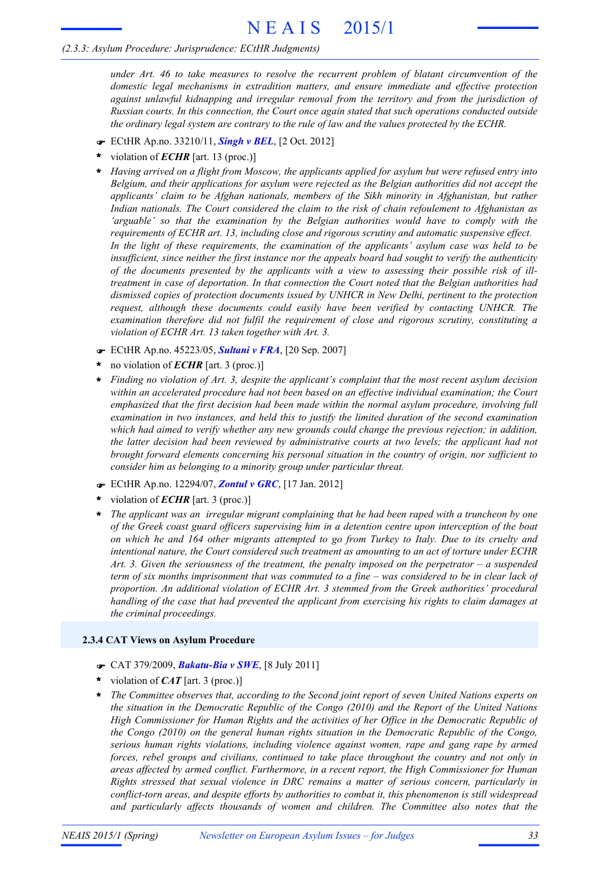*under Art. 46 to take measures to resolve the recurrent problem of blatant circumvention of the domestic legal mechanisms in extradition matters, and ensure immediate and effective protection against unlawful kidnapping and irregular removal from the territory and from the jurisdiction of Russian courts. In this connection, the Court once again stated that such operations conducted outside the ordinary legal system are contrary to the rule of law and the values protected by the ECHR.*

- F ECtHR Ap.no. 33210/11, *Singh v BEL*, [2 Oct. 2012]
- violation of *ECHR* [art. 13 (proc.)] **\***
- *Having arrived on a flight from Moscow, the applicants applied for asylum but were refused entry into Belgium, and their applications for asylum were rejected as the Belgian authorities did not accept the applicants' claim to be Afghan nationals, members of the Sikh minority in Afghanistan, but rather Indian nationals. The Court considered the claim to the risk of chain refoulement to Afghanistan as 'arguable' so that the examination by the Belgian authorities would have to comply with the requirements of ECHR art. 13, including close and rigorous scrutiny and automatic suspensive effect. In the light of these requirements, the examination of the applicants' asylum case was held to be insufficient, since neither the first instance nor the appeals board had sought to verify the authenticity of the documents presented by the applicants with a view to assessing their possible risk of illtreatment in case of deportation. In that connection the Court noted that the Belgian authorities had dismissed copies of protection documents issued by UNHCR in New Delhi, pertinent to the protection request, although these documents could easily have been verified by contacting UNHCR. The examination therefore did not fulfil the requirement of close and rigorous scrutiny, constituting a violation of ECHR Art. 13 taken together with Art. 3.* **\***
- F ECtHR Ap.no. 45223/05, *Sultani v FRA*, [20 Sep. 2007]
- no violation of *ECHR* [art. 3 (proc.)] **\***
- *Finding no violation of Art. 3, despite the applicant's complaint that the most recent asylum decision within an accelerated procedure had not been based on an effective individual examination; the Court emphasized that the first decision had been made within the normal asylum procedure, involving full examination in two instances, and held this to justify the limited duration of the second examination which had aimed to verify whether any new grounds could change the previous rejection; in addition, the latter decision had been reviewed by administrative courts at two levels; the applicant had not brought forward elements concerning his personal situation in the country of origin, nor sufficient to consider him as belonging to a minority group under particular threat.* **\***
- F ECtHR Ap.no. 12294/07, *Zontul v GRC*, [17 Jan. 2012]
- violation of *ECHR* [art. 3 (proc.)] **\***
- *The applicant was an irregular migrant complaining that he had been raped with a truncheon by one of the Greek coast guard officers supervising him in a detention centre upon interception of the boat* on which he and 164 other migrants attempted to go from Turkey to Italy. Due to its cruelty and *intentional nature, the Court considered such treatment as amounting to an act of torture under ECHR Art. 3. Given the seriousness of the treatment, the penalty imposed on the perpetrator – a suspended* term of six months imprisonment that was commuted to a fine  $-$  was considered to be in clear lack of *proportion. An additional violation of ECHR Art. 3 stemmed from the Greek authorities' procedural handling of the case that had prevented the applicant from exercising his rights to claim damages at the criminal proceedings.* **\***

#### **2.3.4 CAT Views on Asylum Procedure**

- F CAT 379/2009, *Bakatu-Bia v SWE*, [8 July 2011]
- violation of *CAT* [art. 3 (proc.)] **\***
- *The Committee observes that, according to the Second joint report of seven United Nations experts on the situation in the Democratic Republic of the Congo (2010) and the Report of the United Nations High Commissioner for Human Rights and the activities of her Office in the Democratic Republic of the Congo (2010) on the general human rights situation in the Democratic Republic of the Congo, serious human rights violations, including violence against women, rape and gang rape by armed forces, rebel groups and civilians, continued to take place throughout the country and not only in areas affected by armed conflict. Furthermore, in a recent report, the High Commissioner for Human Rights stressed that sexual violence in DRC remains a matter of serious concern, particularly in conflict-torn areas, and despite efforts by authorities to combat it, this phenomenon is still widespread and particularly affects thousands of women and children. The Committee also notes that the* **\***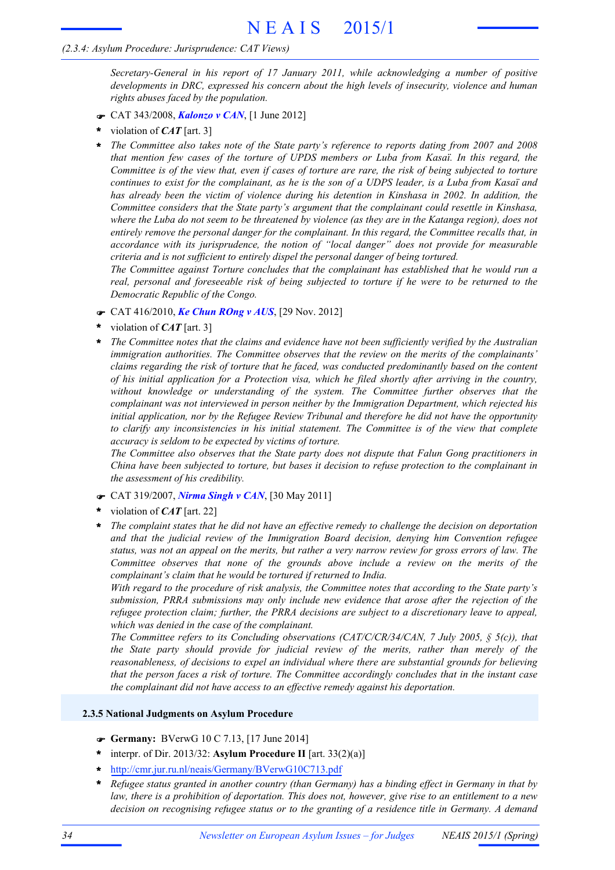#### *(2.3.4: Asylum Procedure: Jurisprudence: CAT Views)*

*Secretary-General in his report of 17 January 2011, while acknowledging a number of positive developments in DRC, expressed his concern about the high levels of insecurity, violence and human rights abuses faced by the population.*

- F CAT 343/2008, *Kalonzo v CAN*, [1 June 2012]
- violation of *CAT* [art. 3] **\***
- *The Committee also takes note of the State party's reference to reports dating from 2007 and 2008 that mention few cases of the torture of UPDS members or Luba from Kasaï. In this regard, the* Committee is of the view that, even if cases of torture are rare, the risk of being subjected to torture continues to exist for the complainant, as he is the son of a UDPS leader, is a Luba from Kasaï and *has already been the victim of violence during his detention in Kinshasa in 2002. In addition, the Committee considers that the State party's argument that the complainant could resettle in Kinshasa,* where the Luba do not seem to be threatened by violence (as they are in the Katanga region), does not *entirely remove the personal danger for the complainant. In this regard, the Committee recalls that, in accordance with its jurisprudence, the notion of "local danger" does not provide for measurable criteria and is not sufficient to entirely dispel the personal danger of being tortured.* **\***

*The Committee against Torture concludes that the complainant has established that he would run a real, personal and foreseeable risk of being subjected to torture if he were to be returned to the Democratic Republic of the Congo.*

- F CAT 416/2010, *Ke Chun ROng v AUS*, [29 Nov. 2012]
- violation of *CAT* [art. 3] **\***
- *The Committee notes that the claims and evidence have not been sufficiently verified by the Australian immigration authorities. The Committee observes that the review on the merits of the complainants' claims regarding the risk of torture that he faced, was conducted predominantly based on the content of his initial application for a Protection visa, which he filed shortly after arriving in the country, without knowledge or understanding of the system. The Committee further observes that the complainant was not interviewed in person neither by the Immigration Department, which rejected his initial application, nor by the Refugee Review Tribunal and therefore he did not have the opportunity to clarify any inconsistencies in his initial statement. The Committee is of the view that complete accuracy is seldom to be expected by victims of torture.* **\***

*The Committee also observes that the State party does not dispute that Falun Gong practitioners in China have been subjected to torture, but bases it decision to refuse protection to the complainant in the assessment of his credibility.*

- F CAT 319/2007, *Nirma Singh v CAN*, [30 May 2011]
- violation of *CAT* [art. 22] **\***
- *The complaint states that he did not have an effective remedy to challenge the decision on deportation and that the judicial review of the Immigration Board decision, denying him Convention refugee* status, was not an appeal on the merits, but rather a very narrow review for gross errors of law. The *Committee observes that none of the grounds above include a review on the merits of the complainant's claim that he would be tortured if returned to India.* **\***

*With regard to the procedure of risk analysis, the Committee notes that according to the State party's submission, PRRA submissions may only include new evidence that arose after the rejection of the refugee protection claim; further, the PRRA decisions are subject to a discretionary leave to appeal, which was denied in the case of the complainant.*

*The Committee refers to its Concluding observations (CAT/C/CR/34/CAN, 7 July 2005, § 5(c)), that the State party should provide for judicial review of the merits, rather than merely of the reasonableness, of decisions to expel an individual where there are substantial grounds for believing that the person faces a risk of torture. The Committee accordingly concludes that in the instant case the complainant did not have access to an effective remedy against his deportation.*

#### **2.3.5 National Judgments on Asylum Procedure**

- F **Germany:** BVerwG 10 C 7.13, [17 June 2014]
- interpr. of Dir. 2013/32: **Asylum Procedure II** [art. 33(2)(a)] **\***
- **\*** http://cmr.jur.ru.nl/neais/Germany/BVerwG10C713.pdf
- \* Refugee status granted in another country (than Germany) has a binding effect in Germany in that by law, there is a prohibition of deportation. This does not, however, give rise to an entitlement to a new *decision on recognising refugee status or to the granting of a residence title in Germany. A demand*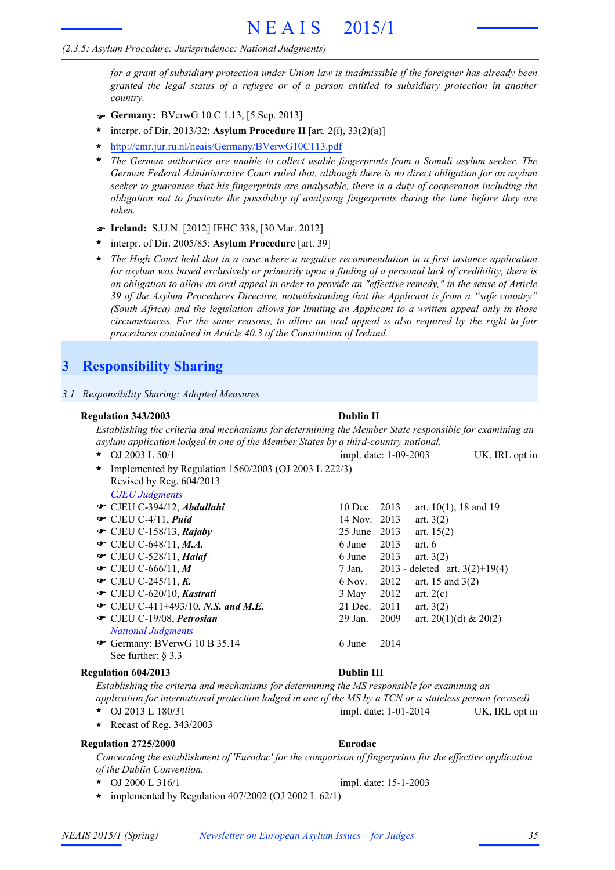#### *(2.3.5: Asylum Procedure: Jurisprudence: National Judgments)*

*for a grant of subsidiary protection under Union law is inadmissible if the foreigner has already been granted the legal status of a refugee or of a person entitled to subsidiary protection in another country.*

- F **Germany:** BVerwG 10 C 1.13, [5 Sep. 2013]
- interpr. of Dir. 2013/32: **Asylum Procedure II** [art. 2(i), 33(2)(a)] **\***
- **\*** http://cmr.jur.ru.nl/neais/Germany/BVerwG10C113.pdf
- *The German authorities are unable to collect usable fingerprints from a Somali asylum seeker. The German Federal Administrative Court ruled that, although there is no direct obligation for an asylum seeker to guarantee that his fingerprints are analysable, there is a duty of cooperation including the obligation not to frustrate the possibility of analysing fingerprints during the time before they are taken.* **\***
- F **Ireland:** S.U.N. [2012] IEHC 338, [30 Mar. 2012]
- interpr. of Dir. 2005/85: **Asylum Procedure** [art. 39] **\***
- *The High Court held that in a case where a negative recommendation in a first instance application* for asylum was based exclusively or primarily upon a finding of a personal lack of credibility, there is an obligation to allow an oral appeal in order to provide an "effective remedy," in the sense of Article *39 of the Asylum Procedures Directive, notwithstanding that the Applicant is from a "safe country" (South Africa) and the legislation allows for limiting an Applicant to a written appeal only in those circumstances. For the same reasons, to allow an oral appeal is also required by the right to fair procedures contained in Article 40.3 of the Constitution of Ireland.* **\***

# **3 Responsibility Sharing**

|                                                                                    | 3.1 Responsibility Sharing: Adopted Measures                                                 |                                                                                                            |  |  |  |
|------------------------------------------------------------------------------------|----------------------------------------------------------------------------------------------|------------------------------------------------------------------------------------------------------------|--|--|--|
|                                                                                    | <b>Regulation 343/2003</b>                                                                   | <b>Dublin II</b>                                                                                           |  |  |  |
|                                                                                    |                                                                                              | Establishing the criteria and mechanisms for determining the Member State responsible for examining an     |  |  |  |
| asylum application lodged in one of the Member States by a third-country national. |                                                                                              |                                                                                                            |  |  |  |
|                                                                                    | OJ 2003 L 50/1<br>$\star$                                                                    | impl. date: 1-09-2003<br>UK, IRL opt in                                                                    |  |  |  |
|                                                                                    | Implemented by Regulation 1560/2003 (OJ 2003 L 222/3)<br>$\ast$<br>Revised by Reg. 604/2013  |                                                                                                            |  |  |  |
|                                                                                    | <b>CJEU Judgments</b>                                                                        |                                                                                                            |  |  |  |
|                                                                                    | CJEU C-394/12, Abdullahi                                                                     | 10 Dec. 2013<br>art. $10(1)$ , 18 and 19                                                                   |  |  |  |
|                                                                                    | $\bullet$ CJEU C-4/11, Puid                                                                  | 14 Nov.<br>2013<br>art. $3(2)$                                                                             |  |  |  |
|                                                                                    | $\bullet$ CJEU C-158/13, Rajaby                                                              | 2013<br>25 June<br>art. $15(2)$                                                                            |  |  |  |
|                                                                                    | $\bullet$ CJEU C-648/11, M.A.                                                                | 6 June<br>2013<br>art. $6$                                                                                 |  |  |  |
|                                                                                    | CJEU C-528/11, Halaf                                                                         | 6 June<br>2013<br>art. $3(2)$                                                                              |  |  |  |
|                                                                                    | $\bullet$ CJEU C-666/11, M                                                                   | 2013 - deleted art. $3(2)+19(4)$<br>7 Jan.                                                                 |  |  |  |
|                                                                                    | • CJEU C-245/11, K.                                                                          | 6 Nov.<br>2012<br>art. 15 and $3(2)$                                                                       |  |  |  |
|                                                                                    | CJEU C-620/10, Kastrati                                                                      | 2012<br>3 May<br>art. $2(c)$                                                                               |  |  |  |
|                                                                                    | • CJEU C-411+493/10, N.S. and M.E.                                                           | $21$ Dec.<br>2011<br>art. $3(2)$                                                                           |  |  |  |
|                                                                                    | CJEU C-19/08, Petrosian                                                                      | 29 Jan.<br>2009<br>art. 20(1)(d) & 20(2)                                                                   |  |  |  |
|                                                                                    | <b>National Judgments</b>                                                                    |                                                                                                            |  |  |  |
|                                                                                    | Germany: BVerwG 10 B 35.14<br>See further: $\S$ 3.3                                          | 6 June<br>2014                                                                                             |  |  |  |
|                                                                                    | <b>Regulation 604/2013</b>                                                                   | <b>Dublin III</b>                                                                                          |  |  |  |
|                                                                                    | Establishing the criteria and mechanisms for determining the MS responsible for examining an | application for international protection lodged in one of the MS by a TCN or a stateless person (revised)  |  |  |  |
|                                                                                    | OJ 2013 L 180/31<br>*                                                                        | impl. date: 1-01-2014<br>UK, IRL opt in                                                                    |  |  |  |
|                                                                                    | Recast of Reg. 343/2003<br>$\star$                                                           |                                                                                                            |  |  |  |
|                                                                                    | <b>Regulation 2725/2000</b>                                                                  | Eurodac                                                                                                    |  |  |  |
|                                                                                    | of the Dublin Convention.                                                                    | Concerning the establishment of 'Eurodac' for the comparison of fingerprints for the effective application |  |  |  |
|                                                                                    | OJ 2000 L 316/1<br>*                                                                         | impl. date: 15-1-2003                                                                                      |  |  |  |

**\*** implemented by Regulation 407/2002 (OJ 2002 L 62/1)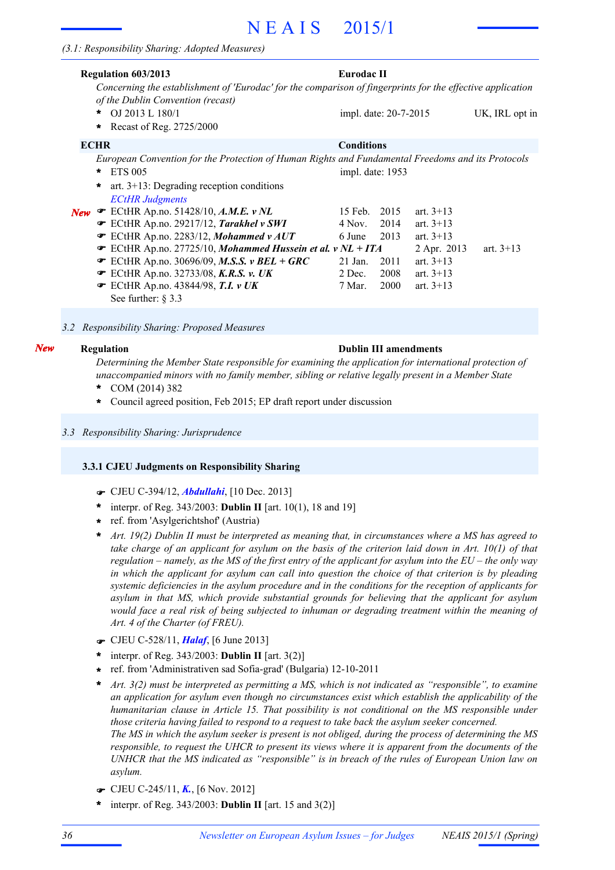|            | <b>Regulation 603/2013</b>                                                                                                                      | Eurodac II            |      |             |                |  |  |
|------------|-------------------------------------------------------------------------------------------------------------------------------------------------|-----------------------|------|-------------|----------------|--|--|
|            | Concerning the establishment of 'Eurodac' for the comparison of fingerprints for the effective application<br>of the Dublin Convention (recast) |                       |      |             |                |  |  |
|            | OJ 2013 L 180/1<br>$\star$                                                                                                                      | impl. date: 20-7-2015 |      |             | UK, IRL opt in |  |  |
|            | Recast of Reg. 2725/2000<br>$\ast$                                                                                                              |                       |      |             |                |  |  |
|            | <b>ECHR</b>                                                                                                                                     | <b>Conditions</b>     |      |             |                |  |  |
|            | European Convention for the Protection of Human Rights and Fundamental Freedoms and its Protocols                                               |                       |      |             |                |  |  |
|            | <b>ETS 005</b><br>$\star$                                                                                                                       | impl. date: 1953      |      |             |                |  |  |
|            | art. $3+13$ : Degrading reception conditions<br>$\star$                                                                                         |                       |      |             |                |  |  |
|            | <b>ECtHR</b> Judgments                                                                                                                          |                       |      |             |                |  |  |
| <b>New</b> | $\blacktriangleright$ ECtHR Ap.no. 51428/10, A.M.E. v NL                                                                                        | 15 Feb.               | 2015 | art. $3+13$ |                |  |  |
|            | ECtHR Ap.no. 29217/12, Tarakhel v SWI                                                                                                           | 4 Nov.                | 2014 | art. $3+13$ |                |  |  |
|            | ECtHR Ap.no. 2283/12, Mohammed v AUT                                                                                                            | 6 June                | 2013 | art. $3+13$ |                |  |  |
|            | <b>■</b> ECtHR Ap.no. 27725/10, Mohammed Hussein et al. v NL + ITA                                                                              |                       |      | 2 Apr. 2013 | art. $3+13$    |  |  |
|            | $\bullet$ ECtHR Ap.no. 30696/09, M.S.S. v BEL + GRC                                                                                             | $21$ Jan.             | 2011 | art. $3+13$ |                |  |  |
|            | $\mathcal{F}$ ECtHR Ap.no. 32733/08, K.R.S. v. UK                                                                                               | 2 Dec.                | 2008 | art. $3+13$ |                |  |  |
|            | $\mathcal$ ECtHR Ap.no. 43844/98, T.I. v UK                                                                                                     | 7 Mar.                | 2000 | art. $3+13$ |                |  |  |
|            | See further: $\S$ 3.3                                                                                                                           |                       |      |             |                |  |  |
|            |                                                                                                                                                 |                       |      |             |                |  |  |

*3.2 Responsibility Sharing: Proposed Measures*

#### *New*

#### **Regulation Dublin III amendments**

*Determining the Member State responsible for examining the application for international protection of unaccompanied minors with no family member, sibling or relative legally present in a Member State*

- COM (2014) 382 **\***
- **\*** Council agreed position, Feb 2015; EP draft report under discussion
- *3.3 Responsibility Sharing: Jurisprudence*

#### **3.3.1 CJEU Judgments on Responsibility Sharing**

- F CJEU C-394/12, *Abdullahi*, [10 Dec. 2013]
- \* interpr. of Reg. 343/2003: **Dublin II** [art. 10(1), 18 and 19]
- ref. from 'Asylgerichtshof' (Austria) **\***
- Art. 19(2) Dublin II must be interpreted as meaning that, in circumstances where a MS has agreed to take charge of an applicant for asylum on the basis of the criterion laid down in Art.  $10(1)$  of that regulation – namely, as the MS of the first entry of the applicant for asylum into the  $EU$  – the only way in which the applicant for asylum can call into question the choice of that criterion is by pleading *systemic deficiencies in the asylum procedure and in the conditions for the reception of applicants for asylum in that MS, which provide substantial grounds for believing that the applicant for asylum would face a real risk of being subjected to inhuman or degrading treatment within the meaning of Art. 4 of the Charter (of FREU).* **\***
- F CJEU C-528/11, *Halaf*, [6 June 2013]
- interpr. of Reg. 343/2003: **Dublin II** [art. 3(2)] **\***
- ref. from 'Administrativen sad Sofia-grad' (Bulgaria) 12-10-2011 **\***
- *Art. 3(2) must be interpreted as permitting a MS, which is not indicated as "responsible", to examine an application for asylum even though no circumstances exist which establish the applicability of the humanitarian clause in Article 15. That possibility is not conditional on the MS responsible under those criteria having failed to respond to a request to take back the asylum seeker concerned.* The MS in which the asylum seeker is present is not obliged, during the process of determining the MS responsible, to request the UHCR to present its views where it is apparent from the documents of the *UNHCR that the MS indicated as "responsible" is in breach of the rules of European Union law on asylum.* **\***
- F CJEU C-245/11, *K.*, [6 Nov. 2012]
- interpr. of Reg. 343/2003: **Dublin II** [art. 15 and 3(2)] **\***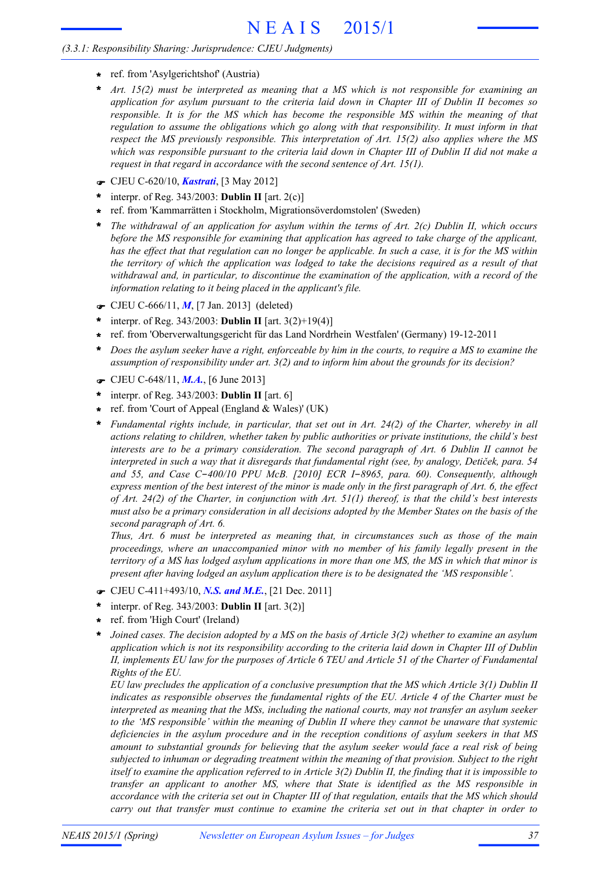#### *(3.3.1: Responsibility Sharing: Jurisprudence: CJEU Judgments)*

- **\*** ref. from 'Asylgerichtshof' (Austria)
- *Art. 15(2) must be interpreted as meaning that a MS which is not responsible for examining an application for asylum pursuant to the criteria laid down in Chapter III of Dublin II becomes so responsible. It is for the MS which has become the responsible MS within the meaning of that regulation to assume the obligations which go along with that responsibility. It must inform in that respect the MS previously responsible. This interpretation of Art. 15(2) also applies where the MS* which was responsible pursuant to the criteria laid down in Chapter III of Dublin II did not make a *request in that regard in accordance with the second sentence of Art. 15(1).* **\***
- F CJEU C-620/10, *Kastrati*, [3 May 2012]
- interpr. of Reg. 343/2003: **Dublin II** [art. 2(c)] **\***
- ref. from 'Kammarrätten i Stockholm, Migrationsöverdomstolen' (Sweden) **\***
- *The withdrawal of an application for asylum within the terms of Art. 2(c) Dublin II, which occurs before the MS responsible for examining that application has agreed to take charge of the applicant,* has the effect that that regulation can no longer be applicable. In such a case, it is for the MS within the territory of which the application was lodged to take the decisions required as a result of that *withdrawal and, in particular, to discontinue the examination of the application, with a record of the information relating to it being placed in the applicant's file.* **\***
- F CJEU C-666/11, *M*, [7 Jan. 2013] (deleted)
- interpr. of Reg. 343/2003: **Dublin II** [art. 3(2)+19(4)] **\***
- ref. from 'Oberverwaltungsgericht für das Land Nordrhein Westfalen' (Germany) 19-12-2011 **\***
- Does the asylum seeker have a right, enforceable by him in the courts, to require a MS to examine the *assumption of responsibility under art. 3(2) and to inform him about the grounds for its decision?* **\***
- F CJEU C-648/11, *M.A.*, [6 June 2013]
- interpr. of Reg. 343/2003: **Dublin II** [art. 6] **\***
- ref. from 'Court of Appeal (England & Wales)' (UK) **\***
- *Fundamental rights include, in particular, that set out in Art. 24(2) of the Charter, whereby in all actions relating to children, whether taken by public authorities or private institutions, the child's best interests are to be a primary consideration. The second paragraph of Art. 6 Dublin II cannot be* interpreted in such a way that it disregards that fundamental right (see, by analogy, Detiček, para. 54 *and 55, and Case C*-*400/10 PPU McB. [2010] ECR I*-*8965, para. 60). Consequently, although* express mention of the best interest of the minor is made only in the first paragraph of Art. 6, the effect of Art. 24(2) of the Charter, in conjunction with Art.  $51(1)$  thereof, is that the child's best interests must also be a primary consideration in all decisions adopted by the Member States on the basis of the *second paragraph of Art. 6.* **\***

*Thus, Art. 6 must be interpreted as meaning that, in circumstances such as those of the main proceedings, where an unaccompanied minor with no member of his family legally present in the* territory of a MS has lodged asylum applications in more than one MS, the MS in which that minor is *present after having lodged an asylum application there is to be designated the 'MS responsible'.*

- F CJEU C-411+493/10, *N.S. and M.E.*, [21 Dec. 2011]
- interpr. of Reg. 343/2003: **Dublin II** [art. 3(2)] **\***
- ref. from 'High Court' (Ireland) **\***
- Joined cases. The decision adopted by a MS on the basis of Article 3(2) whether to examine an asylum *application which is not its responsibility according to the criteria laid down in Chapter III of Dublin* II, implements EU law for the purposes of Article 6 TEU and Article 51 of the Charter of Fundamental *Rights of the EU.* **\***

*EU law precludes the application of a conclusive presumption that the MS which Article 3(1) Dublin II indicates as responsible observes the fundamental rights of the EU. Article 4 of the Charter must be interpreted as meaning that the MSs, including the national courts, may not transfer an asylum seeker to the 'MS responsible' within the meaning of Dublin II where they cannot be unaware that systemic deficiencies in the asylum procedure and in the reception conditions of asylum seekers in that MS amount to substantial grounds for believing that the asylum seeker would face a real risk of being subjected to inhuman or degrading treatment within the meaning of that provision. Subject to the right* itself to examine the application referred to in Article  $3(2)$  Dublin II, the finding that it is impossible to *transfer an applicant to another MS, where that State is identified as the MS responsible in* accordance with the criteria set out in Chapter III of that regulation, entails that the MS which should *carry out that transfer must continue to examine the criteria set out in that chapter in order to*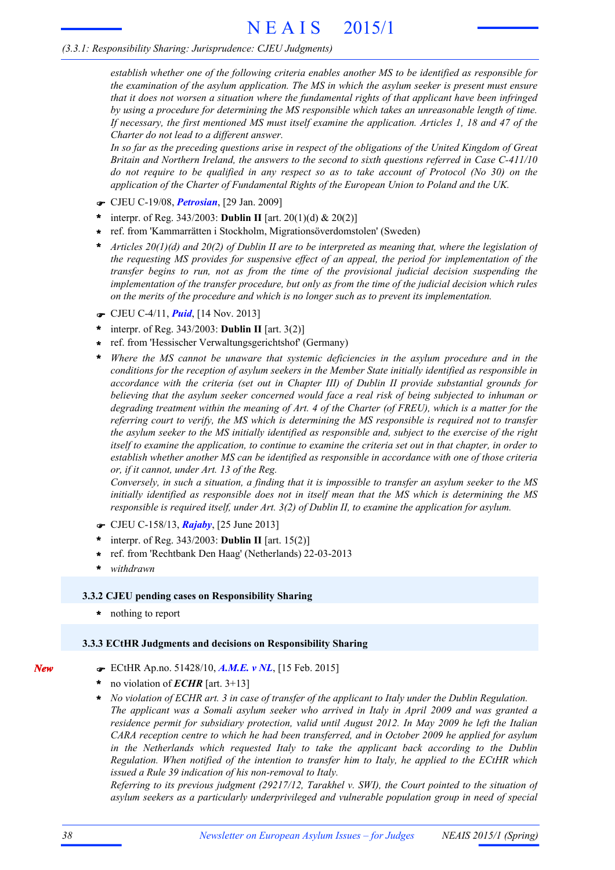#### *(3.3.1: Responsibility Sharing: Jurisprudence: CJEU Judgments)*

*establish whether one of the following criteria enables another MS to be identified as responsible for the examination of the asylum application. The MS in which the asylum seeker is present must ensure that it does not worsen a situation where the fundamental rights of that applicant have been infringed by using a procedure for determining the MS responsible which takes an unreasonable length of time.* If necessary, the first mentioned MS must itself examine the application. Articles 1, 18 and 47 of the *Charter do not lead to a different answer.*

In so far as the preceding questions arise in respect of the obligations of the United Kingdom of Great *Britain and Northern Ireland, the answers to the second to sixth questions referred in Case C-411/10* do not require to be qualified in any respect so as to take account of Protocol (No 30) on the *application of the Charter of Fundamental Rights of the European Union to Poland and the UK.*

- F CJEU C-19/08, *Petrosian*, [29 Jan. 2009]
- interpr. of Reg. 343/2003: **Dublin II** [art. 20(1)(d) & 20(2)] **\***
- ref. from 'Kammarrätten i Stockholm, Migrationsöverdomstolen' (Sweden) **\***
- Articles  $20(1)(d)$  and  $20(2)$  of Dublin II are to be interpreted as meaning that, where the legislation of *the requesting MS provides for suspensive effect of an appeal, the period for implementation of the transfer begins to run, not as from the time of the provisional judicial decision suspending the implementation of the transfer procedure, but only as from the time of the judicial decision which rules on the merits of the procedure and which is no longer such as to prevent its implementation.* **\***
- F CJEU C-4/11, *Puid*, [14 Nov. 2013]
- interpr. of Reg. 343/2003: **Dublin II** [art. 3(2)] **\***
- ref. from 'Hessischer Verwaltungsgerichtshof' (Germany) **\***
- *Where the MS cannot be unaware that systemic deficiencies in the asylum procedure and in the conditions for the reception of asylum seekers in the Member State initially identified as responsible in accordance with the criteria (set out in Chapter III) of Dublin II provide substantial grounds for believing that the asylum seeker concerned would face a real risk of being subjected to inhuman or* degrading treatment within the meaning of Art. 4 of the Charter (of FREU), which is a matter for the *referring court to verify, the MS which is determining the MS responsible is required not to transfer* the asylum seeker to the MS initially identified as responsible and, subject to the exercise of the right itself to examine the application, to continue to examine the criteria set out in that chapter, in order to *establish whether another MS can be identified as responsible in accordance with one of those criteria or, if it cannot, under Art. 13 of the Reg.* **\***

Conversely, in such a situation, a finding that it is impossible to transfer an asylum seeker to the MS *initially identified as responsible does not in itself mean that the MS which is determining the MS responsible is required itself, under Art. 3(2) of Dublin II, to examine the application for asylum.*

- F CJEU C-158/13, *Rajaby*, [25 June 2013]
- interpr. of Reg. 343/2003: **Dublin II** [art. 15(2)] **\***
- ref. from 'Rechtbank Den Haag' (Netherlands) 22-03-2013 **\***
- **\*** *withdrawn*

#### **3.3.2 CJEU pending cases on Responsibility Sharing**

**\*** nothing to report

#### **3.3.3 ECtHR Judgments and decisions on Responsibility Sharing**

- F ECtHR Ap.no. 51428/10, *A.M.E. v NL*, [15 Feb. 2015]
- no violation of *ECHR* [art. 3+13] **\***
- *No violation of ECHR art. 3 in case of transfer of the applicant to Italy under the Dublin Regulation. The applicant was a Somali asylum seeker who arrived in Italy in April 2009 and was granted a residence permit for subsidiary protection, valid until August 2012. In May 2009 he left the Italian CARA reception centre to which he had been transferred, and in October 2009 he applied for asylum in the Netherlands which requested Italy to take the applicant back according to the Dublin Regulation. When notified of the intention to transfer him to Italy, he applied to the ECtHR which issued a Rule 39 indication of his non-removal to Italy.* **\***

*Referring to its previous judgment (29217/12, Tarakhel v. SWI), the Court pointed to the situation of asylum seekers as a particularly underprivileged and vulnerable population group in need of special*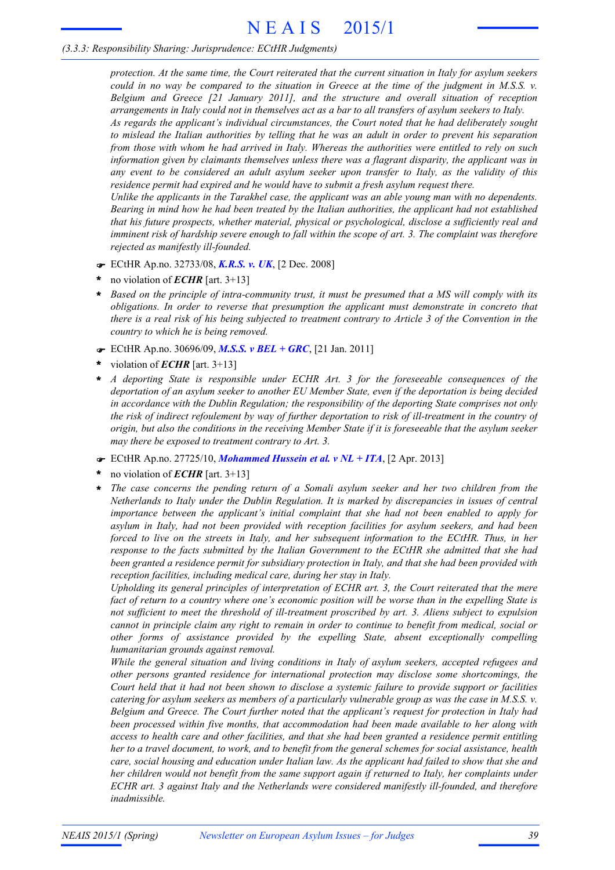#### *(3.3.3: Responsibility Sharing: Jurisprudence: ECtHR Judgments)*

*protection. At the same time, the Court reiterated that the current situation in Italy for asylum seekers* could in no way be compared to the situation in Greece at the time of the judgment in M.S.S.  $\nu$ . *Belgium and Greece [21 January 2011], and the structure and overall situation of reception arrangements in Italy could not in themselves act as a bar to all transfers of asylum seekers to Italy.*

*As regards the applicant's individual circumstances, the Court noted that he had deliberately sought* to mislead the Italian authorities by telling that he was an adult in order to prevent his separation from those with whom he had arrived in Italy. Whereas the authorities were entitled to rely on such *information given by claimants themselves unless there was a flagrant disparity, the applicant was in any event to be considered an adult asylum seeker upon transfer to Italy, as the validity of this residence permit had expired and he would have to submit a fresh asylum request there.*

*Unlike the applicants in the Tarakhel case, the applicant was an able young man with no dependents. Bearing in mind how he had been treated by the Italian authorities, the applicant had not established that his future prospects, whether material, physical or psychological, disclose a sufficiently real and* imminent risk of hardship severe enough to fall within the scope of art. 3. The complaint was therefore *rejected as manifestly ill-founded.*

- F ECtHR Ap.no. 32733/08, *K.R.S. v. UK*, [2 Dec. 2008]
- no violation of *ECHR* [art. 3+13] **\***
- Based on the principle of intra-community trust, it must be presumed that a MS will comply with its *obligations. In order to reverse that presumption the applicant must demonstrate in concreto that* there is a real risk of his being subjected to treatment contrary to Article 3 of the Convention in the *country to which he is being removed.* **\***
- F ECtHR Ap.no. 30696/09, *M.S.S. v BEL + GRC*, [21 Jan. 2011]
- violation of *ECHR* [art. 3+13] **\***
- *A deporting State is responsible under ECHR Art. 3 for the foreseeable consequences of the deportation of an asylum seeker to another EU Member State, even if the deportation is being decided in accordance with the Dublin Regulation; the responsibility of the deporting State comprises not only* the risk of indirect refoulement by way of further deportation to risk of ill-treatment in the country of origin, but also the conditions in the receiving Member State if it is foreseeable that the asylum seeker *may there be exposed to treatment contrary to Art. 3.* **\***
- F ECtHR Ap.no. 27725/10, *Mohammed Hussein et al. v NL + ITA*, [2 Apr. 2013]
- no violation of *ECHR* [art. 3+13] **\***
- *The case concerns the pending return of a Somali asylum seeker and her two children from the Netherlands to Italy under the Dublin Regulation. It is marked by discrepancies in issues of central importance between the applicant's initial complaint that she had not been enabled to apply for asylum in Italy, had not been provided with reception facilities for asylum seekers, and had been forced to live on the streets in Italy, and her subsequent information to the ECtHR. Thus, in her response to the facts submitted by the Italian Government to the ECtHR she admitted that she had been granted a residence permit for subsidiary protection in Italy, and that she had been provided with reception facilities, including medical care, during her stay in Italy.* **\***

*Upholding its general principles of interpretation of ECHR art. 3, the Court reiterated that the mere* fact of return to a country where one's economic position will be worse than in the expelling State is *not sufficient to meet the threshold of ill-treatment proscribed by art. 3. Aliens subject to expulsion* cannot in principle claim any right to remain in order to continue to benefit from medical, social or *other forms of assistance provided by the expelling State, absent exceptionally compelling humanitarian grounds against removal.*

*While the general situation and living conditions in Italy of asylum seekers, accepted refugees and other persons granted residence for international protection may disclose some shortcomings, the* Court held that it had not been shown to disclose a systemic failure to provide support or facilities catering for asylum seekers as members of a particularly vulnerable group as was the case in M.S.S.  $v$ . *Belgium and Greece. The Court further noted that the applicant's request for protection in Italy had been processed within five months, that accommodation had been made available to her along with access to health care and other facilities, and that she had been granted a residence permit entitling* her to a travel document, to work, and to benefit from the general schemes for social assistance, health care, social housing and education under Italian law. As the applicant had failed to show that she and *her children would not benefit from the same support again if returned to Italy, her complaints under ECHR art. 3 against Italy and the Netherlands were considered manifestly ill-founded, and therefore inadmissible.*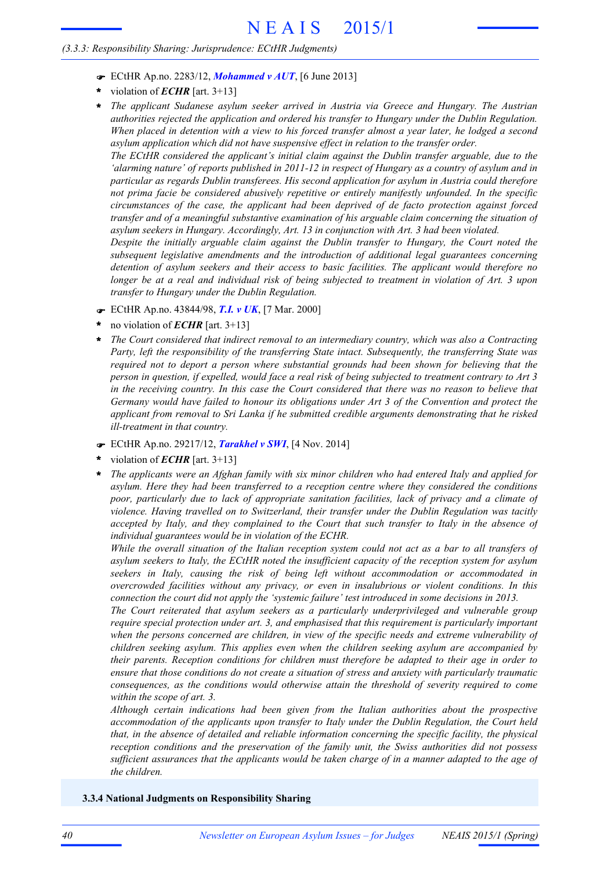#### *(3.3.3: Responsibility Sharing: Jurisprudence: ECtHR Judgments)*

- F ECtHR Ap.no. 2283/12, *Mohammed v AUT*, [6 June 2013]
- violation of *ECHR* [art. 3+13] **\***
- *The applicant Sudanese asylum seeker arrived in Austria via Greece and Hungary. The Austrian authorities rejected the application and ordered his transfer to Hungary under the Dublin Regulation.* When placed in detention with a view to his forced transfer almost a year later, he lodged a second *asylum application which did not have suspensive effect in relation to the transfer order.* **\***

*The ECtHR considered the applicant's initial claim against the Dublin transfer arguable, due to the* 'alarming nature' of reports published in 2011-12 in respect of Hungary as a country of asylum and in *particular as regards Dublin transferees. His second application for asylum in Austria could therefore not prima facie be considered abusively repetitive or entirely manifestly unfounded. In the specific circumstances of the case, the applicant had been deprived of de facto protection against forced transfer and of a meaningful substantive examination of his arguable claim concerning the situation of asylum seekers in Hungary. Accordingly, Art. 13 in conjunction with Art. 3 had been violated.*

*Despite the initially arguable claim against the Dublin transfer to Hungary, the Court noted the subsequent legislative amendments and the introduction of additional legal guarantees concerning detention of asylum seekers and their access to basic facilities. The applicant would therefore no* longer be at a real and individual risk of being subjected to treatment in violation of Art. 3 upon *transfer to Hungary under the Dublin Regulation.*

- F ECtHR Ap.no. 43844/98, *T.I. v UK*, [7 Mar. 2000]
- no violation of *ECHR* [art. 3+13] **\***
- *The Court considered that indirect removal to an intermediary country, which was also a Contracting Party, left the responsibility of the transferring State intact. Subsequently, the transferring State was required not to deport a person where substantial grounds had been shown for believing that the* person in question, if expelled, would face a real risk of being subjected to treatment contrary to Art 3 in the receiving country. In this case the Court considered that there was no reason to believe that *Germany would have failed to honour its obligations under Art 3 of the Convention and protect the applicant from removal to Sri Lanka if he submitted credible arguments demonstrating that he risked ill-treatment in that country.* **\***
- F ECtHR Ap.no. 29217/12, *Tarakhel v SWI*, [4 Nov. 2014]
- violation of *ECHR* [art. 3+13] **\***
- *The applicants were an Afghan family with six minor children who had entered Italy and applied for asylum. Here they had been transferred to a reception centre where they considered the conditions poor, particularly due to lack of appropriate sanitation facilities, lack of privacy and a climate of violence. Having travelled on to Switzerland, their transfer under the Dublin Regulation was tacitly accepted by Italy, and they complained to the Court that such transfer to Italy in the absence of individual guarantees would be in violation of the ECHR.* **\***

While the overall situation of the Italian reception system could not act as a bar to all transfers of *asylum seekers to Italy, the ECtHR noted the insufficient capacity of the reception system for asylum seekers in Italy, causing the risk of being left without accommodation or accommodated in overcrowded facilities without any privacy, or even in insalubrious or violent conditions. In this connection the court did not apply the 'systemic failure' test introduced in some decisions in 2013.*

*The Court reiterated that asylum seekers as a particularly underprivileged and vulnerable group require special protection under art. 3, and emphasised that this requirement is particularly important when the persons concerned are children, in view of the specific needs and extreme vulnerability of children seeking asylum. This applies even when the children seeking asylum are accompanied by their parents. Reception conditions for children must therefore be adapted to their age in order to ensure that those conditions do not create a situation of stress and anxiety with particularly traumatic consequences, as the conditions would otherwise attain the threshold of severity required to come within the scope of art. 3.*

*Although certain indications had been given from the Italian authorities about the prospective accommodation of the applicants upon transfer to Italy under the Dublin Regulation, the Court held that, in the absence of detailed and reliable information concerning the specific facility, the physical reception conditions and the preservation of the family unit, the Swiss authorities did not possess* sufficient assurances that the applicants would be taken charge of in a manner adapted to the age of *the children.*

#### **3.3.4 National Judgments on Responsibility Sharing**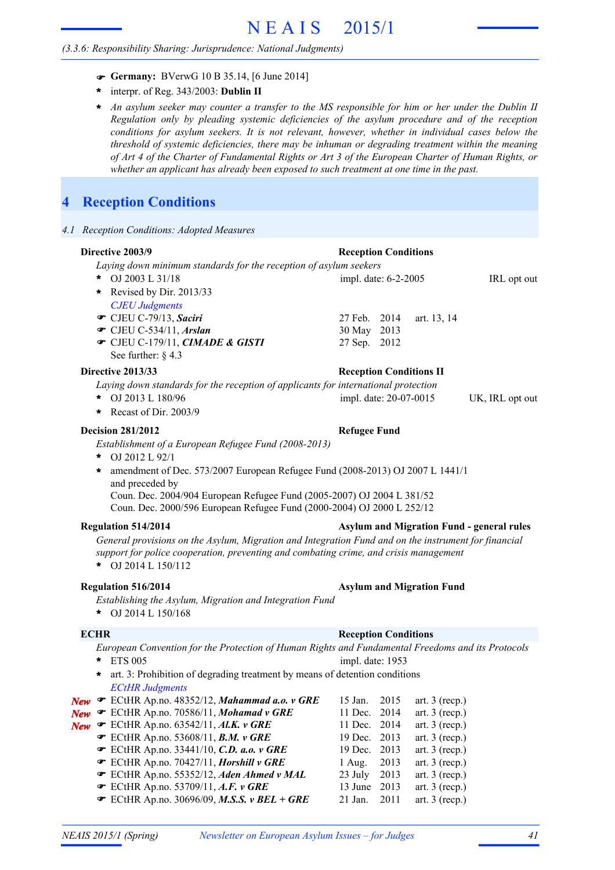#### *(3.3.6: Responsibility Sharing: Jurisprudence: National Judgments)*

- F **Germany:** BVerwG 10 B 35.14, [6 June 2014]
- interpr. of Reg. 343/2003: **Dublin II \***
- An asylum seeker may counter a transfer to the MS responsible for him or her under the Dublin II *Regulation only by pleading systemic deficiencies of the asylum procedure and of the reception conditions for asylum seekers. It is not relevant, however, whether in individual cases below the threshold of systemic deficiencies, there may be inhuman or degrading treatment within the meaning* of Art 4 of the Charter of Fundamental Rights or Art 3 of the European Charter of Human Rights, or *whether an applicant has already been exposed to such treatment at one time in the past.* **\***

# **4 Reception Conditions**

*4.1 Reception Conditions: Adopted Measures*

#### **Directive 2003/9 Reception Conditions**

*Laying down minimum standards for the reception of asylum seekers*

OJ 2003 L 31/18 IRL opt out impl. date: 6-2-2005 *CJEU Judgments* **■** CJEU C-79/13, *Saciri* 27 Feb. 2014 art. 13, 14 **T** CJEU C-534/11, *Arslan* 30 May 2013 CJEU C-179/11, *CIMADE & GISTI* 27 Sep. 2012 F See further: § 4.3  $*$  OJ 2003 L 31/18 **\*** Revised by Dir. 2013/33

#### **Directive 2013/33 Reception Conditions II**

*Laying down standards for the reception of applicants for international protection*

- OJ 2013 L 180/96 UK, IRL opt out **\*** impl. date: 20-07-0015
- **\*** Recast of Dir. 2003/9

#### **Decision 281/2012 Refugee Fund**

*Establishment of a European Refugee Fund (2008-2013)*

- OJ 2012 L 92/1 **\***
- amendment of Dec. 573/2007 European Refugee Fund (2008-2013) OJ 2007 L 1441/1 **\*** and preceded by

Coun. Dec. 2004/904 European Refugee Fund (2005-2007) OJ 2004 L 381/52 Coun. Dec. 2000/596 European Refugee Fund (2000-2004) OJ 2000 L 252/12

#### **Regulation 514/2014 Asylum and Migration Fund - general rules**

*General provisions on the Asylum, Migration and Integration Fund and on the instrument for financial support for police cooperation, preventing and combating crime, and crisis management* OJ 2014 L 150/112 **\***

#### **Regulation 516/2014 Asylum and Migration Fund**

- *Establishing the Asylum, Migration and Integration Fund*
- OJ 2014 L 150/168 **\***

#### **ECHR Reception Conditions**

*European Convention for the Protection of Human Rights and Fundamental Freedoms and its Protocols* ETS 005 **\*** *ECtHR Judgments New ■* ECtHR Ap.no. 48352/12, *Mahammad a.o. v GRE* 15 Jan. 2015 art. 3 (recp.) *New* **■** ECtHR Ap.no. 70586/11, *Mohamad v GRE* 11 Dec. 2014 art. 3 (recp.) **New F** ECtHR Ap.no. 63542/11, **Al.K. v GRE** 11 Dec. 2014 art. 3 (recp.) **■** ECtHR Ap.no. 53608/11, *B.M.**v* **GRE** 19 Dec. 2013 art. 3 (recp.) **■** ECtHR Ap.no. 33441/10, *C.D. a.o. v* GRE 19 Dec. 2013 art. 3 (recp.) **■** ECtHR Ap.no. 70427/11, *Horshill v GRE* 1 Aug. 2013 art. 3 (recp.) **■** ECtHR Ap.no. 55352/12, *Aden Ahmed v MAL* 23 July 2013 art. 3 (recp.) **EXECTER Ap.no. 53709/11, A.F. v GRE** 13 June 2013 art. 3 (recp.) **EXAMPLE AP.no.** 30696/09, **M.S.S. v BEL + GRE** 21 Jan. 2011 art. 3 (recp.) impl. date: 1953 **\*** art. 3: Prohibition of degrading treatment by means of detention conditions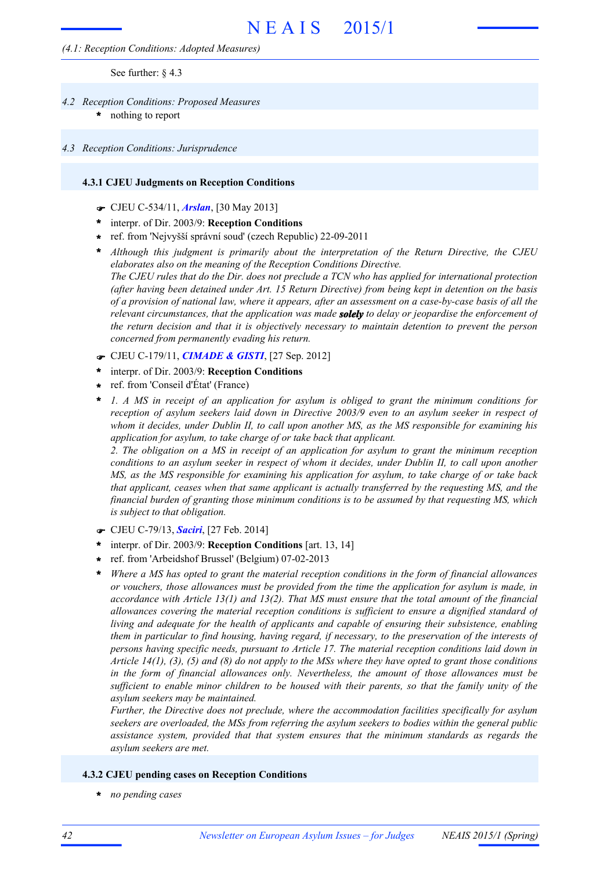#### *(4.1: Reception Conditions: Adopted Measures)*

See further: § 4.3

- nothing to report *4.2 Reception Conditions: Proposed Measures* **\***
	-
- *4.3 Reception Conditions: Jurisprudence*

#### **4.3.1 CJEU Judgments on Reception Conditions**

- F CJEU C-534/11, *Arslan*, [30 May 2013]
- interpr. of Dir. 2003/9: **Reception Conditions \***
- ref. from 'Nejvyšší správní soud' (czech Republic) 22-09-2011 **\***
- *Although this judgment is primarily about the interpretation of the Return Directive, the CJEU elaborates also on the meaning of the Reception Conditions Directive.* The CJEU rules that do the Dir. does not preclude a TCN who has applied for international protection *(after having been detained under Art. 15 Return Directive) from being kept in detention on the basis* of a provision of national law, where it appears, after an assessment on a case-by-case basis of all the *relevant circumstances, that the application was made solely to delay or jeopardise the enforcement of the return decision and that it is objectively necessary to maintain detention to prevent the person concerned from permanently evading his return.* **\***
- F CJEU C-179/11, *CIMADE & GISTI*, [27 Sep. 2012]
- interpr. of Dir. 2003/9: **Reception Conditions \***
- ref. from 'Conseil d'État' (France) **\***
- *1. A MS in receipt of an application for asylum is obliged to grant the minimum conditions for reception of asylum seekers laid down in Directive 2003/9 even to an asylum seeker in respect of whom it decides, under Dublin II, to call upon another MS, as the MS responsible for examining his application for asylum, to take charge of or take back that applicant.* **\***

*2. The obligation on a MS in receipt of an application for asylum to grant the minimum reception* conditions to an asylum seeker in respect of whom it decides, under Dublin II, to call upon another *MS, as the MS responsible for examining his application for asylum, to take charge of or take back that applicant, ceases when that same applicant is actually transferred by the requesting MS, and the financial burden of granting those minimum conditions is to be assumed by that requesting MS, which is subject to that obligation.*

- F CJEU C-79/13, *Saciri*, [27 Feb. 2014]
- interpr. of Dir. 2003/9: **Reception Conditions** [art. 13, 14] **\***
- ref. from 'Arbeidshof Brussel' (Belgium) 07-02-2013 **\***
- *Where a MS has opted to grant the material reception conditions in the form of financial allowances or vouchers, those allowances must be provided from the time the application for asylum is made, in accordance with Article 13(1) and 13(2). That MS must ensure that the total amount of the financial allowances covering the material reception conditions is sufficient to ensure a dignified standard of living and adequate for the health of applicants and capable of ensuring their subsistence, enabling them in particular to find housing, having regard, if necessary, to the preservation of the interests of persons having specific needs, pursuant to Article 17. The material reception conditions laid down in* Article  $14(1)$ , (3), (5) and (8) do not apply to the MSs where they have opted to grant those conditions *in the form of financial allowances only. Nevertheless, the amount of those allowances must be* sufficient to enable minor children to be housed with their parents, so that the family unity of the *asylum seekers may be maintained.* **\***

*Further, the Directive does not preclude, where the accommodation facilities specifically for asylum seekers are overloaded, the MSs from referring the asylum seekers to bodies within the general public assistance system, provided that that system ensures that the minimum standards as regards the asylum seekers are met.*

#### **4.3.2 CJEU pending cases on Reception Conditions**

**\*** *no pending cases*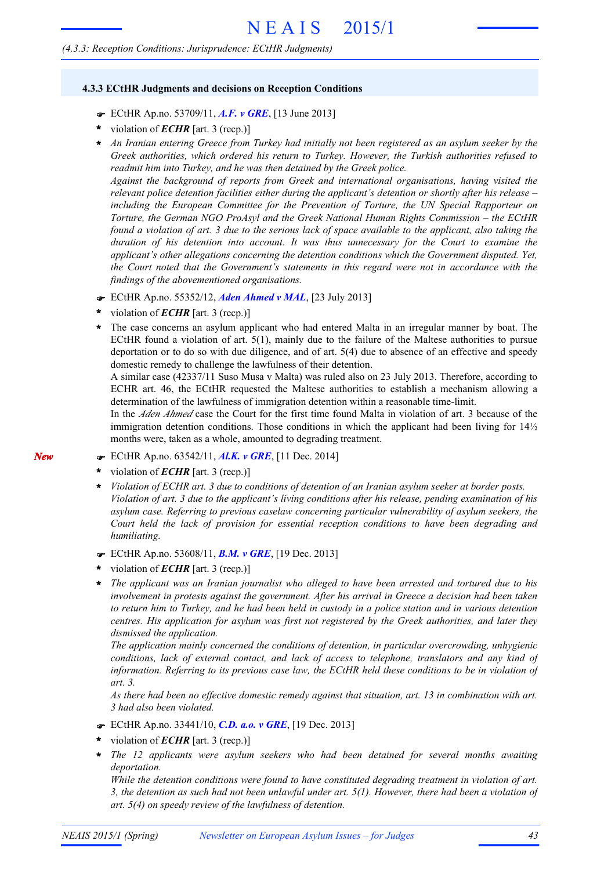#### *(4.3.3: Reception Conditions: Jurisprudence: ECtHR Judgments)*

#### **4.3.3 ECtHR Judgments and decisions on Reception Conditions**

- F ECtHR Ap.no. 53709/11, *A.F. v GRE*, [13 June 2013]
- violation of *ECHR* [art. 3 (recp.)] **\***
- \* An Iranian entering Greece from Turkey had initially not been registered as an asylum seeker by the *Greek authorities, which ordered his return to Turkey. However, the Turkish authorities refused to readmit him into Turkey, and he was then detained by the Greek police.*

*Against the background of reports from Greek and international organisations, having visited the relevant police detention facilities either during the applicant's detention or shortly after his release – including the European Committee for the Prevention of Torture, the UN Special Rapporteur on Torture, the German NGO ProAsyl and the Greek National Human Rights Commission – the ECtHR* found a violation of art. 3 due to the serious lack of space available to the applicant, also taking the *duration of his detention into account. It was thus unnecessary for the Court to examine the applicant's other allegations concerning the detention conditions which the Government disputed. Yet, the Court noted that the Government's statements in this regard were not in accordance with the findings of the abovementioned organisations.*

- F ECtHR Ap.no. 55352/12, *Aden Ahmed v MAL*, [23 July 2013]
- violation of *ECHR* [art. 3 (recp.)] **\***
- The case concerns an asylum applicant who had entered Malta in an irregular manner by boat. The ECtHR found a violation of art. 5(1), mainly due to the failure of the Maltese authorities to pursue deportation or to do so with due diligence, and of art. 5(4) due to absence of an effective and speedy domestic remedy to challenge the lawfulness of their detention. **\***

A similar case (42337/11 Suso Musa v Malta) was ruled also on 23 July 2013. Therefore, according to ECHR art. 46, the ECtHR requested the Maltese authorities to establish a mechanism allowing a determination of the lawfulness of immigration detention within a reasonable time-limit.

In the *Aden Ahmed* case the Court for the first time found Malta in violation of art. 3 because of the immigration detention conditions. Those conditions in which the applicant had been living for  $14\frac{1}{2}$ months were, taken as a whole, amounted to degrading treatment.

- F ECtHR Ap.no. 63542/11, *Al.K. v GRE*, [11 Dec. 2014]
- violation of *ECHR* [art. 3 (recp.)] **\***
- *Violation of ECHR art. 3 due to conditions of detention of an Iranian asylum seeker at border posts.* Violation of art. 3 due to the applicant's living conditions after his release, pending examination of his *asylum case. Referring to previous caselaw concerning particular vulnerability of asylum seekers, the Court held the lack of provision for essential reception conditions to have been degrading and humiliating.* **\***
- F ECtHR Ap.no. 53608/11, *B.M. v GRE*, [19 Dec. 2013]
- violation of *ECHR* [art. 3 (recp.)] **\***
- *The applicant was an Iranian journalist who alleged to have been arrested and tortured due to his involvement in protests against the government. After his arrival in Greece a decision had been taken* to return him to Turkey, and he had been held in custody in a police station and in various detention *centres. His application for asylum was first not registered by the Greek authorities, and later they dismissed the application.* **\***

*The application mainly concerned the conditions of detention, in particular overcrowding, unhygienic conditions, lack of external contact, and lack of access to telephone, translators and any kind of information. Referring to its previous case law, the ECtHR held these conditions to be in violation of art. 3.*

*As there had been no effective domestic remedy against that situation, art. 13 in combination with art. 3 had also been violated.*

- F ECtHR Ap.no. 33441/10, *C.D. a.o. v GRE*, [19 Dec. 2013]
- violation of *ECHR* [art. 3 (recp.)] **\***
- *The 12 applicants were asylum seekers who had been detained for several months awaiting* **\*** *deportation.*

*While the detention conditions were found to have constituted degrading treatment in violation of art.* 3, the detention as such had not been unlawful under art.  $5(1)$ . However, there had been a violation of *art. 5(4) on speedy review of the lawfulness of detention.*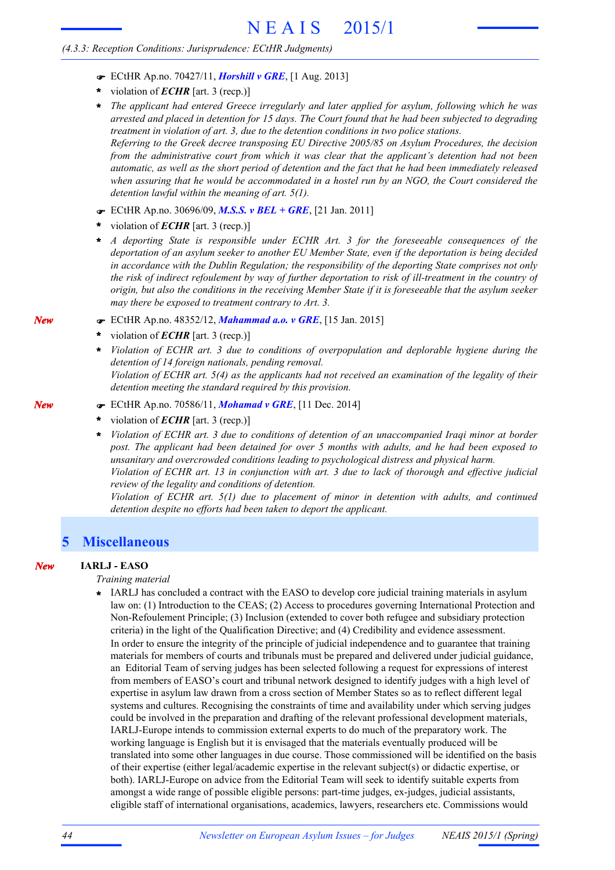#### *(4.3.3: Reception Conditions: Jurisprudence: ECtHR Judgments)*

- F ECtHR Ap.no. 70427/11, *Horshill v GRE*, [1 Aug. 2013]
- violation of *ECHR* [art. 3 (recp.)] **\***
- *The applicant had entered Greece irregularly and later applied for asylum, following which he was* arrested and placed in detention for 15 days. The Court found that he had been subjected to degrading *treatment in violation of art. 3, due to the detention conditions in two police stations. Referring to the Greek decree transposing EU Directive 2005/85 on Asylum Procedures, the decision from the administrative court from which it was clear that the applicant's detention had not been* automatic, as well as the short period of detention and the fact that he had been immediately released *when assuring that he would be accommodated in a hostel run by an NGO, the Court considered the detention lawful within the meaning of art. 5(1).* **\***
- F ECtHR Ap.no. 30696/09, *M.S.S. v BEL + GRE*, [21 Jan. 2011]
- violation of *ECHR* [art. 3 (recp.)] **\***
- *A deporting State is responsible under ECHR Art. 3 for the foreseeable consequences of the* **\*** *deportation of an asylum seeker to another EU Member State, even if the deportation is being decided in accordance with the Dublin Regulation; the responsibility of the deporting State comprises not only* the risk of indirect refoulement by way of further deportation to risk of ill-treatment in the country of origin, but also the conditions in the receiving Member State if it is foreseeable that the asylum seeker *may there be exposed to treatment contrary to Art. 3.*
- F ECtHR Ap.no. 48352/12, *Mahammad a.o. v GRE*, [15 Jan. 2015]
- violation of *ECHR* [art. 3 (recp.)] **\***
- *Violation of ECHR art. 3 due to conditions of overpopulation and deplorable hygiene during the detention of 14 foreign nationals, pending removal.* Violation of ECHR art. 5(4) as the applicants had not received an examination of the legality of their *detention meeting the standard required by this provision.* **\***
- F ECtHR Ap.no. 70586/11, *Mohamad v GRE*, [11 Dec. 2014]
	- violation of *ECHR* [art. 3 (recp.)] **\***
- *Violation of ECHR art. 3 due to conditions of detention of an unaccompanied Iraqi minor at border post. The applicant had been detained for over 5 months with adults, and he had been exposed to unsanitary and overcrowded conditions leading to psychological distress and physical harm.* Violation of ECHR art. 13 in conjunction with art. 3 due to lack of thorough and effective judicial *review of the legality and conditions of detention.* **\***

*Violation of ECHR art. 5(1) due to placement of minor in detention with adults, and continued detention despite no efforts had been taken to deport the applicant.*

### **5 Miscellaneous**

#### *Training material*

IARLJ has concluded a contract with the EASO to develop core judicial training materials in asylum **\*** law on: (1) Introduction to the CEAS; (2) Access to procedures governing International Protection and Non-Refoulement Principle; (3) Inclusion (extended to cover both refugee and subsidiary protection criteria) in the light of the Qualification Directive; and (4) Credibility and evidence assessment. In order to ensure the integrity of the principle of judicial independence and to guarantee that training materials for members of courts and tribunals must be prepared and delivered under judicial guidance, an Editorial Team of serving judges has been selected following a request for expressions of interest from members of EASO's court and tribunal network designed to identify judges with a high level of expertise in asylum law drawn from a cross section of Member States so as to reflect different legal systems and cultures. Recognising the constraints of time and availability under which serving judges could be involved in the preparation and drafting of the relevant professional development materials, IARLJ-Europe intends to commission external experts to do much of the preparatory work. The working language is English but it is envisaged that the materials eventually produced will be translated into some other languages in due course. Those commissioned will be identified on the basis of their expertise (either legal/academic expertise in the relevant subject(s) or didactic expertise, or both). IARLJ-Europe on advice from the Editorial Team will seek to identify suitable experts from amongst a wide range of possible eligible persons: part-time judges, ex-judges, judicial assistants, eligible staff of international organisations, academics, lawyers, researchers etc. Commissions would

*New*

*New* **IARLJ - EASO**